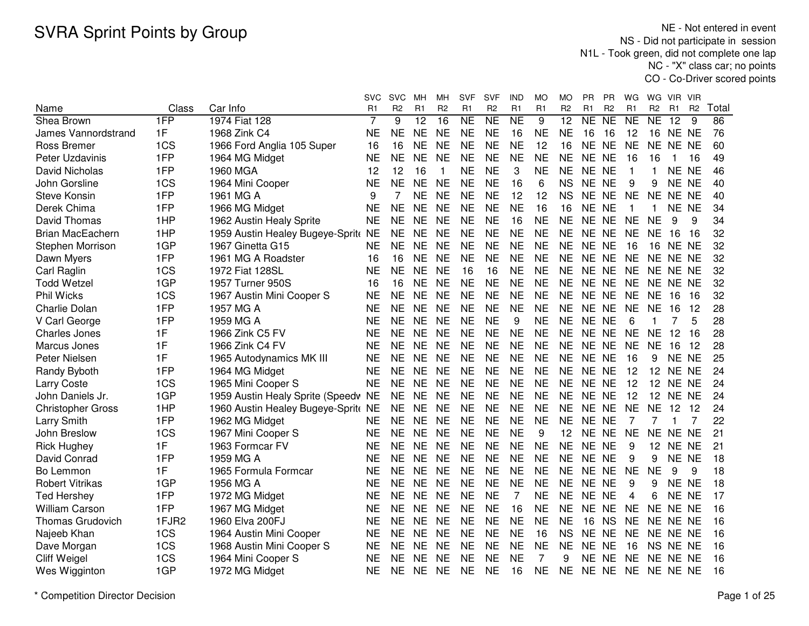NE - Not entered in event NS - Did not participate in session N1L - Took green, did not complete one lap NC - "X" class car; no pointsCO - Co-Driver scored points

|                          |       |                                     | svc            | <b>SVC</b>     | мн              | мн             | <b>SVF</b>          | <b>SVF</b>     | IND            | МO             | MO              | РR        | <b>PR</b>      | WG              | WG                  | VIR.            | <b>VIR</b>     |                 |
|--------------------------|-------|-------------------------------------|----------------|----------------|-----------------|----------------|---------------------|----------------|----------------|----------------|-----------------|-----------|----------------|-----------------|---------------------|-----------------|----------------|-----------------|
| Name                     | Class | Car Info                            | R <sub>1</sub> | R <sub>2</sub> | R <sub>1</sub>  | R <sub>2</sub> | R <sub>1</sub>      | R <sub>2</sub> | R <sub>1</sub> | R <sub>1</sub> | R <sub>2</sub>  | R1        | R <sub>2</sub> | R1              | R <sub>2</sub>      | R <sub>1</sub>  | R <sub>2</sub> | Total           |
| Shea Brown               | 1FP   | 1974 Fiat 128                       | 7              | 9              | $\overline{12}$ | 16             | $\overline{\sf NE}$ | NE             | N <sub>E</sub> | 9              | $\overline{12}$ | NE        | NE             | $\overline{NE}$ | $\overline{\sf NE}$ | $\overline{12}$ | 9              | $\overline{86}$ |
| James Vannordstrand      | 1F    | 1968 Zink C4                        | <b>NE</b>      | <b>NE</b>      | <b>NE</b>       | <b>NE</b>      | <b>NE</b>           | <b>NE</b>      | 16             | <b>NE</b>      | <b>NE</b>       | 16        | 16             | 12              | 16                  | NE NE           |                | 76              |
| Ross Bremer              | 1CS   | 1966 Ford Anglia 105 Super          | 16             | 16             | <b>NE</b>       | <b>NE</b>      | <b>NE</b>           | <b>NE</b>      | <b>NE</b>      | 12             | 16              | <b>NE</b> | <b>NE</b>      | <b>NE</b>       | <b>NE</b>           | NE NE           |                | 60              |
| Peter Uzdavinis          | 1FP   | 1964 MG Midget                      | <b>NE</b>      | <b>NE</b>      | <b>NE</b>       | <b>NE</b>      | <b>NE</b>           | <b>NE</b>      | <b>NE</b>      | <b>NE</b>      | <b>NE</b>       | <b>NE</b> | <b>NE</b>      | 16              | 16                  | 1               | 16             | 49              |
| David Nicholas           | 1FP   | 1960 MGA                            | 12             | 12             | 16              | 1              | <b>NE</b>           | <b>NE</b>      | 3              | <b>NE</b>      | <b>NE</b>       | <b>NE</b> | <b>NE</b>      | $\mathbf 1$     | 1                   |                 | NE NE          | 46              |
| John Gorsline            | 1CS   | 1964 Mini Cooper                    | <b>NE</b>      | <b>NE</b>      | <b>NE</b>       | <b>NE</b>      | <b>NE</b>           | <b>NE</b>      | 16             | 6              | <b>NS</b>       | <b>NE</b> | <b>NE</b>      | 9               | 9                   | NE NE           |                | 40              |
| <b>Steve Konsin</b>      | 1FP   | 1961 MG A                           | 9              | 7              | <b>NE</b>       | <b>NE</b>      | <b>NE</b>           | <b>NE</b>      | 12             | 12             | <b>NS</b>       |           | NE NE          | <b>NE</b>       | <b>NE</b>           | NE NE           |                | 40              |
| Derek Chima              | 1FP   | 1966 MG Midget                      | <b>NE</b>      | <b>NE</b>      | <b>NE</b>       | <b>NE</b>      | <b>NE</b>           | <b>NE</b>      | <b>NE</b>      | 16             | 16              | NE NE     |                | -1              | 1.                  | NE NE           |                | 34              |
| David Thomas             | 1HP   | 1962 Austin Healy Sprite            | <b>NE</b>      | <b>NE</b>      | <b>NE</b>       | <b>NE</b>      | <b>NE</b>           | <b>NE</b>      | 16             | <b>NE</b>      | <b>NE</b>       |           | NE NE          | <b>NE</b>       | <b>NE</b>           | 9               | 9              | 34              |
| <b>Brian MacEachern</b>  | 1HP   | 1959 Austin Healey Bugeye-Sprit NE  |                | <b>NE</b>      | <b>NE</b>       | <b>NE</b>      | <b>NE</b>           | <b>NE</b>      | <b>NE</b>      | <b>NE</b>      | <b>NE</b>       | NE NE     |                | <b>NE</b>       | <b>NE</b>           | 16              | -16            | 32              |
| Stephen Morrison         | 1GP   | 1967 Ginetta G15                    | <b>NE</b>      | <b>NE</b>      | <b>NE</b>       | <b>NE</b>      | <b>NE</b>           | <b>NE</b>      | <b>NE</b>      | <b>NE</b>      | <b>NE</b>       | NE NE     |                | 16              |                     | <b>16 NE NE</b> |                | 32              |
| Dawn Myers               | 1FP   | 1961 MG A Roadster                  | 16             | 16             | <b>NE</b>       | <b>NE</b>      | <b>NE</b>           | <b>NE</b>      | <b>NE</b>      | <b>NE</b>      | <b>NE</b>       | NE        | <b>NE</b>      | <b>NE</b>       | <b>NE</b>           | NE NE           |                | 32              |
| Carl Raglin              | 1CS   | 1972 Fiat 128SL                     | <b>NE</b>      | <b>NE</b>      | <b>NE</b>       | <b>NE</b>      | 16                  | 16             | <b>NE</b>      | <b>NE</b>      | <b>NE</b>       | <b>NE</b> | <b>NE</b>      | <b>NE</b>       | NE.                 | NE NE           |                | 32              |
| <b>Todd Wetzel</b>       | 1GP   | 1957 Turner 950S                    | 16             | 16             | <b>NE</b>       | <b>NE</b>      | <b>NE</b>           | <b>NE</b>      | <b>NE</b>      | <b>NE</b>      | <b>NE</b>       | NE NE     |                | <b>NE</b>       |                     | NE NE NE        |                | 32              |
| <b>Phil Wicks</b>        | 1CS   | 1967 Austin Mini Cooper S           | <b>NE</b>      | <b>NE</b>      | <b>NE</b>       | <b>NE</b>      | <b>NE</b>           | <b>NE</b>      | <b>NE</b>      | <b>NE</b>      | <b>NE</b>       | NE NE     |                | <b>NE</b>       | <b>NE</b>           | 16              | -16            | 32              |
| Charlie Dolan            | 1FP   | 1957 MG A                           | <b>NE</b>      | <b>NE</b>      | <b>NE</b>       | <b>NE</b>      | <b>NE</b>           | <b>NE</b>      | <b>NE</b>      | <b>NE</b>      | <b>NE</b>       | NE NE     |                | <b>NE</b>       | <b>NE</b>           | 16              | 12             | 28              |
| V Carl George            | 1FP   | 1959 MG A                           | <b>NE</b>      | <b>NE</b>      | <b>NE</b>       | <b>NE</b>      | <b>NE</b>           | <b>NE</b>      | 9              | <b>NE</b>      | <b>NE</b>       | NE NE     |                | 6               | 1                   |                 | 5              | 28              |
| <b>Charles Jones</b>     | 1F    | 1966 Zink C5 FV                     | <b>NE</b>      | <b>NE</b>      | <b>NE</b>       | <b>NE</b>      | <b>NE</b>           | <b>NE</b>      | <b>NE</b>      | <b>NE</b>      | <b>NE</b>       | <b>NE</b> | <b>NE</b>      | <b>NE</b>       | <b>NE</b>           | 12              | 16             | 28              |
| Marcus Jones             | 1F    | 1966 Zink C4 FV                     | <b>NE</b>      | <b>NE</b>      | <b>NE</b>       | <b>NE</b>      | <b>NE</b>           | <b>NE</b>      | <b>NE</b>      | <b>NE</b>      | <b>NE</b>       | <b>NE</b> | <b>NE</b>      | <b>NE</b>       | <b>NE</b>           | 16              | 12             | 28              |
| Peter Nielsen            | 1F    | 1965 Autodynamics MK III            | <b>NE</b>      | <b>NE</b>      | <b>NE</b>       | <b>NE</b>      | <b>NE</b>           | <b>NE</b>      | <b>NE</b>      | <b>NE</b>      | <b>NE</b>       | <b>NE</b> | <b>NE</b>      | 16              | 9                   | NE NE           |                | 25              |
| Randy Byboth             | 1FP   | 1964 MG Midget                      | <b>NE</b>      | <b>NE</b>      | <b>NE</b>       | <b>NE</b>      | <b>NE</b>           | <b>NE</b>      | <b>NE</b>      | <b>NE</b>      | <b>NE</b>       | NE NE     |                | 12              | 12                  | NE NE           |                | 24              |
| <b>Larry Coste</b>       | 1CS   | 1965 Mini Cooper S                  | <b>NE</b>      | <b>NE</b>      | <b>NE</b>       | <b>NE</b>      | <b>NE</b>           | <b>NE</b>      | <b>NE</b>      | <b>NE</b>      | <b>NE</b>       | NE NE     |                | 12              | 12 <sup>2</sup>     | NE NE           |                | 24              |
| John Daniels Jr.         | 1GP   | 1959 Austin Healy Sprite (Speedv NE |                | <b>NE</b>      | NE              | <b>NE</b>      | <b>NE</b>           | <b>NE</b>      | <b>NE</b>      | <b>NE</b>      | <b>NE</b>       | NE NE     |                | 12              |                     | <b>12 NE NE</b> |                | 24              |
| <b>Christopher Gross</b> | 1HP   | 1960 Austin Healey Bugeye-Sprit NE  |                | <b>NE</b>      | <b>NE</b>       | <b>NE</b>      | <b>NE</b>           | <b>NE</b>      | <b>NE</b>      | <b>NE</b>      | <b>NE</b>       |           | NE NE          | <b>NE</b>       | <b>NE</b>           | 12              | 12             | 24              |
| Larry Smith              | 1FP   | 1962 MG Midget                      | <b>NE</b>      | <b>NE</b>      | <b>NE</b>       | <b>NE</b>      | <b>NE</b>           | <b>NE</b>      | <b>NE</b>      | <b>NE</b>      | <b>NE</b>       | NE NE     |                |                 |                     |                 | 7              | 22              |
| John Breslow             | 1CS   | 1967 Mini Cooper S                  | <b>NE</b>      | <b>NE</b>      | <b>NE</b>       | <b>NE</b>      | <b>NE</b>           | <b>NE</b>      | <b>NE</b>      | 9              | 12              | NE.       | <b>NE</b>      | <b>NE</b>       | <b>NE</b>           | NE NE           |                | 21              |
| <b>Rick Hughey</b>       | 1F    | 1963 Formcar FV                     | <b>NE</b>      | <b>NE</b>      | <b>NE</b>       | <b>NE</b>      | <b>NE</b>           | <b>NE</b>      | <b>NE</b>      | <b>NE</b>      | <b>NE</b>       | <b>NE</b> | <b>NE</b>      | 9               | 12                  | NE NE           |                | 21              |
| David Conrad             | 1FP   | 1959 MG A                           | <b>NE</b>      | <b>NE</b>      | <b>NE</b>       | <b>NE</b>      | <b>NE</b>           | <b>NE</b>      | <b>NE</b>      | <b>NE</b>      | <b>NE</b>       | <b>NE</b> | <b>NE</b>      | 9               | 9                   | <b>NE</b>       | <b>NE</b>      | 18              |
| Bo Lemmon                | 1F    | 1965 Formula Formcar                | <b>NE</b>      | <b>NE</b>      | <b>NE</b>       | <b>NE</b>      | <b>NE</b>           | <b>NE</b>      | <b>NE</b>      | <b>NE</b>      | <b>NE</b>       | NE        | <b>NE</b>      | <b>NE</b>       | <b>NE</b>           | 9               | 9              | 18              |
| <b>Robert Vitrikas</b>   | 1GP   | 1956 MG A                           | <b>NE</b>      | <b>NE</b>      | <b>NE</b>       | <b>NE</b>      | <b>NE</b>           | <b>NE</b>      | <b>NE</b>      | <b>NE</b>      | <b>NE</b>       | NE.       | <b>NE</b>      | 9               | 9                   | NE NE           |                | 18              |
| <b>Ted Hershey</b>       | 1FP   | 1972 MG Midget                      | <b>NE</b>      | <b>NE</b>      | <b>NE</b>       | <b>NE</b>      | <b>NE</b>           | <b>NE</b>      | $\overline{7}$ | <b>NE</b>      | <b>NE</b>       | <b>NE</b> | <b>NE</b>      | 4               | 6                   | <b>NE</b>       | <b>NE</b>      | 17              |
| <b>William Carson</b>    | 1FP   | 1967 MG Midget                      | <b>NE</b>      | <b>NE</b>      | <b>NE</b>       | <b>NE</b>      | <b>NE</b>           | <b>NE</b>      | 16             | <b>NE</b>      | <b>NE</b>       | NE.       | <b>NE</b>      | <b>NE</b>       | <b>NE</b>           | NE NE           |                | 16              |
| <b>Thomas Grudovich</b>  | 1FJR2 | 1960 Elva 200FJ                     | <b>NE</b>      | <b>NE</b>      | <b>NE</b>       | <b>NE</b>      | <b>NE</b>           | <b>NE</b>      | <b>NE</b>      | <b>NE</b>      | <b>NE</b>       | 16        | <b>NS</b>      | <b>NE</b>       | <b>NE</b>           | NE NE           |                | 16              |
| Najeeb Khan              | 1CS   | 1964 Austin Mini Cooper             | <b>NE</b>      | <b>NE</b>      | <b>NE</b>       | <b>NE</b>      | <b>NE</b>           | <b>NE</b>      | <b>NE</b>      | 16             | <b>NS</b>       | <b>NE</b> | <b>NE</b>      | <b>NE</b>       | <b>NE</b>           | NE NE           |                | 16              |
| Dave Morgan              | 1CS   | 1968 Austin Mini Cooper S           | <b>NE</b>      | <b>NE</b>      | <b>NE</b>       | <b>NE</b>      | <b>NE</b>           | <b>NE</b>      | <b>NE</b>      | <b>NE</b>      | <b>NE</b>       | <b>NE</b> | <b>NE</b>      | 16              |                     | NS NE NE        |                | 16              |
| Cliff Weigel             | 1CS   | 1964 Mini Cooper S                  | <b>NE</b>      | <b>NE</b>      | <b>NE</b>       | <b>NE</b>      | <b>NE</b>           | <b>NE</b>      | <b>NE</b>      | 7              | 9               | NE.       | <b>NE</b>      | <b>NE</b>       |                     | NE NE NE        |                | 16              |
| Wes Wigginton            | 1GP   | 1972 MG Midget                      | <b>NE</b>      | <b>NE</b>      | <b>NE</b>       | <b>NE</b>      | <b>NE</b>           | NE             | 16             | <b>NE</b>      | <b>NE</b>       | NE NE     |                | NE              | NE NE NE            |                 |                | 16              |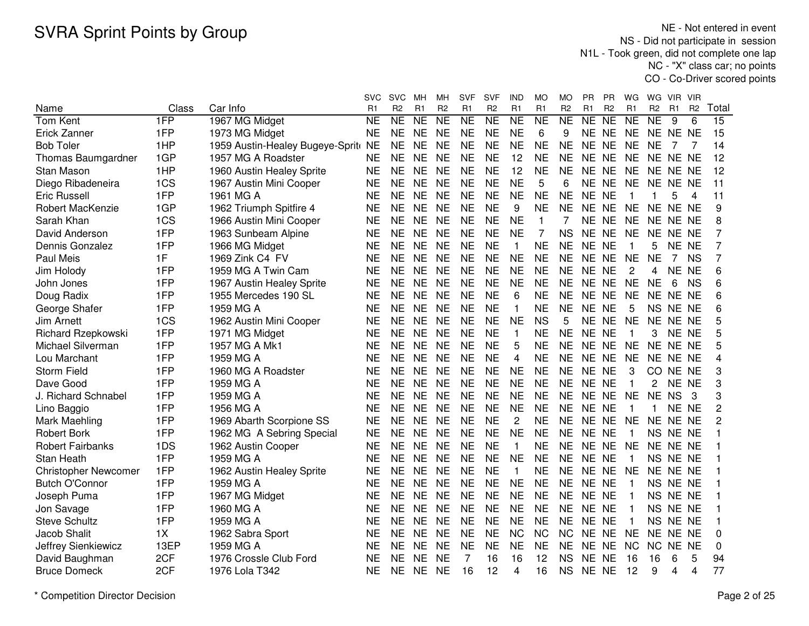NE - Not entered in event NS - Did not participate in session N1L - Took green, did not complete one lap NC - "X" class car; no pointsCO - Co-Driver scored points

|                             |       |                                  | svc            | <b>SVC</b>     | мн             | мн             | <b>SVF</b>             | SVF                 | <b>IND</b>     | МO              | MO                  | РR                  | ΡR             | WG              | WG             | VIR VIR        |                |                 |
|-----------------------------|-------|----------------------------------|----------------|----------------|----------------|----------------|------------------------|---------------------|----------------|-----------------|---------------------|---------------------|----------------|-----------------|----------------|----------------|----------------|-----------------|
| Name                        | Class | Car Info                         | R <sub>1</sub> | R <sub>2</sub> | R <sub>1</sub> | R <sub>2</sub> | R <sub>1</sub>         | R <sub>2</sub>      | R <sub>1</sub> | R <sub>1</sub>  | R <sub>2</sub>      | R <sub>1</sub>      | R <sub>2</sub> | R <sub>1</sub>  | R <sub>2</sub> | R1             | R <sub>2</sub> | Total           |
| <b>Tom Kent</b>             | 1FP   | 1967 MG Midget                   | <b>NE</b>      | N <sub>E</sub> | N <sub>E</sub> | NE             | $\overline{\text{NE}}$ | $\overline{\sf NE}$ | N <sub>E</sub> | $\overline{NE}$ | $\overline{\sf NE}$ | $\overline{\sf NE}$ | N <sub>E</sub> | $\overline{NE}$ | <b>NE</b>      | 9              | 6              | $\overline{15}$ |
| Erick Zanner                | 1FP   | 1973 MG Midget                   | <b>NE</b>      | <b>NE</b>      | <b>NE</b>      | <b>NE</b>      | <b>NE</b>              | <b>NE</b>           | <b>NE</b>      | 6               | 9                   | <b>NE</b>           | <b>NE</b>      | <b>NE</b>       |                | NE NE NE       |                | 15              |
| <b>Bob Toler</b>            | 1HP   | 1959 Austin-Healey Bugeye-Sprite | <b>NE</b>      | <b>NE</b>      | <b>NE</b>      | <b>NE</b>      | <b>NE</b>              | <b>NE</b>           | <b>NE</b>      | <b>NE</b>       | <b>NE</b>           | NE.                 | <b>NE</b>      | <b>NE</b>       | NE             | 7              | 7              | 14              |
| Thomas Baumgardner          | 1GP   | 1957 MG A Roadster               | <b>NE</b>      | <b>NE</b>      | <b>NE</b>      | <b>NE</b>      | <b>NE</b>              | <b>NE</b>           | 12             | <b>NE</b>       | <b>NE</b>           | <b>NE</b>           | <b>NE</b>      | <b>NE</b>       | <b>NE</b>      | NE NE          |                | 12              |
| Stan Mason                  | 1HP   | 1960 Austin Healey Sprite        | <b>NE</b>      | <b>NE</b>      | <b>NE</b>      | <b>NE</b>      | <b>NE</b>              | <b>NE</b>           | 12             | <b>NE</b>       | <b>NE</b>           | <b>NE</b>           | <b>NE</b>      | <b>NE</b>       | <b>NE</b>      | NE NE          |                | 12              |
| Diego Ribadeneira           | 1CS   | 1967 Austin Mini Cooper          | <b>NE</b>      | <b>NE</b>      | <b>NE</b>      | <b>NE</b>      | <b>NE</b>              | <b>NE</b>           | <b>NE</b>      | 5               | 6                   | <b>NE</b>           | <b>NE</b>      | <b>NE</b>       | <b>NE</b>      | NE NE          |                | 11              |
| Eric Russell                | 1FP   | 1961 MG A                        | <b>NE</b>      | <b>NE</b>      | <b>NE</b>      | <b>NE</b>      | <b>NE</b>              | <b>NE</b>           | <b>NE</b>      | <b>NE</b>       | <b>NE</b>           | <b>NE</b>           | <b>NE</b>      | $\mathbf 1$     |                | 5              | 4              | 11              |
| Robert MacKenzie            | 1GP   | 1962 Triumph Spitfire 4          | <b>NE</b>      | <b>NE</b>      | <b>NE</b>      | <b>NE</b>      | <b>NE</b>              | <b>NE</b>           | 9              | <b>NE</b>       | <b>NE</b>           |                     | NE NE          | NE              |                | NE NE NE       |                | 9               |
| Sarah Khan                  | 1CS   | 1966 Austin Mini Cooper          | <b>NE</b>      | <b>NE</b>      | <b>NE</b>      | <b>NE</b>      | <b>NE</b>              | <b>NE</b>           | <b>NE</b>      | $\mathbf{1}$    |                     |                     | NE NE          | <b>NE</b>       |                | NE NE NE       |                | 8               |
| David Anderson              | 1FP   | 1963 Sunbeam Alpine              | <b>NE</b>      | <b>NE</b>      | <b>NE</b>      | <b>NE</b>      | <b>NE</b>              | <b>NE</b>           | <b>NE</b>      | 7               | <b>NS</b>           | <b>NE</b>           | <b>NE</b>      | <b>NE</b>       | NE             | NE NE          |                | 7               |
| Dennis Gonzalez             | 1FP   | 1966 MG Midget                   | <b>NE</b>      | <b>NE</b>      | <b>NE</b>      | <b>NE</b>      | <b>NE</b>              | <b>NE</b>           | 1              | <b>NE</b>       | NF                  |                     | NE NE          |                 | 5.             | NE NE          |                | $\overline{7}$  |
| Paul Meis                   | 1F    | 1969 Zink C4 FV                  | <b>NE</b>      | <b>NE</b>      | <b>NE</b>      | <b>NE</b>      | <b>NE</b>              | <b>NE</b>           | <b>NE</b>      | <b>NE</b>       | <b>NE</b>           | <b>NE</b>           | <b>NE</b>      | <b>NE</b>       | <b>NE</b>      | $\overline{7}$ | <b>NS</b>      | 7               |
| Jim Holody                  | 1FP   | 1959 MG A Twin Cam               | <b>NE</b>      | <b>NE</b>      | <b>NE</b>      | <b>NE</b>      | <b>NE</b>              | <b>NE</b>           | <b>NE</b>      | <b>NE</b>       | <b>NE</b>           | <b>NE</b>           | <b>NE</b>      | 2               | 4              | NE NE          |                | 6               |
| John Jones                  | 1FP   | 1967 Austin Healey Sprite        | <b>NE</b>      | <b>NE</b>      | <b>NE</b>      | <b>NE</b>      | <b>NE</b>              | <b>NE</b>           | <b>NE</b>      | <b>NE</b>       | <b>NE</b>           | <b>NE</b>           | <b>NE</b>      | <b>NE</b>       | <b>NE</b>      | 6              | <b>NS</b>      | 6               |
| Doug Radix                  | 1FP   | 1955 Mercedes 190 SL             | <b>NE</b>      | <b>NE</b>      | <b>NE</b>      | <b>NE</b>      | <b>NE</b>              | <b>NE</b>           | 6              | <b>NE</b>       | <b>NE</b>           | <b>NE</b>           | NE             | <b>NE</b>       | <b>NE</b>      | NE NE          |                | 6               |
| George Shafer               | 1FP   | 1959 MG A                        | <b>NE</b>      | <b>NE</b>      | <b>NE</b>      | <b>NE</b>      | <b>NE</b>              | <b>NE</b>           | 1              | <b>NE</b>       | <b>NE</b>           | NE NE               |                | 5               | <b>NS</b>      | NE NE          |                | 6               |
| Jim Arnett                  | 1CS   | 1962 Austin Mini Cooper          | <b>NE</b>      | <b>NE</b>      | <b>NE</b>      | <b>NE</b>      | <b>NE</b>              | <b>NE</b>           | <b>NE</b>      | <b>NS</b>       | 5                   | <b>NE</b>           | <b>NE</b>      | <b>NE</b>       | <b>NE</b>      | NE NE          |                | 5               |
| Richard Rzepkowski          | 1FP   | 1971 MG Midget                   | <b>NE</b>      | <b>NE</b>      | <b>NE</b>      | <b>NE</b>      | <b>NE</b>              | <b>NE</b>           | 1              | <b>NE</b>       | <b>NE</b>           | <b>NE</b>           | <b>NE</b>      | 1               | 3              | NE NE          |                | 5               |
| Michael Silverman           | 1FP   | 1957 MG A Mk1                    | <b>NE</b>      | <b>NE</b>      | <b>NE</b>      | <b>NE</b>      | <b>NE</b>              | <b>NE</b>           | 5              | <b>NE</b>       | <b>NE</b>           |                     | NE NE          | <b>NE</b>       | <b>NE</b>      | NE NE          |                | 5               |
| Lou Marchant                | 1FP   | 1959 MG A                        | <b>NE</b>      | <b>NE</b>      | <b>NE</b>      | <b>NE</b>      | <b>NE</b>              | <b>NE</b>           | 4              | <b>NE</b>       | <b>NE</b>           |                     | NE NE          | <b>NE</b>       | <b>NE</b>      | NE NE          |                | 4               |
| <b>Storm Field</b>          | 1FP   | 1960 MG A Roadster               | <b>NE</b>      | <b>NE</b>      | <b>NE</b>      | <b>NE</b>      | <b>NE</b>              | <b>NE</b>           | <b>NE</b>      | <b>NE</b>       | <b>NE</b>           |                     | NE NE          | 3               | CO             | NE NE          |                | 3               |
| Dave Good                   | 1FP   | 1959 MG A                        | <b>NE</b>      | <b>NE</b>      | <b>NE</b>      | <b>NE</b>      | <b>NE</b>              | <b>NE</b>           | <b>NE</b>      | <b>NE</b>       | <b>NE</b>           | <b>NE</b>           | <b>NE</b>      | $\mathbf{1}$    | 2              | NE NE          |                | 3               |
| J. Richard Schnabel         | 1FP   | 1959 MG A                        | <b>NE</b>      | <b>NE</b>      | <b>NE</b>      | <b>NE</b>      | <b>NE</b>              | <b>NE</b>           | <b>NE</b>      | <b>NE</b>       | <b>NE</b>           |                     | NE NE          | <b>NE</b>       | <b>NE</b>      | <b>NS</b>      | 3              | 3               |
| Lino Baggio                 | 1FP   | 1956 MG A                        | <b>NE</b>      | <b>NE</b>      | <b>NE</b>      | <b>NE</b>      | <b>NE</b>              | <b>NE</b>           | <b>NE</b>      | <b>NE</b>       | <b>NE</b>           | NE NE               |                | $\mathbf 1$     | 1              | NE NE          |                | 2               |
| Mark Maehling               | 1FP   | 1969 Abarth Scorpione SS         | <b>NE</b>      | <b>NE</b>      | <b>NE</b>      | <b>NE</b>      | <b>NE</b>              | <b>NE</b>           | $\overline{c}$ | <b>NE</b>       | <b>NE</b>           |                     | NE NE          | <b>NE</b>       | <b>NE</b>      | NE NE          |                | 2               |
| <b>Robert Bork</b>          | 1FP   | 1962 MG A Sebring Special        | <b>NE</b>      | <b>NE</b>      | <b>NE</b>      | <b>NE</b>      | <b>NE</b>              | <b>NE</b>           | <b>NE</b>      | <b>NE</b>       | <b>NE</b>           |                     | NE NE          |                 |                | NS NE NE       |                |                 |
| <b>Robert Fairbanks</b>     | 1DS   | 1962 Austin Cooper               | <b>NE</b>      | <b>NE</b>      | <b>NE</b>      | <b>NE</b>      | <b>NE</b>              | <b>NE</b>           | 1              | <b>NE</b>       | <b>NE</b>           |                     | NE NE          | <b>NE</b>       | <b>NE</b>      | NE NE          |                |                 |
| Stan Heath                  | 1FP   | 1959 MG A                        | <b>NE</b>      | <b>NE</b>      | <b>NE</b>      | <b>NE</b>      | <b>NE</b>              | <b>NE</b>           | <b>NE</b>      | <b>NE</b>       | <b>NE</b>           |                     | NE NE          |                 |                | NS NE NE       |                |                 |
| <b>Christopher Newcomer</b> | 1FP   | 1962 Austin Healey Sprite        | <b>NE</b>      | <b>NE</b>      | <b>NE</b>      | <b>NE</b>      | <b>NE</b>              | <b>NE</b>           | 1              | <b>NE</b>       | <b>NE</b>           |                     | NE NE          | <b>NE</b>       | <b>NE</b>      | NE NE          |                |                 |
| <b>Butch O'Connor</b>       | 1FP   | 1959 MG A                        | <b>NE</b>      | <b>NE</b>      | <b>NE</b>      | <b>NE</b>      | <b>NE</b>              | <b>NE</b>           | <b>NE</b>      | <b>NE</b>       | <b>NE</b>           | <b>NE</b>           | <b>NE</b>      | -1              | <b>NS</b>      | NE NE          |                |                 |
| Joseph Puma                 | 1FP   | 1967 MG Midget                   | <b>NE</b>      | <b>NE</b>      | <b>NE</b>      | <b>NE</b>      | <b>NE</b>              | <b>NE</b>           | <b>NE</b>      | <b>NE</b>       | <b>NE</b>           | <b>NE</b>           | <b>NE</b>      |                 | <b>NS</b>      | NE NE          |                |                 |
| Jon Savage                  | 1FP   | 1960 MG A                        | <b>NE</b>      | <b>NE</b>      | <b>NE</b>      | <b>NE</b>      | <b>NE</b>              | <b>NE</b>           | <b>NE</b>      | <b>NE</b>       | <b>NE</b>           | <b>NE</b>           | <b>NE</b>      |                 | <b>NS</b>      | NE NE          |                |                 |
| <b>Steve Schultz</b>        | 1FP   | 1959 MG A                        | <b>NE</b>      | <b>NE</b>      | <b>NE</b>      | <b>NE</b>      | <b>NE</b>              | <b>NE</b>           | <b>NE</b>      | <b>NE</b>       | <b>NE</b>           | NE NE               |                |                 | <b>NS</b>      | NE NE          |                |                 |
| Jacob Shalit                | 1X    | 1962 Sabra Sport                 | <b>NE</b>      | <b>NE</b>      | <b>NE</b>      | <b>NE</b>      | <b>NE</b>              | <b>NE</b>           | <b>NC</b>      | <b>NC</b>       | <b>NC</b>           | NE.                 | <b>NE</b>      | <b>NE</b>       | <b>NE</b>      | NE NE          |                | 0               |
| Jeffrey Sienkiewicz         | 13EP  | 1959 MG A                        | <b>NE</b>      | <b>NE</b>      | <b>NE</b>      | <b>NE</b>      | <b>NE</b>              | <b>NE</b>           | <b>NE</b>      | <b>NE</b>       | <b>NE</b>           | NE                  | <b>NE</b>      | <b>NC</b>       | <b>NC</b>      | NE NE          |                | 0               |
| David Baughman              | 2CF   | 1976 Crossle Club Ford           | <b>NE</b>      | <b>NE</b>      | <b>NE</b>      | <b>NE</b>      | 7                      | 16                  | 16             | 12              | <b>NS</b>           | <b>NE</b>           | <b>NE</b>      | 16              | 16             | 6              | 5              | 94              |
| <b>Bruce Domeck</b>         | 2CF   | 1976 Lola T342                   | <b>NE</b>      | <b>NE</b>      | <b>NE</b>      | <b>NE</b>      | 16                     | 12                  | 4              | 16              | <b>NS</b>           | <b>NE</b>           | <b>NE</b>      | 12              | 9              | 4              | 4              | 77              |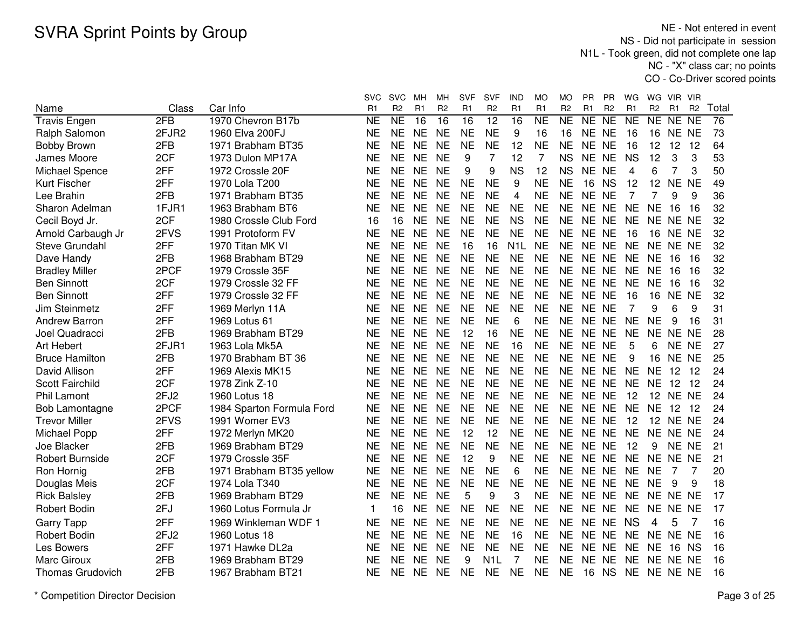NE - Not entered in event NS - Did not participate in session N1L - Took green, did not complete one lap NC - "X" class car; no pointsCO - Co-Driver scored points

|                         |       |                           | svc                 | <b>SVC</b>     | мн             | MН              | <b>SVF</b>      | <b>SVF</b>      | IND              | МO                  | MО             | PR        | PR             | WG        | WG             | VIR.            | <b>VIR</b>     |       |
|-------------------------|-------|---------------------------|---------------------|----------------|----------------|-----------------|-----------------|-----------------|------------------|---------------------|----------------|-----------|----------------|-----------|----------------|-----------------|----------------|-------|
| Name                    | Class | Car Info                  | R1                  | R <sub>2</sub> | R <sub>1</sub> | R <sub>2</sub>  | R <sub>1</sub>  | R <sub>2</sub>  | R <sub>1</sub>   | R <sub>1</sub>      | R <sub>2</sub> | R1        | R <sub>2</sub> | R1        | R <sub>2</sub> | R1              | R <sub>2</sub> | Total |
| <b>Travis Engen</b>     | 2FB   | 1970 Chevron B17b         | $\overline{\sf NE}$ | NE             | 16             | $\overline{16}$ | $\overline{16}$ | $\overline{12}$ | $\overline{16}$  | $\overline{\sf NE}$ | NE             | NE        | NE             | NE        |                | NE NE NE        |                | 76    |
| Ralph Salomon           | 2FJR2 | 1960 Elva 200FJ           | <b>NE</b>           | <b>NE</b>      | <b>NE</b>      | <b>NE</b>       | <b>NE</b>       | <b>NE</b>       | 9                | 16                  | 16             | NE NE     |                | 16        | 16             | NE NE           |                | 73    |
| <b>Bobby Brown</b>      | 2FB   | 1971 Brabham BT35         | <b>NE</b>           | <b>NE</b>      | <b>NE</b>      | <b>NE</b>       | <b>NE</b>       | <b>NE</b>       | 12               | <b>NE</b>           | <b>NE</b>      | NE NE     |                | 16        | 12             | 12              | 12             | 64    |
| James Moore             | 2CF   | 1973 Dulon MP17A          | <b>NE</b>           | <b>NE</b>      | <b>NE</b>      | <b>NE</b>       | 9               | 7               | 12               | 7                   | <b>NS</b>      | NE NE     |                | <b>NS</b> | 12             | 3               | 3              | 53    |
| Michael Spence          | 2FF   | 1972 Crossle 20F          | <b>NE</b>           | <b>NE</b>      | <b>NE</b>      | <b>NE</b>       | 9               | 9               | <b>NS</b>        | 12                  | <b>NS</b>      | NE NE     |                | 4         | 6              | 7               | 3              | 50    |
| Kurt Fischer            | 2FF   | 1970 Lola T200            | <b>NE</b>           | <b>NE</b>      | <b>NE</b>      | <b>NE</b>       | <b>NE</b>       | <b>NE</b>       | 9                | <b>NE</b>           | <b>NE</b>      | 16        | <b>NS</b>      | 12        | 12             | <b>NE</b>       | <b>NE</b>      | 49    |
| Lee Brahin              | 2FB   | 1971 Brabham BT35         | NE                  | <b>NE</b>      | <b>NE</b>      | <b>NE</b>       | <b>NE</b>       | <b>NE</b>       | 4                | <b>NE</b>           | <b>NE</b>      | NE NE     |                | 7         | 7              | 9               | 9              | 36    |
| Sharon Adelman          | 1FJR1 | 1963 Brabham BT6          | NE                  | <b>NE</b>      | <b>NE</b>      | <b>NE</b>       | <b>NE</b>       | <b>NE</b>       | <b>NE</b>        | <b>NE</b>           | <b>NE</b>      | NE NE     |                | <b>NE</b> | NE.            | 16              | -16            | 32    |
| Cecil Boyd Jr.          | 2CF   | 1980 Crossle Club Ford    | 16                  | 16             | <b>NE</b>      | <b>NE</b>       | <b>NE</b>       | <b>NE</b>       | <b>NS</b>        | <b>NE</b>           | <b>NE</b>      | NE NE     |                | <b>NE</b> |                | NE NE NE        |                | 32    |
| Arnold Carbaugh Jr      | 2FVS  | 1991 Protoform FV         | <b>NE</b>           | <b>NE</b>      | <b>NE</b>      | <b>NE</b>       | <b>NE</b>       | <b>NE</b>       | <b>NE</b>        | <b>NE</b>           | <b>NE</b>      | NE NE     |                | 16        |                | 16 NE NE        |                | 32    |
| Steve Grundahl          | 2FF   | 1970 Titan MK VI          | <b>NE</b>           | <b>NE</b>      | <b>NE</b>      | <b>NE</b>       | 16              | 16              | N <sub>1</sub> L | <b>NE</b>           | <b>NE</b>      | NE NE     |                | <b>NE</b> | NE NE NE       |                 |                | 32    |
| Dave Handy              | 2FB   | 1968 Brabham BT29         | <b>NE</b>           | <b>NE</b>      | <b>NE</b>      | <b>NE</b>       | <b>NE</b>       | <b>NE</b>       | <b>NE</b>        | <b>NE</b>           | <b>NE</b>      | NE NE     |                | <b>NE</b> | <b>NE</b>      | 16              | -16            | 32    |
| <b>Bradley Miller</b>   | 2PCF  | 1979 Crossle 35F          | <b>NE</b>           | <b>NE</b>      | <b>NE</b>      | <b>NE</b>       | <b>NE</b>       | <b>NE</b>       | <b>NE</b>        | <b>NE</b>           | <b>NE</b>      | NE NE     |                | <b>NE</b> | <b>NE</b>      | 16              | 16             | 32    |
| <b>Ben Sinnott</b>      | 2CF   | 1979 Crossle 32 FF        | <b>NE</b>           | <b>NE</b>      | <b>NE</b>      | <b>NE</b>       | <b>NE</b>       | <b>NE</b>       | <b>NE</b>        | <b>NE</b>           | <b>NE</b>      | NE NE     |                | <b>NE</b> | <b>NE</b>      | 16              | 16             | 32    |
| <b>Ben Sinnott</b>      | 2FF   | 1979 Crossle 32 FF        | NE                  | <b>NE</b>      | <b>NE</b>      | <b>NE</b>       | <b>NE</b>       | <b>NE</b>       | <b>NE</b>        | <b>NE</b>           | <b>NE</b>      | NE NE     |                | 16        | 16             | NE.             | <b>NE</b>      | 32    |
| Jim Steinmetz           | 2FF   | 1969 Merlyn 11A           | <b>NE</b>           | <b>NE</b>      | <b>NE</b>      | <b>NE</b>       | <b>NE</b>       | <b>NE</b>       | <b>NE</b>        | <b>NE</b>           | <b>NE</b>      | NE NE     |                | 7         | 9              | 6               | 9              | 31    |
| <b>Andrew Barron</b>    | 2FF   | 1969 Lotus 61             | <b>NE</b>           | <b>NE</b>      | <b>NE</b>      | <b>NE</b>       | <b>NE</b>       | <b>NE</b>       | 6                | <b>NE</b>           | <b>NE</b>      | NE NE     |                | <b>NE</b> | <b>NE</b>      | 9               | 16             | 31    |
| Joel Quadracci          | 2FB   | 1969 Brabham BT29         | <b>NE</b>           | <b>NE</b>      | <b>NE</b>      | <b>NE</b>       | 12              | 16              | <b>NE</b>        | <b>NE</b>           | <b>NE</b>      | NE NE     |                | <b>NE</b> |                | NE NE NE        |                | 28    |
| Art Hebert              | 2FJR1 | 1963 Lola Mk5A            | <b>NE</b>           | <b>NE</b>      | <b>NE</b>      | <b>NE</b>       | <b>NE</b>       | <b>NE</b>       | 16               | <b>NE</b>           | <b>NE</b>      | NE NE     |                | 5         | 6              | NE NE           |                | 27    |
| <b>Bruce Hamilton</b>   | 2FB   | 1970 Brabham BT 36        | <b>NE</b>           | <b>NE</b>      | <b>NE</b>      | <b>NE</b>       | <b>NE</b>       | <b>NE</b>       | <b>NE</b>        | <b>NE</b>           | <b>NE</b>      | NE NE     |                | 9         | 16             | NE NE           |                | 25    |
| David Allison           | 2FF   | 1969 Alexis MK15          | <b>NE</b>           | <b>NE</b>      | <b>NE</b>      | <b>NE</b>       | <b>NE</b>       | <b>NE</b>       | <b>NE</b>        | <b>NE</b>           | <b>NE</b>      | NE NE     |                | <b>NE</b> | <b>NE</b>      | 12              | 12             | 24    |
| <b>Scott Fairchild</b>  | 2CF   | 1978 Zink Z-10            | NE                  | <b>NE</b>      | <b>NE</b>      | <b>NE</b>       | <b>NE</b>       | <b>NE</b>       | <b>NE</b>        | <b>NE</b>           | <b>NE</b>      | NE NE     |                | <b>NE</b> | <b>NE</b>      | 12              | -12            | 24    |
| Phil Lamont             | 2FJ2  | 1960 Lotus 18             | NE                  | <b>NE</b>      | <b>NE</b>      | <b>NE</b>       | <b>NE</b>       | <b>NE</b>       | <b>NE</b>        | <b>NE</b>           | <b>NE</b>      | NE NE     |                | 12        |                | <b>12 NE NE</b> |                | 24    |
| <b>Bob Lamontagne</b>   | 2PCF  | 1984 Sparton Formula Ford | <b>NE</b>           | <b>NE</b>      | <b>NE</b>      | <b>NE</b>       | <b>NE</b>       | <b>NE</b>       | <b>NE</b>        | <b>NE</b>           | <b>NE</b>      | NE NE     |                | <b>NE</b> | <b>NE</b>      | 12              | - 12           | 24    |
| <b>Trevor Miller</b>    | 2FVS  | 1991 Womer EV3            | <b>NE</b>           | <b>NE</b>      | <b>NE</b>      | <b>NE</b>       | <b>NE</b>       | <b>NE</b>       | <b>NE</b>        | <b>NE</b>           | <b>NE</b>      | NE NE     |                | 12        |                | <b>12 NE NE</b> |                | 24    |
| Michael Popp            | 2FF   | 1972 Merlyn MK20          | <b>NE</b>           | <b>NE</b>      | <b>NE</b>      | <b>NE</b>       | 12              | 12              | <b>NE</b>        | <b>NE</b>           | <b>NE</b>      | NE NE     |                | <b>NE</b> |                | NE NE NE        |                | 24    |
| Joe Blacker             | 2FB   | 1969 Brabham BT29         | <b>NE</b>           | <b>NE</b>      | <b>NE</b>      | <b>NE</b>       | <b>NE</b>       | <b>NE</b>       | <b>NE</b>        | <b>NE</b>           | <b>NE</b>      | NE NE     |                | 12        | 9              | NE NE           |                | 21    |
| <b>Robert Burnside</b>  | 2CF   | 1979 Crossle 35F          | <b>NE</b>           | <b>NE</b>      | <b>NE</b>      | <b>NE</b>       | 12              | 9               | <b>NE</b>        | <b>NE</b>           | <b>NE</b>      | NE NE     |                | <b>NE</b> | NE NE          |                 | <b>NE</b>      | 21    |
| Ron Hornig              | 2FB   | 1971 Brabham BT35 yellow  | NE                  | <b>NE</b>      | <b>NE</b>      | <b>NE</b>       | <b>NE</b>       | <b>NE</b>       | 6                | <b>NE</b>           | <b>NE</b>      | NE NE     |                | <b>NE</b> | <b>NE</b>      | 7               | 7              | 20    |
| Douglas Meis            | 2CF   | 1974 Lola T340            | <b>NE</b>           | <b>NE</b>      | <b>NE</b>      | <b>NE</b>       | <b>NE</b>       | <b>NE</b>       | <b>NE</b>        | <b>NE</b>           | <b>NE</b>      | NE NE     |                | <b>NE</b> | <b>NE</b>      | 9               | 9              | 18    |
| <b>Rick Balsley</b>     | 2FB   | 1969 Brabham BT29         | <b>NE</b>           | <b>NE</b>      | <b>NE</b>      | <b>NE</b>       | 5               | 9               | 3                | <b>NE</b>           | <b>NE</b>      | NE NE     |                | <b>NE</b> | NE NE NE       |                 |                | 17    |
| <b>Robert Bodin</b>     | 2FJ   | 1960 Lotus Formula Jr     | 1                   | 16             | <b>NE</b>      | <b>NE</b>       | <b>NE</b>       | <b>NE</b>       | <b>NE</b>        | <b>NE</b>           | <b>NE</b>      | NE NE     |                | <b>NE</b> |                | NE NE NE        |                | 17    |
| <b>Garry Tapp</b>       | 2FF   | 1969 Winkleman WDF 1      | <b>NE</b>           | <b>NE</b>      | <b>NE</b>      | <b>NE</b>       | <b>NE</b>       | <b>NE</b>       | <b>NE</b>        | <b>NE</b>           | <b>NE</b>      | NE NE     |                | <b>NS</b> | 4              | 5               |                | 16    |
| Robert Bodin            | 2FJ2  | 1960 Lotus 18             | <b>NE</b>           | <b>NE</b>      | <b>NE</b>      | <b>NE</b>       | <b>NE</b>       | <b>NE</b>       | 16               | <b>NE</b>           | <b>NE</b>      | NE NE     |                | <b>NE</b> | NE NE NE       |                 |                | 16    |
| Les Bowers              | 2FF   | 1971 Hawke DL2a           | <b>NE</b>           | <b>NE</b>      | <b>NE</b>      | <b>NE</b>       | <b>NE</b>       | <b>NE</b>       | <b>NE</b>        | <b>NE</b>           | <b>NE</b>      | <b>NE</b> | <b>NE</b>      | <b>NE</b> | <b>NE</b>      | 16 NS           |                | 16    |
| Marc Giroux             | 2FB   | 1969 Brabham BT29         | <b>NE</b>           | <b>NE</b>      | <b>NE</b>      | <b>NE</b>       | 9               | N1L             | 7                | <b>NE</b>           | <b>NE</b>      | <b>NE</b> | <b>NE</b>      | <b>NE</b> |                | NE NE NE        |                | 16    |
| <b>Thomas Grudovich</b> | 2FB   | 1967 Brabham BT21         | <b>NE</b>           | <b>NE</b>      | <b>NE</b>      | <b>NE</b>       | <b>NE</b>       | <b>NE</b>       | <b>NE</b>        | <b>NE</b>           | <b>NE</b>      | 16        | <b>NS</b>      | <b>NE</b> | NE NE NE       |                 |                | 16    |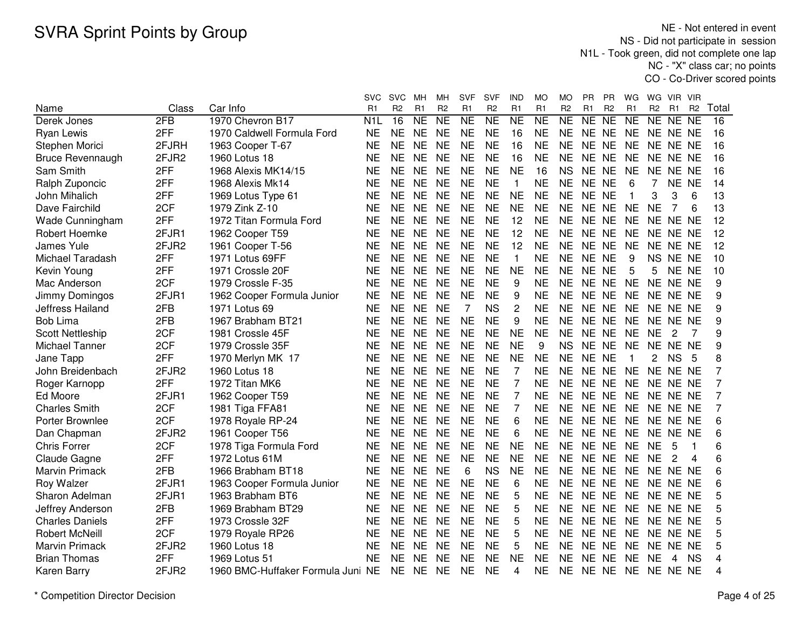NE - Not entered in event NS - Did not participate in session N1L - Took green, did not complete one lap NC - "X" class car; no pointsCO - Co-Driver scored points

|                         |       |                                   | svc            | <b>SVC</b>     | мн                  | MН             | <b>SVF</b>          | SVF            | IND                 | МO              | MO             | <b>PR</b>      | PR             | WG             | WG             | VIR.            | <b>VIR</b>      |       |
|-------------------------|-------|-----------------------------------|----------------|----------------|---------------------|----------------|---------------------|----------------|---------------------|-----------------|----------------|----------------|----------------|----------------|----------------|-----------------|-----------------|-------|
| Name                    | Class | Car Info                          | R <sub>1</sub> | R <sub>2</sub> | R1                  | R <sub>2</sub> | R <sub>1</sub>      | R <sub>2</sub> | R <sub>1</sub>      | R <sub>1</sub>  | R <sub>2</sub> | R <sub>1</sub> | R <sub>2</sub> | R <sub>1</sub> | R <sub>2</sub> | R1              | R <sub>2</sub>  | Total |
| Derek Jones             | 2FB   | 1970 Chevron B17                  | N <sub>1</sub> | 16             | $\overline{\sf NE}$ | NE             | $\overline{\sf NE}$ | NE             | $\overline{\sf NE}$ | $\overline{NE}$ | NE             | NE             | NE             | <b>NE</b>      | NE             | $\overline{NE}$ | $\overline{NE}$ | 16    |
| Ryan Lewis              | 2FF   | 1970 Caldwell Formula Ford        | <b>NE</b>      | <b>NE</b>      | <b>NE</b>           | <b>NE</b>      | <b>NE</b>           | <b>NE</b>      | 16                  | <b>NE</b>       | <b>NE</b>      | NE NE          |                | <b>NE</b>      | NE NE NE       |                 |                 | 16    |
| Stephen Morici          | 2FJRH | 1963 Cooper T-67                  | <b>NE</b>      | <b>NE</b>      | <b>NE</b>           | <b>NE</b>      | <b>NE</b>           | <b>NE</b>      | 16                  | <b>NE</b>       | <b>NE</b>      | NE NE          |                | <b>NE</b>      | NE NE NE       |                 |                 | 16    |
| <b>Bruce Revennaugh</b> | 2FJR2 | 1960 Lotus 18                     | <b>NE</b>      | <b>NE</b>      | <b>NE</b>           | <b>NE</b>      | <b>NE</b>           | <b>NE</b>      | 16                  | <b>NE</b>       | <b>NE</b>      | NE NE          |                | <b>NE</b>      | NE NE NE       |                 |                 | 16    |
| Sam Smith               | 2FF   | 1968 Alexis MK14/15               | <b>NE</b>      | <b>NE</b>      | <b>NE</b>           | <b>NE</b>      | <b>NE</b>           | <b>NE</b>      | <b>NE</b>           | 16              | <b>NS</b>      | NE NE          |                | <b>NE</b>      | <b>NE</b>      | NE NE           |                 | 16    |
| Ralph Zuponcic          | 2FF   | 1968 Alexis Mk14                  | <b>NE</b>      | <b>NE</b>      | <b>NE</b>           | <b>NE</b>      | <b>NE</b>           | <b>NE</b>      | $\mathbf{1}$        | <b>NE</b>       | <b>NE</b>      | NE NE          |                | 6              | $\overline{7}$ | NE NE           |                 | 14    |
| John Mihalich           | 2FF   | 1969 Lotus Type 61                | <b>NE</b>      | <b>NE</b>      | <b>NE</b>           | <b>NE</b>      | <b>NE</b>           | <b>NE</b>      | <b>NE</b>           | <b>NE</b>       | <b>NE</b>      | NE NE          |                | -1             | 3              | 3               | 6               | 13    |
| Dave Fairchild          | 2CF   | 1979 Zink Z-10                    | <b>NE</b>      | <b>NE</b>      | <b>NE</b>           | <b>NE</b>      | <b>NE</b>           | <b>NE</b>      | <b>NE</b>           | <b>NE</b>       | <b>NE</b>      | NE NE          |                | NE             | <b>NE</b>      | 7               | 6               | 13    |
| Wade Cunningham         | 2FF   | 1972 Titan Formula Ford           | <b>NE</b>      | <b>NE</b>      | <b>NE</b>           | <b>NE</b>      | <b>NE</b>           | <b>NE</b>      | 12                  | <b>NE</b>       | <b>NE</b>      | NE NE          |                | <b>NE</b>      | NE NE NE       |                 |                 | 12    |
| Robert Hoemke           | 2FJR1 | 1962 Cooper T59                   | <b>NE</b>      | <b>NE</b>      | <b>NE</b>           | <b>NE</b>      | <b>NE</b>           | <b>NE</b>      | 12                  | <b>NE</b>       | <b>NE</b>      | NE NE          |                | <b>NE</b>      | NE NE NE       |                 |                 | 12    |
| <b>James Yule</b>       | 2FJR2 | 1961 Cooper T-56                  | <b>NE</b>      | <b>NE</b>      | <b>NE</b>           | <b>NE</b>      | <b>NE</b>           | <b>NE</b>      | 12                  | <b>NE</b>       | <b>NE</b>      | NE NE          |                | <b>NE</b>      |                | NE NE NE        |                 | 12    |
| Michael Taradash        | 2FF   | 1971 Lotus 69FF                   | <b>NE</b>      | <b>NE</b>      | <b>NE</b>           | <b>NE</b>      | <b>NE</b>           | <b>NE</b>      | $\mathbf{1}$        | <b>NE</b>       | <b>NE</b>      | NE NE          |                | 9              | <b>NS</b>      | NE NE           |                 | 10    |
| Kevin Young             | 2FF   | 1971 Crossle 20F                  | <b>NE</b>      | <b>NE</b>      | <b>NE</b>           | <b>NE</b>      | <b>NE</b>           | <b>NE</b>      | <b>NE</b>           | <b>NE</b>       | <b>NE</b>      | NE NE          |                | 5              | 5              | NE NE           |                 | 10    |
| Mac Anderson            | 2CF   | 1979 Crossle F-35                 | <b>NE</b>      | <b>NE</b>      | <b>NE</b>           | <b>NE</b>      | <b>NE</b>           | <b>NE</b>      | 9                   | <b>NE</b>       | <b>NE</b>      | NE NE          |                | <b>NE</b>      | NE NE NE       |                 |                 | 9     |
| Jimmy Domingos          | 2FJR1 | 1962 Cooper Formula Junior        | <b>NE</b>      | <b>NE</b>      | <b>NE</b>           | <b>NE</b>      | <b>NE</b>           | <b>NE</b>      | 9                   | <b>NE</b>       | <b>NE</b>      | NE NE          |                | <b>NE</b>      | NE NE NE       |                 |                 | 9     |
| Jeffress Hailand        | 2FB   | 1971 Lotus 69                     | <b>NE</b>      | <b>NE</b>      | <b>NE</b>           | <b>NE</b>      | $\overline{7}$      | <b>NS</b>      | $\overline{2}$      | <b>NE</b>       | <b>NE</b>      | NE NE          |                | <b>NE</b>      | NE NE NE       |                 |                 | 9     |
| <b>Bob Lima</b>         | 2FB   | 1967 Brabham BT21                 | <b>NE</b>      | <b>NE</b>      | <b>NE</b>           | <b>NE</b>      | <b>NE</b>           | <b>NE</b>      | 9                   | <b>NE</b>       | <b>NE</b>      | NE NE          |                | <b>NE</b>      | NE NE NE       |                 |                 | 9     |
| <b>Scott Nettleship</b> | 2CF   | 1981 Crossle 45F                  | <b>NE</b>      | <b>NE</b>      | <b>NE</b>           | <b>NE</b>      | <b>NE</b>           | <b>NE</b>      | <b>NE</b>           | <b>NE</b>       | <b>NE</b>      | NE NE          |                | <b>NE</b>      | <b>NE</b>      | 2               | 7               | 9     |
| Michael Tanner          | 2CF   | 1979 Crossle 35F                  | <b>NE</b>      | <b>NE</b>      | <b>NE</b>           | <b>NE</b>      | <b>NE</b>           | <b>NE</b>      | <b>NE</b>           | 9               | <b>NS</b>      | NE NE          |                | <b>NE</b>      | NE NE NE       |                 |                 | 9     |
| Jane Tapp               | 2FF   | 1970 Merlyn MK 17                 | <b>NE</b>      | <b>NE</b>      | <b>NE</b>           | <b>NE</b>      | <b>NE</b>           | <b>NE</b>      | <b>NE</b>           | <b>NE</b>       | <b>NE</b>      | <b>NE</b>      | <b>NE</b>      | $\overline{1}$ | 2              | <b>NS</b>       | 5               | 8     |
| John Breidenbach        | 2FJR2 | 1960 Lotus 18                     | <b>NE</b>      | <b>NE</b>      | <b>NE</b>           | <b>NE</b>      | <b>NE</b>           | <b>NE</b>      | $\overline{7}$      | <b>NE</b>       | <b>NE</b>      | NE NE          |                | <b>NE</b>      | NE NE NE       |                 |                 | 7     |
| Roger Karnopp           | 2FF   | 1972 Titan MK6                    | <b>NE</b>      | <b>NE</b>      | <b>NE</b>           | <b>NE</b>      | <b>NE</b>           | <b>NE</b>      | 7                   | <b>NE</b>       | <b>NE</b>      | NE NE          |                | <b>NE</b>      | NE NE NE       |                 |                 | 7     |
| Ed Moore                | 2FJR1 | 1962 Cooper T59                   | NE             | <b>NE</b>      | <b>NE</b>           | <b>NE</b>      | <b>NE</b>           | <b>NE</b>      | $\overline{7}$      | <b>NE</b>       | <b>NE</b>      | NE NE          |                | <b>NE</b>      | NE NE NE       |                 |                 | 7     |
| <b>Charles Smith</b>    | 2CF   | 1981 Tiga FFA81                   | <b>NE</b>      | <b>NE</b>      | <b>NE</b>           | <b>NE</b>      | <b>NE</b>           | <b>NE</b>      | $\overline{7}$      | <b>NE</b>       | <b>NE</b>      | NE NE          |                | <b>NE</b>      | NE NE NE       |                 |                 | 7     |
| Porter Brownlee         | 2CF   | 1978 Royale RP-24                 | <b>NE</b>      | <b>NE</b>      | <b>NE</b>           | <b>NE</b>      | <b>NE</b>           | <b>NE</b>      | 6                   | <b>NE</b>       | <b>NE</b>      | NE NE          |                | <b>NE</b>      | NE NE NE       |                 |                 | 6     |
| Dan Chapman             | 2FJR2 | 1961 Cooper T56                   | <b>NE</b>      | <b>NE</b>      | <b>NE</b>           | <b>NE</b>      | <b>NE</b>           | <b>NE</b>      | 6                   | <b>NE</b>       | <b>NE</b>      | NE NE          |                | <b>NE</b>      | NE.            | NE NE           |                 | 6     |
| <b>Chris Forrer</b>     | 2CF   | 1978 Tiga Formula Ford            | <b>NE</b>      | <b>NE</b>      | <b>NE</b>           | <b>NE</b>      | <b>NE</b>           | <b>NE</b>      | <b>NE</b>           | <b>NE</b>       | <b>NE</b>      | <b>NE</b>      | <b>NE</b>      | <b>NE</b>      | <b>NE</b>      | 5               |                 | 6     |
| Claude Gagne            | 2FF   | 1972 Lotus 61M                    | <b>NE</b>      | <b>NE</b>      | <b>NE</b>           | <b>NE</b>      | <b>NE</b>           | <b>NE</b>      | <b>NE</b>           | <b>NE</b>       | <b>NE</b>      | <b>NE</b>      | <b>NE</b>      | <b>NE</b>      | <b>NE</b>      | 2               | 4               | 6     |
| Marvin Primack          | 2FB   | 1966 Brabham BT18                 | <b>NE</b>      | <b>NE</b>      | <b>NE</b>           | <b>NE</b>      | 6                   | <b>NS</b>      | <b>NE</b>           | <b>NE</b>       | <b>NE</b>      | NE NE          |                | <b>NE</b>      | NE NE NE       |                 |                 | 6     |
| Roy Walzer              | 2FJR1 | 1963 Cooper Formula Junior        | <b>NE</b>      | <b>NE</b>      | <b>NE</b>           | <b>NE</b>      | <b>NE</b>           | <b>NE</b>      | 6                   | <b>NE</b>       | <b>NE</b>      | NE NE          |                | <b>NE</b>      | NE NE NE       |                 |                 | 6     |
| Sharon Adelman          | 2FJR1 | 1963 Brabham BT6                  | <b>NE</b>      | <b>NE</b>      | <b>NE</b>           | <b>NE</b>      | <b>NE</b>           | <b>NE</b>      | 5                   | <b>NE</b>       | <b>NE</b>      | NE NE          |                | <b>NE</b>      | NE NE NE       |                 |                 | 5     |
| Jeffrey Anderson        | 2FB   | 1969 Brabham BT29                 | <b>NE</b>      | <b>NE</b>      | <b>NE</b>           | <b>NE</b>      | <b>NE</b>           | <b>NE</b>      | 5                   | <b>NE</b>       | <b>NE</b>      | NE NE          |                | <b>NE</b>      | NE NE NE       |                 |                 | 5     |
| <b>Charles Daniels</b>  | 2FF   | 1973 Crossle 32F                  | <b>NE</b>      | <b>NE</b>      | <b>NE</b>           | <b>NE</b>      | <b>NE</b>           | <b>NE</b>      | 5                   | <b>NE</b>       | <b>NE</b>      | NE NE          |                | <b>NE</b>      | NE NE NE       |                 |                 | 5     |
| <b>Robert McNeill</b>   | 2CF   | 1979 Royale RP26                  | <b>NE</b>      | <b>NE</b>      | <b>NE</b>           | <b>NE</b>      | <b>NE</b>           | <b>NE</b>      | 5                   | <b>NE</b>       | <b>NE</b>      | NE NE          |                | <b>NE</b>      | NE NE NE       |                 |                 | 5     |
| <b>Marvin Primack</b>   | 2FJR2 | 1960 Lotus 18                     | <b>NE</b>      | <b>NE</b>      | <b>NE</b>           | <b>NE</b>      | <b>NE</b>           | <b>NE</b>      | 5                   | <b>NE</b>       | <b>NE</b>      | NE NE          |                | <b>NE</b>      | NE NE NE       |                 |                 | 5     |
| <b>Brian Thomas</b>     | 2FF   | 1969 Lotus 51                     | <b>NE</b>      | <b>NE</b>      | <b>NE</b>           | <b>NE</b>      | <b>NE</b>           | <b>NE</b>      | <b>NE</b>           | <b>NE</b>       | <b>NE</b>      | NE NE          |                | <b>NE</b>      | <b>NE</b>      | 4               | <b>NS</b>       | 4     |
| <b>Karen Barry</b>      | 2FJR2 | 1960 BMC-Huffaker Formula Juni NE |                | <b>NE</b>      | <b>NE</b>           | <b>NE</b>      | <b>NE</b>           | <b>NE</b>      | 4                   | ΝE              | <b>NE</b>      | NE NE          |                | <b>NE</b>      | NE NE NE       |                 |                 | 4     |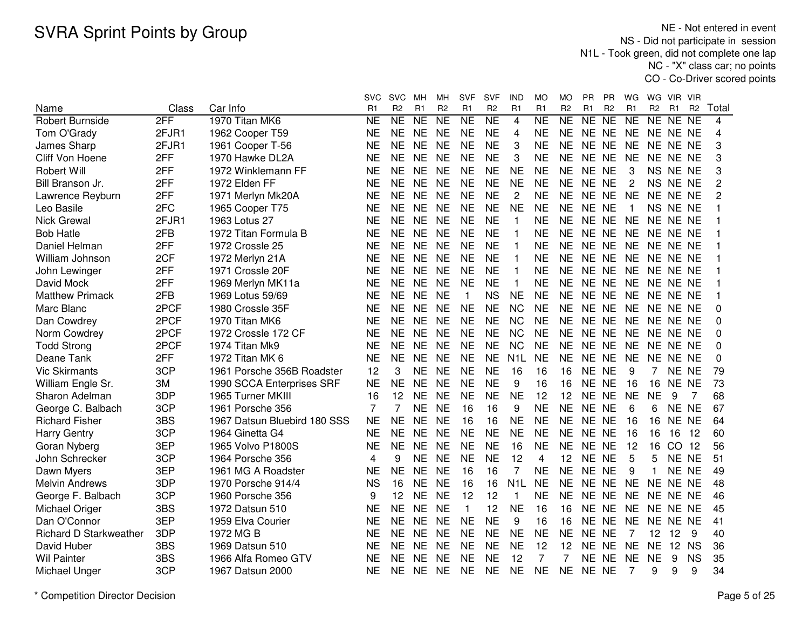NE - Not entered in event NS - Did not participate in session N1L - Took green, did not complete one lap NC - "X" class car; no pointsCO - Co-Driver scored points

|                               |       |                              | svc                 | <b>SVC</b>             | MН             | MН             | <b>SVF</b>     | SVF            | IND              | МO                  | МO             | PR.       | РR             | WG             | WG.            | VIR.            | -VIR           |          |
|-------------------------------|-------|------------------------------|---------------------|------------------------|----------------|----------------|----------------|----------------|------------------|---------------------|----------------|-----------|----------------|----------------|----------------|-----------------|----------------|----------|
| Name                          | Class | Car Info                     | R1                  | R <sub>2</sub>         | R <sub>1</sub> | R <sub>2</sub> | R <sub>1</sub> | R <sub>2</sub> | R <sub>1</sub>   | R1                  | R <sub>2</sub> | R1        | R <sub>2</sub> | R <sub>1</sub> | R <sub>2</sub> | R <sub>1</sub>  | R <sub>2</sub> | Total    |
| <b>Robert Burnside</b>        | 2FF   | 1970 Titan MK6               | $\overline{\sf NE}$ | $\overline{\text{NE}}$ | N <sub>E</sub> | NE             | NE             | NE             | $\overline{4}$   | $\overline{\sf NE}$ | NE             | NE        | N <sub>E</sub> | <b>NE</b>      | NE NE NE       |                 |                | 4        |
| Tom O'Grady                   | 2FJR1 | 1962 Cooper T59              | <b>NE</b>           | <b>NE</b>              | <b>NE</b>      | <b>NE</b>      | <b>NE</b>      | <b>NE</b>      | 4                | <b>NE</b>           | <b>NE</b>      | NE NE     |                | <b>NE</b>      | NE NE NE       |                 |                | 4        |
| James Sharp                   | 2FJR1 | 1961 Cooper T-56             | <b>NE</b>           | <b>NE</b>              | <b>NE</b>      | <b>NE</b>      | <b>NE</b>      | <b>NE</b>      | 3                | <b>NE</b>           | <b>NE</b>      | NE NE     |                | <b>NE</b>      | NE NE NE       |                 |                | 3        |
| Cliff Von Hoene               | 2FF   | 1970 Hawke DL2A              | <b>NE</b>           | <b>NE</b>              | <b>NE</b>      | <b>NE</b>      | <b>NE</b>      | <b>NE</b>      | 3                | <b>NE</b>           | <b>NE</b>      | NE NE     |                | <b>NE</b>      | NE NE NE       |                 |                | 3        |
| <b>Robert Will</b>            | 2FF   | 1972 Winklemann FF           | <b>NE</b>           | <b>NE</b>              | <b>NE</b>      | <b>NE</b>      | <b>NE</b>      | <b>NE</b>      | <b>NE</b>        | <b>NE</b>           | <b>NE</b>      | NE NE     |                | 3              | NS NE NE       |                 |                | 3        |
| Bill Branson Jr.              | 2FF   | 1972 Elden FF                | <b>NE</b>           | <b>NE</b>              | <b>NE</b>      | <b>NE</b>      | <b>NE</b>      | <b>NE</b>      | <b>NE</b>        | <b>NE</b>           | <b>NE</b>      | NE NE     |                | 2              | NS NE NE       |                 |                | 2        |
| Lawrence Reyburn              | 2FF   | 1971 Merlyn Mk20A            | <b>NE</b>           | <b>NE</b>              | <b>NE</b>      | <b>NE</b>      | <b>NE</b>      | <b>NE</b>      | 2                | <b>NE</b>           | <b>NE</b>      | NE NE     |                | <b>NE</b>      | NE NE NE       |                 |                | 2        |
| Leo Basile                    | 2FC   | 1965 Cooper T75              | <b>NE</b>           | <b>NE</b>              | <b>NE</b>      | <b>NE</b>      | <b>NE</b>      | <b>NE</b>      | <b>NE</b>        | <b>NE</b>           | <b>NE</b>      | NE NE     |                | $\overline{1}$ |                | NS NE NE        |                |          |
| <b>Nick Grewal</b>            | 2FJR1 | 1963 Lotus 27                | NE                  | <b>NE</b>              | <b>NE</b>      | <b>NE</b>      | <b>NE</b>      | <b>NE</b>      | 1                | <b>NE</b>           | <b>NE</b>      | NE NE     |                | NE             | NE NE NE       |                 |                |          |
| <b>Bob Hatle</b>              | 2FB   | 1972 Titan Formula B         | NE                  | NE                     | <b>NE</b>      | <b>NE</b>      | <b>NE</b>      | <b>NE</b>      | 1                | <b>NE</b>           | <b>NE</b>      | NE NE     |                | NE             | NE NE NE       |                 |                |          |
| Daniel Helman                 | 2FF   | 1972 Crossle 25              | <b>NE</b>           | <b>NE</b>              | <b>NE</b>      | <b>NE</b>      | <b>NE</b>      | <b>NE</b>      | $\mathbf{1}$     | <b>NE</b>           | <b>NE</b>      | NE NE     |                | <b>NE</b>      | NE NE NE       |                 |                |          |
| William Johnson               | 2CF   | 1972 Merlyn 21A              | <b>NE</b>           | <b>NE</b>              | <b>NE</b>      | <b>NE</b>      | <b>NE</b>      | <b>NE</b>      | $\mathbf{1}$     | <b>NE</b>           | <b>NE</b>      | NE NE     |                | <b>NE</b>      | NE NE NE       |                 |                |          |
| John Lewinger                 | 2FF   | 1971 Crossle 20F             | <b>NE</b>           | <b>NE</b>              | <b>NE</b>      | <b>NE</b>      | <b>NE</b>      | <b>NE</b>      | 1                | <b>NE</b>           | <b>NE</b>      | NE NE     |                | <b>NE</b>      | NE NE NE       |                 |                |          |
| David Mock                    | 2FF   | 1969 Merlyn MK11a            | <b>NE</b>           | <b>NE</b>              | <b>NE</b>      | <b>NE</b>      | <b>NE</b>      | <b>NE</b>      | $\mathbf{1}$     | <b>NE</b>           | <b>NE</b>      | NE NE     |                | <b>NE</b>      | NE NE NE       |                 |                |          |
| <b>Matthew Primack</b>        | 2FB   | 1969 Lotus 59/69             | <b>NE</b>           | <b>NE</b>              | <b>NE</b>      | <b>NE</b>      | $\mathbf{1}$   | <b>NS</b>      | <b>NE</b>        | <b>NE</b>           | <b>NE</b>      | NE NE     |                | <b>NE</b>      | NE NE NE       |                 |                |          |
| Marc Blanc                    | 2PCF  | 1980 Crossle 35F             | <b>NE</b>           | <b>NE</b>              | <b>NE</b>      | <b>NE</b>      | <b>NE</b>      | <b>NE</b>      | <b>NC</b>        | <b>NE</b>           | <b>NE</b>      | NE NE     |                | <b>NE</b>      | NE NE NE       |                 |                | 0        |
| Dan Cowdrey                   | 2PCF  | 1970 Titan MK6               | <b>NE</b>           | <b>NE</b>              | <b>NE</b>      | <b>NE</b>      | <b>NE</b>      | <b>NE</b>      | <b>NC</b>        | <b>NE</b>           | <b>NE</b>      | NE NE     |                | <b>NE</b>      | NE NE NE       |                 |                | $\Omega$ |
| Norm Cowdrey                  | 2PCF  | 1972 Crossle 172 CF          | <b>NE</b>           | <b>NE</b>              | <b>NE</b>      | <b>NE</b>      | <b>NE</b>      | <b>NE</b>      | <b>NC</b>        | <b>NE</b>           | <b>NE</b>      | NE NE     |                | <b>NE</b>      | NE NE NE       |                 |                | $\Omega$ |
| <b>Todd Strong</b>            | 2PCF  | 1974 Titan Mk9               | <b>NE</b>           | <b>NE</b>              | <b>NE</b>      | <b>NE</b>      | <b>NE</b>      | <b>NE</b>      | <b>NC</b>        | <b>NE</b>           | <b>NE</b>      | NE NE     |                | <b>NE</b>      | NE NE NE       |                 |                | 0        |
| Deane Tank                    | 2FF   | 1972 Titan MK 6              | <b>NE</b>           | <b>NE</b>              | <b>NE</b>      | <b>NE</b>      | <b>NE</b>      | <b>NE</b>      | N <sub>1</sub> L | <b>NE</b>           | <b>NE</b>      | NE NE     |                | <b>NE</b>      | NE NE NE       |                 |                | $\Omega$ |
| <b>Vic Skirmants</b>          | 3CP   | 1961 Porsche 356B Roadster   | 12                  | 3                      | <b>NE</b>      | <b>NE</b>      | <b>NE</b>      | <b>NE</b>      | 16               | 16                  | 16             | NE NE     |                | 9              | 7              | NE NE           |                | 79       |
| William Engle Sr.             | 3M    | 1990 SCCA Enterprises SRF    | <b>NE</b>           | <b>NE</b>              | <b>NE</b>      | <b>NE</b>      | <b>NE</b>      | <b>NE</b>      | 9                | 16                  | 16             | NE NE     |                | 16             | 16             | NE NE           |                | 73       |
| Sharon Adelman                | 3DP   | 1965 Turner MKIII            | 16                  | 12                     | <b>NE</b>      | <b>NE</b>      | <b>NE</b>      | <b>NE</b>      | <b>NE</b>        | 12                  | 12             | NE NE     |                | <b>NE</b>      | <b>NE</b>      | 9               | 7              | 68       |
| George C. Balbach             | 3CP   | 1961 Porsche 356             | 7                   | 7                      | <b>NE</b>      | <b>NE</b>      | 16             | 16             | 9                | <b>NE</b>           | <b>NE</b>      | NE NE     |                | 6              | 6              | NE NE           |                | 67       |
| <b>Richard Fisher</b>         | 3BS   | 1967 Datsun Bluebird 180 SSS | <b>NE</b>           | <b>NE</b>              | <b>NE</b>      | <b>NE</b>      | 16             | 16             | <b>NE</b>        | <b>NE</b>           | <b>NE</b>      | NE NE     |                | 16             | 16             | NE NE           |                | 64       |
| <b>Harry Gentry</b>           | 3CP   | 1964 Ginetta G4              | <b>NE</b>           | <b>NE</b>              | <b>NE</b>      | <b>NE</b>      | <b>NE</b>      | <b>NE</b>      | <b>NE</b>        | <b>NE</b>           | <b>NE</b>      | NE NE     |                | 16             | 16             | 16              | 12             | 60       |
| Goran Nyberg                  | 3EP   | 1965 Volvo P1800S            | <b>NE</b>           | <b>NE</b>              | <b>NE</b>      | <b>NE</b>      | <b>NE</b>      | <b>NE</b>      | 16               | <b>NE</b>           | <b>NE</b>      | NE NE     |                | 12             | 16             | CO <sub>2</sub> | 12             | 56       |
| John Schrecker                | 3CP   | 1964 Porsche 356             | 4                   | 9                      | <b>NE</b>      | <b>NE</b>      | <b>NE</b>      | <b>NE</b>      | 12               | 4                   | 12             | <b>NE</b> | <b>NE</b>      | 5              | 5              | NE NE           |                | 51       |
| Dawn Myers                    | 3EP   | 1961 MG A Roadster           | <b>NE</b>           | <b>NE</b>              | <b>NE</b>      | <b>NE</b>      | 16             | 16             | 7                | <b>NE</b>           | <b>NE</b>      | <b>NE</b> | <b>NE</b>      | 9              | 1              | NE NE           |                | 49       |
| <b>Melvin Andrews</b>         | 3DP   | 1970 Porsche 914/4           | <b>NS</b>           | 16                     | <b>NE</b>      | <b>NE</b>      | 16             | 16             | N <sub>1</sub> L | <b>NE</b>           | <b>NE</b>      | NE NE     |                | <b>NE</b>      | <b>NE</b>      | NE NE           |                | 48       |
| George F. Balbach             | 3CP   | 1960 Porsche 356             | 9                   | 12                     | <b>NE</b>      | <b>NE</b>      | 12             | 12             | 1                | <b>NE</b>           | <b>NE</b>      | NE NE     |                | <b>NE</b>      | NE NE NE       |                 |                | 46       |
| Michael Origer                | 3BS   | 1972 Datsun 510              | <b>NE</b>           | <b>NE</b>              | <b>NE</b>      | <b>NE</b>      | $\mathbf{1}$   | 12             | <b>NE</b>        | 16                  | 16             | NE NE     |                | <b>NE</b>      | NE NE NE       |                 |                | 45       |
| Dan O'Connor                  | 3EP   | 1959 Elva Courier            | <b>NE</b>           | <b>NE</b>              | <b>NE</b>      | <b>NE</b>      | <b>NE</b>      | <b>NE</b>      | 9                | 16                  | 16             | NE NE     |                | <b>NE</b>      | NE NE NE       |                 |                | 41       |
| <b>Richard D Starkweather</b> | 3DP   | 1972 MG B                    | <b>NE</b>           | <b>NE</b>              | <b>NE</b>      | <b>NE</b>      | <b>NE</b>      | <b>NE</b>      | <b>NE</b>        | <b>NE</b>           | <b>NE</b>      | NE NE     |                | 7              | 12             | 12              | 9              | 40       |
| David Huber                   | 3BS   | 1969 Datsun 510              | <b>NE</b>           | <b>NE</b>              | <b>NE</b>      | <b>NE</b>      | <b>NE</b>      | <b>NE</b>      | <b>NE</b>        | 12                  | 12             | NE NE     |                | <b>NE</b>      | <b>NE</b>      | 12              | <b>NS</b>      | 36       |
| Wil Painter                   | 3BS   | 1966 Alfa Romeo GTV          | <b>NE</b>           | <b>NE</b>              | <b>NE</b>      | <b>NE</b>      | <b>NE</b>      | <b>NE</b>      | 12               | 7                   | $\overline{7}$ | NE NE     |                | <b>NE</b>      | <b>NE</b>      | 9               | <b>NS</b>      | 35       |
| Michael Unger                 | 3CP   | 1967 Datsun 2000             | <b>NE</b>           | <b>NE</b>              | <b>NE</b>      | <b>NE</b>      | <b>NE</b>      | <b>NE</b>      | <b>NE</b>        | <b>NE</b>           | <b>NE</b>      | NE NE     |                | 7              | 9              | 9               | 9              | 34       |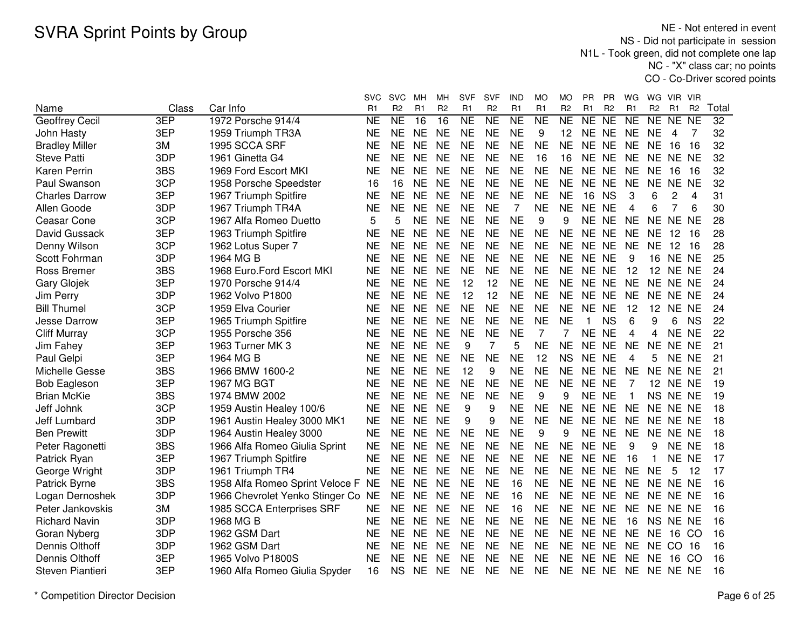NE - Not entered in event NS - Did not participate in session N1L - Took green, did not complete one lap NC - "X" class car; no pointsCO - Co-Driver scored points

|                       |       |                                    | svc                 | <b>SVC</b>     | MН             | MН              | SVF             | SVF             | IND       | МO             | МO             | PR.         | РR              | WG             | WG.             | VIR.            | <b>VIR</b>          |                 |
|-----------------------|-------|------------------------------------|---------------------|----------------|----------------|-----------------|-----------------|-----------------|-----------|----------------|----------------|-------------|-----------------|----------------|-----------------|-----------------|---------------------|-----------------|
| Name                  | Class | Car Info                           | R1                  | R <sub>2</sub> | R <sub>1</sub> | R <sub>2</sub>  | R <sub>1</sub>  | R <sub>2</sub>  | R1        | R <sub>1</sub> | R <sub>2</sub> | R1          | R <sub>2</sub>  | R <sub>1</sub> | R <sub>2</sub>  | R1              | R <sub>2</sub>      | Total           |
| Geoffrey Cecil        | 3EP   | 1972 Porsche 914/4                 | $\overline{\sf NE}$ | NE             | 16             | $\overline{16}$ | $\overline{NE}$ | $\overline{NE}$ | <b>NE</b> | N <sub>E</sub> | N <sub>E</sub> | NE          | $\overline{NE}$ | NE             | NE              | <b>NE</b>       | $\overline{\sf NE}$ | $\overline{32}$ |
| John Hasty            | 3EP   | 1959 Triumph TR3A                  | <b>NE</b>           | <b>NE</b>      | <b>NE</b>      | <b>NE</b>       | <b>NE</b>       | <b>NE</b>       | <b>NE</b> | 9              | 12             | NE NE       |                 | <b>NE</b>      | <b>NE</b>       | 4               | 7                   | 32              |
| <b>Bradley Miller</b> | 3M    | 1995 SCCA SRF                      | <b>NE</b>           | <b>NE</b>      | <b>NE</b>      | <b>NE</b>       | <b>NE</b>       | <b>NE</b>       | <b>NE</b> | <b>NE</b>      | <b>NE</b>      | NE NE       |                 | <b>NE</b>      | <b>NE</b>       | 16              | 16                  | 32              |
| <b>Steve Patti</b>    | 3DP   | 1961 Ginetta G4                    | <b>NE</b>           | <b>NE</b>      | <b>NE</b>      | <b>NE</b>       | <b>NE</b>       | <b>NE</b>       | <b>NE</b> | 16             | 16             | NE NE       |                 | <b>NE</b>      | NE NE           |                 | <b>NE</b>           | 32              |
| <b>Karen Perrin</b>   | 3BS   | 1969 Ford Escort MKI               | <b>NE</b>           | <b>NE</b>      | <b>NE</b>      | <b>NE</b>       | <b>NE</b>       | <b>NE</b>       | <b>NE</b> | <b>NE</b>      | <b>NE</b>      | NE NE       |                 | <b>NE</b>      | <b>NE</b>       | 16              | 16                  | 32              |
| Paul Swanson          | 3CP   | 1958 Porsche Speedster             | 16                  | 16             | <b>NE</b>      | <b>NE</b>       | <b>NE</b>       | <b>NE</b>       | <b>NE</b> | <b>NE</b>      | <b>NE</b>      | NE NE       |                 | <b>NE</b>      | <b>NE</b>       | <b>NE</b>       | <b>NE</b>           | 32              |
| <b>Charles Darrow</b> | 3EP   | 1967 Triumph Spitfire              | <b>NE</b>           | <b>NE</b>      | <b>NE</b>      | <b>NE</b>       | <b>NE</b>       | <b>NE</b>       | <b>NE</b> | <b>NE</b>      | <b>NE</b>      | 16          | <b>NS</b>       | 3              | 6               | 2               | 4                   | 31              |
| Allen Goode           | 3DP   | 1967 Triumph TR4A                  | <b>NE</b>           | <b>NE</b>      | <b>NE</b>      | <b>NE</b>       | <b>NE</b>       | <b>NE</b>       | 7         | <b>NE</b>      | <b>NE</b>      | NE NE       |                 | 4              | 6               |                 | 6                   | 30              |
| Ceasar Cone           | 3CP   | 1967 Alfa Romeo Duetto             | 5                   | 5              | <b>NE</b>      | <b>NE</b>       | <b>NE</b>       | <b>NE</b>       | <b>NE</b> | 9              | 9              | NE NE       |                 | NE             | NE NE NE        |                 |                     | 28              |
| David Gussack         | 3EP   | 1963 Triumph Spitfire              | <b>NE</b>           | <b>NE</b>      | <b>NE</b>      | <b>NE</b>       | <b>NE</b>       | <b>NE</b>       | <b>NE</b> | <b>NE</b>      | <b>NE</b>      | NE NE       |                 | <b>NE</b>      | <b>NE</b>       | 12              | - 16                | 28              |
| Denny Wilson          | 3CP   | 1962 Lotus Super 7                 | <b>NE</b>           | NE             | <b>NE</b>      | <b>NE</b>       | <b>NE</b>       | <b>NE</b>       | <b>NE</b> | <b>NE</b>      | <b>NE</b>      | NE NE       |                 | <b>NE</b>      | <b>NE</b>       | 12              | - 16                | 28              |
| Scott Fohrman         | 3DP   | 1964 MG B                          | <b>NE</b>           | <b>NE</b>      | <b>NE</b>      | <b>NE</b>       | <b>NE</b>       | <b>NE</b>       | <b>NE</b> | <b>NE</b>      | <b>NE</b>      | NE NE       |                 | 9              |                 | <b>16 NE NE</b> |                     | 25              |
| Ross Bremer           | 3BS   | 1968 Euro.Ford Escort MKI          | <b>NE</b>           | <b>NE</b>      | <b>NE</b>      | <b>NE</b>       | <b>NE</b>       | <b>NE</b>       | <b>NE</b> | <b>NE</b>      | <b>NE</b>      | NE NE       |                 | 12             |                 | 12 NE           | <b>NE</b>           | 24              |
| Gary Glojek           | 3EP   | 1970 Porsche 914/4                 | <b>NE</b>           | <b>NE</b>      | <b>NE</b>      | <b>NE</b>       | 12              | 12              | <b>NE</b> | <b>NE</b>      | <b>NE</b>      | NE NE       |                 | <b>NE</b>      | <b>NE</b>       | NE NE           |                     | 24              |
| Jim Perry             | 3DP   | 1962 Volvo P1800                   | <b>NE</b>           | <b>NE</b>      | <b>NE</b>      | <b>NE</b>       | 12              | 12              | <b>NE</b> | <b>NE</b>      | <b>NE</b>      | NE NE       |                 | <b>NE</b>      | NE.             | NE NE           |                     | 24              |
| <b>Bill Thumel</b>    | 3CP   | 1959 Elva Courier                  | <b>NE</b>           | <b>NE</b>      | <b>NE</b>      | <b>NE</b>       | <b>NE</b>       | <b>NE</b>       | <b>NE</b> | <b>NE</b>      | <b>NE</b>      | NE NE       |                 | 12             | 12              | NE NE           |                     | 24              |
| Jesse Darrow          | 3EP   | 1965 Triumph Spitfire              | <b>NE</b>           | <b>NE</b>      | <b>NE</b>      | <b>NE</b>       | <b>NE</b>       | <b>NE</b>       | <b>NE</b> | <b>NE</b>      | <b>NE</b>      | $\mathbf 1$ | <b>NS</b>       | 6              | 9               | 6               | <b>NS</b>           | 22              |
| <b>Cliff Murray</b>   | 3CP   | 1955 Porsche 356                   | <b>NE</b>           | <b>NE</b>      | <b>NE</b>      | <b>NE</b>       | <b>NE</b>       | <b>NE</b>       | <b>NE</b> | 7              | 7              | NE NE       |                 | 4              | 4               | <b>NE</b>       | <b>NE</b>           | 22              |
| Jim Fahey             | 3EP   | 1963 Turner MK 3                   | <b>NE</b>           | <b>NE</b>      | <b>NE</b>      | <b>NE</b>       | 9               | 7               | 5         | <b>NE</b>      | <b>NE</b>      | NE NE       |                 | <b>NE</b>      | <b>NE</b>       | <b>NE</b>       | <b>NE</b>           | 21              |
| Paul Gelpi            | 3EP   | 1964 MG B                          | <b>NE</b>           | <b>NE</b>      | <b>NE</b>      | <b>NE</b>       | <b>NE</b>       | <b>NE</b>       | <b>NE</b> | 12             | <b>NS</b>      | NE NE       |                 | 4              | 5               | NE.             | <b>NE</b>           | 21              |
| Michelle Gesse        | 3BS   | 1966 BMW 1600-2                    | <b>NE</b>           | <b>NE</b>      | <b>NE</b>      | <b>NE</b>       | 12              | 9               | <b>NE</b> | <b>NE</b>      | <b>NE</b>      | NE NE       |                 | <b>NE</b>      | <b>NE</b>       | NE NE           |                     | 21              |
| <b>Bob Eagleson</b>   | 3EP   | 1967 MG BGT                        | <b>NE</b>           | <b>NE</b>      | <b>NE</b>      | <b>NE</b>       | <b>NE</b>       | <b>NE</b>       | <b>NE</b> | <b>NE</b>      | <b>NE</b>      | NE NE       |                 | -7             | 12 <sup>7</sup> | NE NE           |                     | 19              |
| <b>Brian McKie</b>    | 3BS   | 1974 BMW 2002                      | <b>NE</b>           | <b>NE</b>      | <b>NE</b>      | <b>NE</b>       | <b>NE</b>       | <b>NE</b>       | <b>NE</b> | 9              | 9              | NE NE       |                 | -1             |                 | NS NE NE        |                     | 19              |
| Jeff Johnk            | 3CP   | 1959 Austin Healey 100/6           | <b>NE</b>           | <b>NE</b>      | <b>NE</b>      | <b>NE</b>       | 9               | 9               | <b>NE</b> | <b>NE</b>      | <b>NE</b>      | NE NE       |                 | <b>NE</b>      | NE NE NE        |                 |                     | 18              |
| Jeff Lumbard          | 3DP   | 1961 Austin Healey 3000 MK1        | NE                  | <b>NE</b>      | <b>NE</b>      | <b>NE</b>       | 9               | 9               | <b>NE</b> | <b>NE</b>      | <b>NE</b>      | NE NE       |                 | <b>NE</b>      |                 | NE NE NE        |                     | 18              |
| <b>Ben Prewitt</b>    | 3DP   | 1964 Austin Healey 3000            | <b>NE</b>           | NE             | <b>NE</b>      | <b>NE</b>       | <b>NE</b>       | <b>NE</b>       | <b>NE</b> | 9              | 9              | NE NE       |                 | <b>NE</b>      |                 | NE NE NE        |                     | 18              |
| Peter Ragonetti       | 3BS   | 1966 Alfa Romeo Giulia Sprint      | <b>NE</b>           | <b>NE</b>      | <b>NE</b>      | <b>NE</b>       | <b>NE</b>       | <b>NE</b>       | <b>NE</b> | <b>NE</b>      | <b>NE</b>      | NE NE       |                 | 9              | 9               | NE NE           |                     | 18              |
| Patrick Ryan          | 3EP   | 1967 Triumph Spitfire              | <b>NE</b>           | <b>NE</b>      | <b>NE</b>      | <b>NE</b>       | <b>NE</b>       | <b>NE</b>       | <b>NE</b> | <b>NE</b>      | <b>NE</b>      | NE NE       |                 | 16             | 1               | <b>NE</b>       | <b>NE</b>           | 17              |
| George Wright         | 3DP   | 1961 Triumph TR4                   | <b>NE</b>           | <b>NE</b>      | <b>NE</b>      | <b>NE</b>       | <b>NE</b>       | <b>NE</b>       | <b>NE</b> | <b>NE</b>      | <b>NE</b>      | NE NE       |                 | <b>NE</b>      | <b>NE</b>       | 5               | 12                  | 17              |
| Patrick Byrne         | 3BS   | 1958 Alfa Romeo Sprint Veloce F    | <b>NE</b>           | <b>NE</b>      | <b>NE</b>      | <b>NE</b>       | <b>NE</b>       | <b>NE</b>       | 16        | <b>NE</b>      | <b>NE</b>      | NE NE       |                 | <b>NE</b>      | <b>NE</b>       | NE NE           |                     | 16              |
| Logan Dernoshek       | 3DP   | 1966 Chevrolet Yenko Stinger Co NE |                     | <b>NE</b>      | <b>NE</b>      | <b>NE</b>       | <b>NE</b>       | <b>NE</b>       | 16        | <b>NE</b>      | <b>NE</b>      | NE NE       |                 | <b>NE</b>      | NE NE NE        |                 |                     | 16              |
| Peter Jankovskis      | 3M    | 1985 SCCA Enterprises SRF          | <b>NE</b>           | <b>NE</b>      | <b>NE</b>      | <b>NE</b>       | <b>NE</b>       | <b>NE</b>       | 16        | <b>NE</b>      | <b>NE</b>      | NE NE       |                 | <b>NE</b>      | NE NE NE        |                 |                     | 16              |
| <b>Richard Navin</b>  | 3DP   | 1968 MG B                          | <b>NE</b>           | <b>NE</b>      | <b>NE</b>      | <b>NE</b>       | <b>NE</b>       | <b>NE</b>       | <b>NE</b> | <b>NE</b>      | <b>NE</b>      | NE NE       |                 | 16             | NS NE NE        |                 |                     | 16              |
| Goran Nyberg          | 3DP   | 1962 GSM Dart                      | <b>NE</b>           | <b>NE</b>      | <b>NE</b>      | <b>NE</b>       | <b>NE</b>       | <b>NE</b>       | <b>NE</b> | <b>NE</b>      | <b>NE</b>      | NE NE       |                 | <b>NE</b>      | <b>NE</b>       |                 | 16 CO               | 16              |
| Dennis Olthoff        | 3DP   | 1962 GSM Dart                      | <b>NE</b>           | <b>NE</b>      | <b>NE</b>      | <b>NE</b>       | <b>NE</b>       | <b>NE</b>       | <b>NE</b> | <b>NE</b>      | <b>NE</b>      | NE NE       |                 | <b>NE</b>      | NE CO           |                 | 16                  | 16              |
| Dennis Olthoff        | 3EP   | 1965 Volvo P1800S                  | <b>NE</b>           | <b>NE</b>      | <b>NE</b>      | <b>NE</b>       | <b>NE</b>       | <b>NE</b>       | <b>NE</b> | <b>NE</b>      | <b>NE</b>      | NE NE       |                 | <b>NE</b>      | <b>NE</b>       | 16              | CO                  | 16              |
| Steven Piantieri      | 3EP   | 1960 Alfa Romeo Giulia Spyder      | 16                  | <b>NS</b>      | <b>NE</b>      | <b>NE</b>       | <b>NE</b>       | <b>NE</b>       | <b>NE</b> | <b>NE</b>      | <b>NE</b>      | NE NE       |                 | <b>NE</b>      | NE NE NE        |                 |                     | 16              |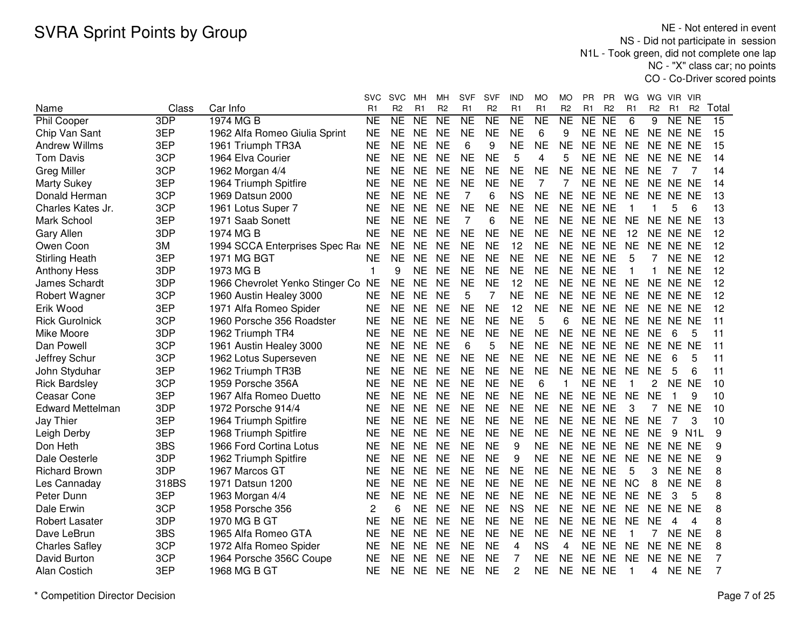NE - Not entered in event NS - Did not participate in session N1L - Took green, did not complete one lap NC - "X" class car; no pointsCO - Co-Driver scored points

|                         |       |                                    | svc            | SVC            | MН             | MН             | <b>SVF</b>     | SVF                 | IND       | МO                  | MO             | <b>PR</b>      | PR.            | WG             | WG.            | VIR.                | - VIR            |                 |
|-------------------------|-------|------------------------------------|----------------|----------------|----------------|----------------|----------------|---------------------|-----------|---------------------|----------------|----------------|----------------|----------------|----------------|---------------------|------------------|-----------------|
| Name                    | Class | Car Info                           | R <sub>1</sub> | R <sub>2</sub> | R <sub>1</sub> | R <sub>2</sub> | R <sub>1</sub> | R <sub>2</sub>      | R1        | R1                  | R <sub>2</sub> | R <sub>1</sub> | R <sub>2</sub> | R <sub>1</sub> | R <sub>2</sub> | R <sub>1</sub>      | R <sub>2</sub>   | Total           |
| <b>Phil Cooper</b>      | 3DP   | 1974 MG B                          | N <sub>E</sub> | NE             | <b>NE</b>      | NE             | N <sub>E</sub> | $\overline{\sf NE}$ | <b>NE</b> | $\overline{\sf NE}$ | <b>NE</b>      | NE             | N <sub>E</sub> | 6              | 9              | $\overline{\sf NE}$ | $\overline{NE}$  | $\overline{15}$ |
| Chip Van Sant           | 3EP   | 1962 Alfa Romeo Giulia Sprint      | <b>NE</b>      | <b>NE</b>      | <b>NE</b>      | <b>NE</b>      | <b>NE</b>      | <b>NE</b>           | <b>NE</b> | 6                   | 9              | <b>NE</b>      | <b>NE</b>      | <b>NE</b>      |                | NE NE NE            |                  | 15              |
| <b>Andrew Willms</b>    | 3EP   | 1961 Triumph TR3A                  | <b>NE</b>      | <b>NE</b>      | <b>NE</b>      | <b>NE</b>      | 6              | 9                   | <b>NE</b> | <b>NE</b>           | <b>NE</b>      | <b>NE</b>      | <b>NE</b>      | <b>NE</b>      | NE.            | NE NE               |                  | 15              |
| <b>Tom Davis</b>        | 3CP   | 1964 Elva Courier                  | <b>NE</b>      | <b>NE</b>      | <b>NE</b>      | <b>NE</b>      | <b>NE</b>      | <b>NE</b>           | 5         | 4                   | 5              | <b>NE</b>      | <b>NE</b>      | <b>NE</b>      |                | NE NE NE            |                  | 14              |
| <b>Greg Miller</b>      | 3CP   | 1962 Morgan 4/4                    | <b>NE</b>      | <b>NE</b>      | <b>NE</b>      | <b>NE</b>      | <b>NE</b>      | <b>NE</b>           | <b>NE</b> | <b>NE</b>           | <b>NE</b>      | <b>NE</b>      | <b>NE</b>      | <b>NE</b>      | <b>NE</b>      | 7                   | 7                | 14              |
| <b>Marty Sukey</b>      | 3EP   | 1964 Triumph Spitfire              | <b>NE</b>      | <b>NE</b>      | <b>NE</b>      | <b>NE</b>      | <b>NE</b>      | <b>NE</b>           | <b>NE</b> | 7                   | 7              | <b>NE</b>      | <b>NE</b>      | <b>NE</b>      |                | NE NE NE            |                  | 14              |
| Donald Herman           | 3CP   | 1969 Datsun 2000                   | <b>NE</b>      | <b>NE</b>      | <b>NE</b>      | <b>NE</b>      | 7              | 6                   | <b>NS</b> | <b>NE</b>           | <b>NE</b>      | NE NE          |                | <b>NE</b>      |                | NE NE NE            |                  | 13              |
| Charles Kates Jr.       | 3CP   | 1961 Lotus Super 7                 | <b>NE</b>      | <b>NE</b>      | <b>NE</b>      | <b>NE</b>      | <b>NE</b>      | <b>NE</b>           | <b>NE</b> | <b>NE</b>           | <b>NE</b>      | NE NE          |                | -1             |                | 5                   | 6                | 13              |
| Mark School             | 3EP   | 1971 Saab Sonett                   | <b>NE</b>      | <b>NE</b>      | <b>NE</b>      | <b>NE</b>      | 7              | 6                   | <b>NE</b> | <b>NE</b>           | <b>NE</b>      |                | NE NE          | <b>NE</b>      |                | NE NE NE            |                  | 13              |
| <b>Gary Allen</b>       | 3DP   | 1974 MG B                          | <b>NE</b>      | <b>NE</b>      | <b>NE</b>      | <b>NE</b>      | <b>NE</b>      | <b>NE</b>           | <b>NE</b> | <b>NE</b>           | <b>NE</b>      | NE NE          |                | 12             |                | NE NE NE            |                  | 12              |
| Owen Coon               | 3M    | 1994 SCCA Enterprises Spec Ra NE   |                | <b>NE</b>      | <b>NE</b>      | <b>NE</b>      | <b>NE</b>      | <b>NE</b>           | 12        | <b>NE</b>           | <b>NE</b>      | NE NE          |                | <b>NE</b>      | NE.            | NE NE               |                  | 12              |
| <b>Stirling Heath</b>   | 3EP   | 1971 MG BGT                        | <b>NE</b>      | <b>NE</b>      | <b>NE</b>      | <b>NE</b>      | <b>NE</b>      | <b>NE</b>           | <b>NE</b> | <b>NE</b>           | <b>NE</b>      | NE NE          |                | 5              | 7              |                     | NE NE            | 12              |
| <b>Anthony Hess</b>     | 3DP   | 1973 MG B                          | 1              | 9              | <b>NE</b>      | <b>NE</b>      | <b>NE</b>      | <b>NE</b>           | <b>NE</b> | <b>NE</b>           | <b>NE</b>      | <b>NE</b>      | <b>NE</b>      | 1              | 1              |                     | NE NE            | 12              |
| James Schardt           | 3DP   | 1966 Chevrolet Yenko Stinger Co NE |                | <b>NE</b>      | <b>NE</b>      | <b>NE</b>      | <b>NE</b>      | <b>NE</b>           | 12        | <b>NE</b>           | <b>NE</b>      | <b>NE</b>      | <b>NE</b>      | <b>NE</b>      | <b>NE</b>      | NE NE               |                  | 12              |
| Robert Wagner           | 3CP   | 1960 Austin Healey 3000            | <b>NE</b>      | <b>NE</b>      | <b>NE</b>      | <b>NE</b>      | 5              | 7                   | <b>NE</b> | <b>NE</b>           | <b>NE</b>      | NE NE          |                | <b>NE</b>      |                | NE NE NE            |                  | 12              |
| Erik Wood               | 3EP   | 1971 Alfa Romeo Spider             | <b>NE</b>      | <b>NE</b>      | <b>NE</b>      | <b>NE</b>      | <b>NE</b>      | <b>NE</b>           | 12        | <b>NE</b>           | <b>NE</b>      | NE NE          |                | <b>NE</b>      |                | NE NE NE            |                  | 12              |
| <b>Rick Gurolnick</b>   | 3CP   | 1960 Porsche 356 Roadster          | <b>NE</b>      | <b>NE</b>      | <b>NE</b>      | <b>NE</b>      | <b>NE</b>      | <b>NE</b>           | <b>NE</b> | 5                   | 6              | NE NE          |                | <b>NE</b>      |                | NE NE NE            |                  | 11              |
| Mike Moore              | 3DP   | 1962 Triumph TR4                   | <b>NE</b>      | <b>NE</b>      | <b>NE</b>      | <b>NE</b>      | <b>NE</b>      | <b>NE</b>           | <b>NE</b> | <b>NE</b>           | <b>NE</b>      | <b>NE</b>      | <b>NE</b>      | <b>NE</b>      | <b>NE</b>      | 6                   | 5                | 11              |
| Dan Powell              | 3CP   | 1961 Austin Healey 3000            | <b>NE</b>      | <b>NE</b>      | <b>NE</b>      | <b>NE</b>      | 6              | 5                   | <b>NE</b> | <b>NE</b>           | <b>NE</b>      | NE NE          |                | <b>NE</b>      |                | NE NE               | <b>NE</b>        | 11              |
| Jeffrey Schur           | 3CP   | 1962 Lotus Superseven              | <b>NE</b>      | <b>NE</b>      | <b>NE</b>      | <b>NE</b>      | <b>NE</b>      | <b>NE</b>           | <b>NE</b> | <b>NE</b>           | <b>NE</b>      | NE NE          |                | <b>NE</b>      | <b>NE</b>      | 6                   | 5                | 11              |
| John Styduhar           | 3EP   | 1962 Triumph TR3B                  | <b>NE</b>      | <b>NE</b>      | <b>NE</b>      | <b>NE</b>      | <b>NE</b>      | <b>NE</b>           | <b>NE</b> | <b>NE</b>           | <b>NE</b>      | NE NE          |                | <b>NE</b>      | <b>NE</b>      | 5                   | 6                | 11              |
| <b>Rick Bardsley</b>    | 3CP   | 1959 Porsche 356A                  | <b>NE</b>      | <b>NE</b>      | <b>NE</b>      | <b>NE</b>      | <b>NE</b>      | <b>NE</b>           | <b>NE</b> | 6                   | 1              | NE NE          |                | -1             | 2              | NE NE               |                  | 10              |
| Ceasar Cone             | 3EP   | 1967 Alfa Romeo Duetto             | <b>NE</b>      | <b>NE</b>      | <b>NE</b>      | <b>NE</b>      | <b>NE</b>      | <b>NE</b>           | <b>NE</b> | <b>NE</b>           | <b>NE</b>      | NE NE          |                | <b>NE</b>      | <b>NE</b>      |                     | 9                | 10              |
| <b>Edward Mettelman</b> | 3DP   | 1972 Porsche 914/4                 | <b>NE</b>      | <b>NE</b>      | <b>NE</b>      | <b>NE</b>      | <b>NE</b>      | <b>NE</b>           | <b>NE</b> | <b>NE</b>           | <b>NE</b>      | NE NE          |                | 3              | 7              | NE NE               |                  | 10              |
| Jay Thier               | 3EP   | 1964 Triumph Spitfire              | <b>NE</b>      | <b>NE</b>      | <b>NE</b>      | <b>NE</b>      | <b>NE</b>      | <b>NE</b>           | <b>NE</b> | <b>NE</b>           | <b>NE</b>      | NE NE          |                | <b>NE</b>      | <b>NE</b>      |                     | 3                | 10              |
| Leigh Derby             | 3EP   | 1968 Triumph Spitfire              | <b>NE</b>      | <b>NE</b>      | <b>NE</b>      | <b>NE</b>      | <b>NE</b>      | <b>NE</b>           | <b>NE</b> | <b>NE</b>           | <b>NE</b>      | NE NE          |                | <b>NE</b>      | <b>NE</b>      | 9                   | N <sub>1</sub> L | 9               |
| Don Heth                | 3BS   | 1966 Ford Cortina Lotus            | <b>NE</b>      | <b>NE</b>      | <b>NE</b>      | <b>NE</b>      | <b>NE</b>      | <b>NE</b>           | 9         | <b>NE</b>           | <b>NE</b>      | NE NE          |                | <b>NE</b>      | <b>NE</b>      | NE NE               |                  | 9               |
| Dale Oesterle           | 3DP   | 1962 Triumph Spitfire              | NE             | <b>NE</b>      | <b>NE</b>      | <b>NE</b>      | <b>NE</b>      | <b>NE</b>           | 9         | <b>NE</b>           | <b>NE</b>      | <b>NE</b>      | <b>NE</b>      | <b>NE</b>      | <b>NE</b>      | NE NE               |                  | 9               |
| <b>Richard Brown</b>    | 3DP   | 1967 Marcos GT                     | <b>NE</b>      | <b>NE</b>      | <b>NE</b>      | <b>NE</b>      | <b>NE</b>      | <b>NE</b>           | <b>NE</b> | <b>NE</b>           | <b>NE</b>      | <b>NE</b>      | <b>NE</b>      | 5              | 3              | <b>NE</b>           | <b>NE</b>        | 8               |
| Les Cannaday            | 318BS | 1971 Datsun 1200                   | <b>NE</b>      | <b>NE</b>      | <b>NE</b>      | <b>NE</b>      | <b>NE</b>      | <b>NE</b>           | <b>NE</b> | <b>NE</b>           | <b>NE</b>      | <b>NE</b>      | <b>NE</b>      | <b>NC</b>      | 8              | NE NE               |                  | 8               |
| Peter Dunn              | 3EP   | 1963 Morgan 4/4                    | <b>NE</b>      | <b>NE</b>      | <b>NE</b>      | <b>NE</b>      | <b>NE</b>      | <b>NE</b>           | <b>NE</b> | <b>NE</b>           | <b>NE</b>      | NE NE          |                | <b>NE</b>      | <b>NE</b>      | 3                   | 5                | 8               |
| Dale Erwin              | 3CP   | 1958 Porsche 356                   | $\overline{2}$ | 6              | <b>NE</b>      | <b>NE</b>      | <b>NE</b>      | <b>NE</b>           | <b>NS</b> | <b>NE</b>           | <b>NE</b>      | NE NE          |                | NE.            | <b>NE</b>      | NE.                 | <b>NE</b>        | 8               |
| <b>Robert Lasater</b>   | 3DP   | 1970 MG B GT                       | <b>NE</b>      | <b>NE</b>      | <b>NE</b>      | <b>NE</b>      | <b>NE</b>      | <b>NE</b>           | <b>NE</b> | <b>NE</b>           | <b>NE</b>      | NE NE          |                | <b>NE</b>      | <b>NE</b>      | 4                   | 4                | 8               |
| Dave LeBrun             | 3BS   | 1965 Alfa Romeo GTA                | <b>NE</b>      | <b>NE</b>      | <b>NE</b>      | <b>NE</b>      | <b>NE</b>      | <b>NE</b>           | <b>NE</b> | <b>NE</b>           | <b>NE</b>      | <b>NE</b>      | <b>NE</b>      | $\mathbf 1$    | 7              | NE NE               |                  | 8               |
| <b>Charles Safley</b>   | 3CP   | 1972 Alfa Romeo Spider             | <b>NE</b>      | <b>NE</b>      | <b>NE</b>      | <b>NE</b>      | <b>NE</b>      | <b>NE</b>           | 4         | <b>NS</b>           | 4              | NE NE          |                | <b>NE</b>      | <b>NE</b>      | <b>NE</b>           | <b>NE</b>        | 8               |
| David Burton            | 3CP   | 1964 Porsche 356C Coupe            | <b>NE</b>      | <b>NE</b>      | <b>NE</b>      | <b>NE</b>      | <b>NE</b>      | <b>NE</b>           | 7         | <b>NE</b>           | <b>NE</b>      | <b>NE</b>      | <b>NE</b>      | <b>NE</b>      | <b>NE</b>      | NE NE               |                  | 7               |
| Alan Costich            | 3EP   | 1968 MG B GT                       | <b>NE</b>      | <b>NE</b>      | <b>NE</b>      | <b>NE</b>      | <b>NE</b>      | <b>NE</b>           | 2         | <b>NE</b>           | <b>NE</b>      | NE NE          |                | -1             | 4              | NE NE               |                  | 7               |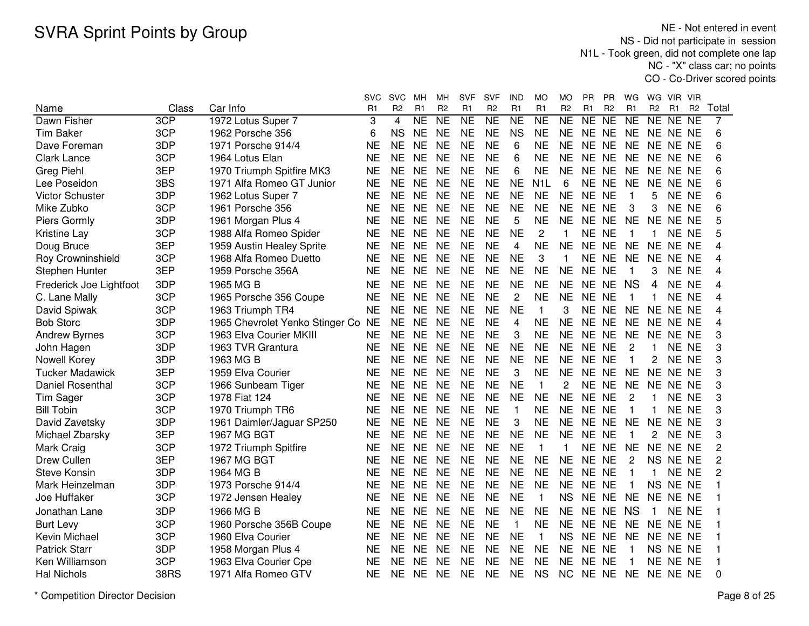NE - Not entered in event NS - Did not participate in session N1L - Took green, did not complete one lap NC - "X" class car; no pointsCO - Co-Driver scored points

|                         |             |                                    | <b>SVC</b>     | <b>SVC</b>     | MН                  | MН             | SVF             | <b>SVF</b>          | IND                 | <b>MO</b>           | МO             | <b>PR</b> | РR             | WG              | WG          | VIR            | - VIR     |                |
|-------------------------|-------------|------------------------------------|----------------|----------------|---------------------|----------------|-----------------|---------------------|---------------------|---------------------|----------------|-----------|----------------|-----------------|-------------|----------------|-----------|----------------|
| Name                    | Class       | Car Info                           | R <sub>1</sub> | R <sub>2</sub> | R1                  | R <sub>2</sub> | R1              | R <sub>2</sub>      | R1                  | R1                  | R <sub>2</sub> | R1        | R <sub>2</sub> | R1              | <b>R2</b>   | R <sub>1</sub> | <b>R2</b> | Total          |
| Dawn Fisher             | 3CP         | 1972 Lotus Super 7                 | 3              | $\overline{4}$ | $\overline{\sf NE}$ | <b>NE</b>      | $\overline{NE}$ | $\overline{\sf NE}$ | $\overline{\sf NE}$ | $\overline{\sf NE}$ | NE             | NE        | N <sub>E</sub> | $\overline{NE}$ | NE NE NE    |                |           | 7              |
| <b>Tim Baker</b>        | 3CP         | 1962 Porsche 356                   | 6              | <b>NS</b>      | <b>NE</b>           | <b>NE</b>      | <b>NE</b>       | <b>NE</b>           | <b>NS</b>           | <b>NE</b>           | <b>NE</b>      | NE NE     |                | <b>NE</b>       | NE NE NE    |                |           | 6              |
| Dave Foreman            | 3DP         | 1971 Porsche 914/4                 | <b>NE</b>      | <b>NE</b>      | <b>NE</b>           | <b>NE</b>      | <b>NE</b>       | <b>NE</b>           | 6                   | <b>NE</b>           | <b>NE</b>      | NE NE     |                | <b>NE</b>       | NE NE NE    |                |           | 6              |
| <b>Clark Lance</b>      | 3CP         | 1964 Lotus Elan                    | <b>NE</b>      | <b>NE</b>      | <b>NE</b>           | <b>NE</b>      | <b>NE</b>       | <b>NE</b>           | 6                   | <b>NE</b>           | <b>NE</b>      | NE NE     |                | <b>NE</b>       | NE NE NE    |                |           | 6              |
| <b>Greg Piehl</b>       | 3EP         | 1970 Triumph Spitfire MK3          | <b>NE</b>      | <b>NE</b>      | <b>NE</b>           | <b>NE</b>      | <b>NE</b>       | <b>NE</b>           | 6                   | <b>NE</b>           | <b>NE</b>      | NE NE     |                | <b>NE</b>       | NE NE NE    |                |           | 6              |
| Lee Poseidon            | 3BS         | 1971 Alfa Romeo GT Junior          | NE             | <b>NE</b>      | <b>NE</b>           | <b>NE</b>      | <b>NE</b>       | <b>NE</b>           | <b>NE</b>           | N1L                 | 6              |           | NE NE          | <b>NE</b>       | NE NE NE    |                |           | 6              |
| <b>Victor Schuster</b>  | 3DP         | 1962 Lotus Super 7                 | NE             | <b>NE</b>      | <b>NE</b>           | <b>NE</b>      | <b>NE</b>       | <b>NE</b>           | <b>NE</b>           | <b>NE</b>           | <b>NE</b>      | NE NE     |                | -1              | 5.          | NE NE          |           | 6              |
| Mike Zubko              | 3CP         | 1961 Porsche 356                   | ΝE             | <b>NE</b>      | <b>NE</b>           | <b>NE</b>      | <b>NE</b>       | <b>NE</b>           | <b>NE</b>           | <b>NE</b>           | <b>NE</b>      | NE NE     |                | 3               | 3           | NE NE          |           | 6              |
| Piers Gormly            | 3DP         | 1961 Morgan Plus 4                 | <b>NE</b>      | <b>NE</b>      | <b>NE</b>           | <b>NE</b>      | <b>NE</b>       | <b>NE</b>           | 5                   | <b>NE</b>           | <b>NE</b>      | NE NE     |                | <b>NE</b>       | NE NE NE    |                |           | 5              |
| <b>Kristine Lay</b>     | 3CP         | 1988 Alfa Romeo Spider             | <b>NE</b>      | <b>NE</b>      | <b>NE</b>           | <b>NE</b>      | <b>NE</b>       | <b>NE</b>           | <b>NE</b>           | 2                   | -1             | NE NE     |                | $\mathbf 1$     | 1.          | NE NE          |           | 5              |
| Doug Bruce              | 3EP         | 1959 Austin Healey Sprite          | <b>NE</b>      | <b>NE</b>      | <b>NE</b>           | <b>NE</b>      | <b>NE</b>       | <b>NE</b>           | 4                   | <b>NE</b>           | <b>NE</b>      | <b>NE</b> | <b>NE</b>      | <b>NE</b>       | NE NE NE    |                |           | 4              |
| Roy Crowninshield       | 3CP         | 1968 Alfa Romeo Duetto             | <b>NE</b>      | <b>NE</b>      | <b>NE</b>           | <b>NE</b>      | <b>NE</b>       | <b>NE</b>           | <b>NE</b>           | 3                   | 1              | <b>NE</b> | <b>NE</b>      | <b>NE</b>       | NE NE NE    |                |           | 4              |
| Stephen Hunter          | 3EP         | 1959 Porsche 356A                  | NE             | <b>NE</b>      | <b>NE</b>           | <b>NE</b>      | <b>NE</b>       | <b>NE</b>           | <b>NE</b>           | <b>NE</b>           | <b>NE</b>      | NE NE     |                | $\mathbf{1}$    | 3           | NE NE          |           | 4              |
| Frederick Joe Lightfoot | 3DP         | 1965 MG B                          | <b>NE</b>      | <b>NE</b>      | <b>NE</b>           | <b>NE</b>      | <b>NE</b>       | <b>NE</b>           | <b>NE</b>           | <b>NE</b>           | <b>NE</b>      | NE NE     |                | <b>NS</b>       | 4           | NE NE          |           | 4              |
| C. Lane Mally           | 3CP         | 1965 Porsche 356 Coupe             | <b>NE</b>      | <b>NE</b>      | <b>NE</b>           | <b>NE</b>      | <b>NE</b>       | <b>NE</b>           | $\overline{c}$      | <b>NE</b>           | <b>NE</b>      | NE NE     |                | $\mathbf 1$     | 1           | NE NE          |           | 4              |
| David Spiwak            | 3CP         | 1963 Triumph TR4                   | <b>NE</b>      | <b>NE</b>      | <b>NE</b>           | <b>NE</b>      | <b>NE</b>       | <b>NE</b>           | <b>NE</b>           | $\mathbf{1}$        | 3              |           | NE NE          | <b>NE</b>       | NE NE NE    |                |           | 4              |
| <b>Bob Storc</b>        | 3DP         | 1965 Chevrolet Yenko Stinger Co NE |                | <b>NE</b>      | <b>NE</b>           | <b>NE</b>      | <b>NE</b>       | <b>NE</b>           | $\overline{4}$      | <b>NE</b>           | <b>NE</b>      | NE NE     |                | <b>NE</b>       | NE NE NE    |                |           | 4              |
| <b>Andrew Byrnes</b>    | 3CP         | 1963 Elva Courier MKIII            | <b>NE</b>      | <b>NE</b>      | <b>NE</b>           | <b>NE</b>      | <b>NE</b>       | <b>NE</b>           | 3                   | <b>NE</b>           | <b>NE</b>      | NE NE     |                | <b>NE</b>       | NE NE NE    |                |           | 3              |
| John Hagen              | 3DP         | 1963 TVR Grantura                  | <b>NE</b>      | <b>NE</b>      | <b>NE</b>           | <b>NE</b>      | <b>NE</b>       | <b>NE</b>           | <b>NE</b>           | <b>NE</b>           | <b>NE</b>      | NE NE     |                | $\overline{c}$  | 1           | NE NE          |           | 3              |
| Nowell Korey            | 3DP         | 1963 MG B                          | NE             | <b>NE</b>      | <b>NE</b>           | <b>NE</b>      | <b>NE</b>       | <b>NE</b>           | <b>NE</b>           | <b>NE</b>           | <b>NE</b>      | NE NE     |                | $\mathbf{1}$    | 2           | NE NE          |           | 3              |
| <b>Tucker Madawick</b>  | 3EP         | 1959 Elva Courier                  | NE             | <b>NE</b>      | <b>NE</b>           | <b>NE</b>      | NE              | <b>NE</b>           | 3                   | <b>NE</b>           | NE.            | NE NE     |                | <b>NE</b>       | NE NE NE    |                |           |                |
| Daniel Rosenthal        | 3CP         | 1966 Sunbeam Tiger                 | NE             | NE.            | <b>NE</b>           | <b>NE</b>      | <b>NE</b>       | <b>NE</b>           | <b>NE</b>           | 1                   | 2              |           | NE NE          | <b>NE</b>       | NE NE NE    |                |           | 3              |
| Tim Sager               | 3CP         | 1978 Fiat 124                      | ΝE             | <b>NE</b>      | <b>NE</b>           | <b>NE</b>      | <b>NE</b>       | <b>NE</b>           | <b>NE</b>           | <b>NE</b>           | <b>NE</b>      | NE NE     |                | $\overline{2}$  | 1           | NE NE          |           | 3              |
| <b>Bill Tobin</b>       | 3CP         | 1970 Triumph TR6                   | <b>NE</b>      | <b>NE</b>      | <b>NE</b>           | <b>NE</b>      | <b>NE</b>       | <b>NE</b>           | 1                   | <b>NE</b>           | <b>NE</b>      | NE NE     |                | $\mathbf{1}$    | 1           | NE NE          |           | 3              |
| David Zavetsky          | 3DP         | 1961 Daimler/Jaguar SP250          | <b>NE</b>      | <b>NE</b>      | <b>NE</b>           | <b>NE</b>      | <b>NE</b>       | <b>NE</b>           | 3                   | <b>NE</b>           | <b>NE</b>      | NE NE     |                | <b>NE</b>       | <b>NE</b>   | NE NE          |           | 3              |
| Michael Zbarsky         | 3EP         | 1967 MG BGT                        | <b>NE</b>      | <b>NE</b>      | <b>NE</b>           | <b>NE</b>      | <b>NE</b>       | <b>NE</b>           | <b>NE</b>           | <b>NE</b>           | <b>NE</b>      | <b>NE</b> | <b>NE</b>      | 1               | 2           | NE NE          |           | 3              |
| Mark Craig              | 3CP         | 1972 Triumph Spitfire              | <b>NE</b>      | <b>NE</b>      | <b>NE</b>           | <b>NE</b>      | <b>NE</b>       | <b>NE</b>           | <b>NE</b>           | $\mathbf{1}$        | 1              | <b>NE</b> | <b>NE</b>      | <b>NE</b>       | NE NE NE    |                |           | 2              |
| Drew Cullen             | 3EP         | 1967 MG BGT                        | <b>NE</b>      | <b>NE</b>      | <b>NE</b>           | <b>NE</b>      | <b>NE</b>       | <b>NE</b>           | <b>NE</b>           | <b>NE</b>           | <b>NE</b>      | NE NE     |                | $\overline{2}$  | NS NE NE    |                |           | $\overline{c}$ |
| <b>Steve Konsin</b>     | 3DP         | 1964 MG B                          | <b>NE</b>      | <b>NE</b>      | <b>NE</b>           | <b>NE</b>      | <b>NE</b>       | <b>NE</b>           | <b>NE</b>           | <b>NE</b>           | <b>NE</b>      | <b>NE</b> | <b>NE</b>      | $\mathbf{1}$    | 1           | NE NE          |           | $\overline{c}$ |
| Mark Heinzelman         | 3DP         | 1973 Porsche 914/4                 | <b>NE</b>      | <b>NE</b>      | <b>NE</b>           | <b>NE</b>      | <b>NE</b>       | <b>NE</b>           | <b>NE</b>           | <b>NE</b>           | <b>NE</b>      | NE NE     |                | $\mathbf{1}$    | NS NE NE    |                |           | 1              |
| Joe Huffaker            | 3CP         | 1972 Jensen Healey                 | <b>NE</b>      | <b>NE</b>      | <b>NE</b>           | <b>NE</b>      | <b>NE</b>       | <b>NE</b>           | <b>NE</b>           | 1                   | <b>NS</b>      | NE NE     |                | <b>NE</b>       | NE NE NE    |                |           |                |
| Jonathan Lane           | 3DP         | 1966 MG B                          | <b>NE</b>      | <b>NE</b>      | <b>NE</b>           | <b>NE</b>      | <b>NE</b>       | <b>NE</b>           | <b>NE</b>           | <b>NE</b>           | <b>NE</b>      | NE NE     |                | <b>NS</b>       | $\mathbf 1$ | NE NE          |           |                |
| <b>Burt Levy</b>        | 3CP         | 1960 Porsche 356B Coupe            | <b>NE</b>      | <b>NE</b>      | <b>NE</b>           | <b>NE</b>      | <b>NE</b>       | <b>NE</b>           | 1                   | <b>NE</b>           | <b>NE</b>      | NE NE     |                | <b>NE</b>       | NE NE NE    |                |           | 1              |
| Kevin Michael           | 3CP         | 1960 Elva Courier                  | <b>NE</b>      | <b>NE</b>      | <b>NE</b>           | <b>NE</b>      | <b>NE</b>       | <b>NE</b>           | <b>NE</b>           | $\mathbf{1}$        | <b>NS</b>      | NE NE     |                | <b>NE</b>       | NE NE NE    |                |           |                |
| <b>Patrick Starr</b>    | 3DP         | 1958 Morgan Plus 4                 | <b>NE</b>      | <b>NE</b>      | <b>NE</b>           | <b>NE</b>      | <b>NE</b>       | <b>NE</b>           | <b>NE</b>           | <b>NE</b>           | <b>NE</b>      | NE NE     |                | -1              | NS NE NE    |                |           |                |
| Ken Williamson          | 3CP         | 1963 Elva Courier Cpe              | ΝE             | <b>NE</b>      | <b>NE</b>           | <b>NE</b>      | <b>NE</b>       | <b>NE</b>           | <b>NE</b>           | <b>NE</b>           | <b>NE</b>      | <b>NE</b> | <b>NE</b>      |                 | NE NE NE    |                |           |                |
| <b>Hal Nichols</b>      | <b>38RS</b> | 1971 Alfa Romeo GTV                | ΝE             | <b>NE</b>      | <b>NE</b>           | <b>NE</b>      | <b>NE</b>       | <b>NE</b>           | <b>NE</b>           | <b>NS</b>           | <b>NC</b>      | NE NE     |                | <b>NE</b>       | NE NE NE    |                |           | $\Omega$       |
|                         |             |                                    |                |                |                     |                |                 |                     |                     |                     |                |           |                |                 |             |                |           |                |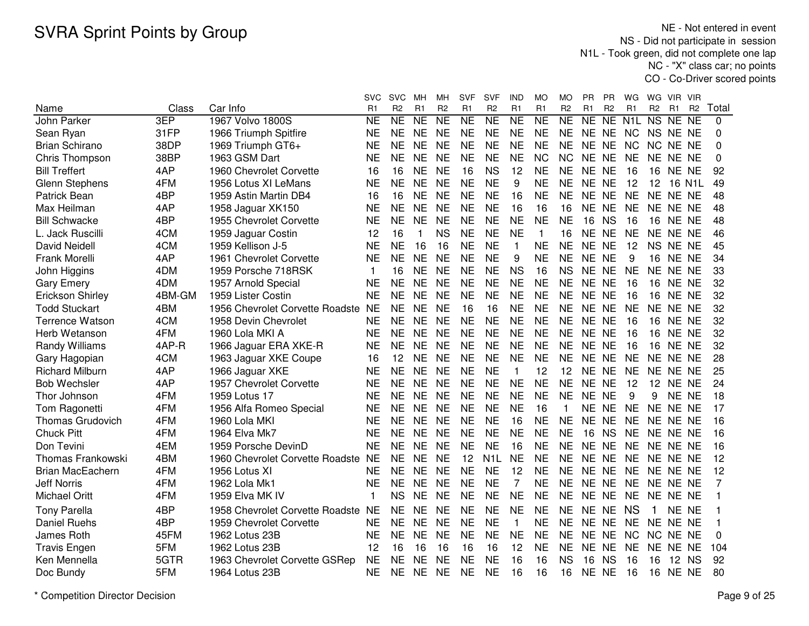NE - Not entered in event NS - Did not participate in session N1L - Took green, did not complete one lap NC - "X" class car; no pointsCO - Co-Driver scored points

|                          |        |                                    | <b>SVC</b> | <b>SVC</b>     | MН              | мн             | <b>SVF</b>     | SVF                 | IND             | MO                     | МO             | PR        | РR             | WG                              | WG        | VIR.            | -VIR           |          |
|--------------------------|--------|------------------------------------|------------|----------------|-----------------|----------------|----------------|---------------------|-----------------|------------------------|----------------|-----------|----------------|---------------------------------|-----------|-----------------|----------------|----------|
| Name                     | Class  | Car Info                           | R1         | R <sub>2</sub> | R1              | R <sub>2</sub> | R <sub>1</sub> | R <sub>2</sub>      | R1              | R1                     | R <sub>2</sub> | R1        | R <sub>2</sub> | R1                              | <b>R2</b> | R1              | R <sub>2</sub> | Total    |
| John Parker              | 3EP    | 1967 Volvo 1800S                   | <b>NE</b>  | NE             | $\overline{NE}$ | N <sub>E</sub> | <b>NE</b>      | $\overline{\sf NE}$ | $\overline{NE}$ | $\overline{\text{NE}}$ | NE             | NE        | <b>NE</b>      | N <sub>1</sub> L N <sub>S</sub> |           | NE NE           |                | $\Omega$ |
| Sean Ryan                | 31FP   | 1966 Triumph Spitfire              | <b>NE</b>  | <b>NE</b>      | <b>NE</b>       | <b>NE</b>      | <b>NE</b>      | <b>NE</b>           | <b>NE</b>       | <b>NE</b>              | <b>NE</b>      | NE NE     |                | <b>NC</b>                       | NS NE NE  |                 |                | 0        |
| <b>Brian Schirano</b>    | 38DP   | 1969 Triumph GT6+                  | <b>NE</b>  | <b>NE</b>      | <b>NE</b>       | <b>NE</b>      | <b>NE</b>      | <b>NE</b>           | <b>NE</b>       | <b>NE</b>              | <b>NE</b>      | NE NE     |                | <b>NC</b>                       | NC.       | NE NE           |                | $\Omega$ |
| Chris Thompson           | 38BP   | 1963 GSM Dart                      | <b>NE</b>  | <b>NE</b>      | <b>NE</b>       | <b>NE</b>      | <b>NE</b>      | <b>NE</b>           | <b>NE</b>       | <b>NC</b>              | <b>NC</b>      | NE NE     |                | <b>NE</b>                       | NE NE NE  |                 |                | 0        |
| <b>Bill Treffert</b>     | 4AP    | 1960 Chevrolet Corvette            | 16         | 16             | <b>NE</b>       | <b>NE</b>      | 16             | <b>NS</b>           | 12              | <b>NE</b>              | <b>NE</b>      | NE NE     |                | 16                              | 16        | NE NE           |                | 92       |
| <b>Glenn Stephens</b>    | 4FM    | 1956 Lotus XI LeMans               | <b>NE</b>  | <b>NE</b>      | <b>NE</b>       | <b>NE</b>      | <b>NE</b>      | <b>NE</b>           | 9               | <b>NE</b>              | <b>NE</b>      | NE NE     |                | 12                              | 12        |                 | 16 N1L         | 49       |
| Patrick Bean             | 4BP    | 1959 Astin Martin DB4              | 16         | 16             | <b>NE</b>       | <b>NE</b>      | <b>NE</b>      | <b>NE</b>           | 16              | <b>NE</b>              | <b>NE</b>      | NE NE     |                | <b>NE</b>                       | NE NE NE  |                 |                | 48       |
| Max Heilman              | 4AP    | 1958 Jaguar XK150                  | <b>NE</b>  | <b>NE</b>      | <b>NE</b>       | <b>NE</b>      | <b>NE</b>      | <b>NE</b>           | 16              | 16                     | 16             | NE NE     |                | <b>NE</b>                       | NE NE NE  |                 |                | 48       |
| <b>Bill Schwacke</b>     | 4BP    | 1955 Chevrolet Corvette            | <b>NE</b>  | <b>NE</b>      | <b>NE</b>       | <b>NE</b>      | <b>NE</b>      | <b>NE</b>           | <b>NE</b>       | <b>NE</b>              | <b>NE</b>      | 16        | <b>NS</b>      | 16                              |           | <b>16 NE NE</b> |                | 48       |
| L. Jack Ruscilli         | 4CM    | 1959 Jaguar Costin                 | 12         | 16             | 1               | <b>NS</b>      | <b>NE</b>      | <b>NE</b>           | <b>NE</b>       | $\mathbf{1}$           | 16             | NE NE     |                | <b>NE</b>                       | NE NE NE  |                 |                | 46       |
| David Neidell            | 4CM    | 1959 Kellison J-5                  | <b>NE</b>  | <b>NE</b>      | 16              | 16             | <b>NE</b>      | <b>NE</b>           | 1               | <b>NE</b>              | <b>NE</b>      | NE NE     |                | 12                              | NS NE NE  |                 |                | 45       |
| Frank Morelli            | 4AP    | 1961 Chevrolet Corvette            | <b>NE</b>  | <b>NE</b>      | <b>NE</b>       | <b>NE</b>      | <b>NE</b>      | <b>NE</b>           | 9               | <b>NE</b>              | <b>NE</b>      | NE NE     |                | 9                               | 16        | NE NE           |                | 34       |
| John Higgins             | 4DM    | 1959 Porsche 718RSK                | 1          | 16             | <b>NE</b>       | <b>NE</b>      | <b>NE</b>      | <b>NE</b>           | <b>NS</b>       | 16                     | <b>NS</b>      | <b>NE</b> | <b>NE</b>      | <b>NE</b>                       | NE NE NE  |                 |                | 33       |
| <b>Gary Emery</b>        | 4DM    | 1957 Arnold Special                | <b>NE</b>  | <b>NE</b>      | <b>NE</b>       | <b>NE</b>      | <b>NE</b>      | <b>NE</b>           | <b>NE</b>       | <b>NE</b>              | <b>NE</b>      | NE NE     |                | 16                              | 16        | NE NE           |                | 32       |
| Erickson Shirley         | 4BM-GM | 1959 Lister Costin                 | <b>NE</b>  | <b>NE</b>      | <b>NE</b>       | <b>NE</b>      | <b>NE</b>      | <b>NE</b>           | <b>NE</b>       | <b>NE</b>              | <b>NE</b>      | NE NE     |                | 16                              | 16        | NE NE           |                | 32       |
| <b>Todd Stuckart</b>     | 4BM    | 1956 Chevrolet Corvette Roadste NE |            | <b>NE</b>      | <b>NE</b>       | <b>NE</b>      | 16             | 16                  | <b>NE</b>       | <b>NE</b>              | <b>NE</b>      | NE NE     |                | <b>NE</b>                       | NE NE NE  |                 |                | 32       |
| <b>Terrence Watson</b>   | 4CM    | 1958 Devin Chevrolet               | <b>NE</b>  | <b>NE</b>      | <b>NE</b>       | <b>NE</b>      | <b>NE</b>      | <b>NE</b>           | <b>NE</b>       | <b>NE</b>              | <b>NE</b>      | NE NE     |                | 16                              | 16        | NE NE           |                | 32       |
| Herb Wetanson            | 4FM    | 1960 Lola MKI A                    | <b>NE</b>  | <b>NE</b>      | <b>NE</b>       | <b>NE</b>      | <b>NE</b>      | <b>NE</b>           | <b>NE</b>       | <b>NE</b>              | <b>NE</b>      | NE NE     |                | 16                              | 16        | NE NE           |                | 32       |
| Randy Williams           | 4AP-R  | 1966 Jaguar ERA XKE-R              | <b>NE</b>  | <b>NE</b>      | <b>NE</b>       | <b>NE</b>      | <b>NE</b>      | <b>NE</b>           | <b>NE</b>       | <b>NE</b>              | <b>NE</b>      | NE NE     |                | 16                              | 16        | NE NE           |                | 32       |
| Gary Hagopian            | 4CM    | 1963 Jaguar XKE Coupe              | 16         | 12             | <b>NE</b>       | <b>NE</b>      | <b>NE</b>      | <b>NE</b>           | <b>NE</b>       | <b>NE</b>              | <b>NE</b>      | NE NE     |                | <b>NE</b>                       | NE NE NE  |                 |                | 28       |
| <b>Richard Milburn</b>   | 4AP    | 1966 Jaguar XKE                    | <b>NE</b>  | <b>NE</b>      | <b>NE</b>       | <b>NE</b>      | <b>NE</b>      | <b>NE</b>           | 1               | 12                     | 12             | NE NE     |                | <b>NE</b>                       |           | NE NE NE        |                | 25       |
| <b>Bob Wechsler</b>      | 4AP    | 1957 Chevrolet Corvette            | <b>NE</b>  | <b>NE</b>      | <b>NE</b>       | <b>NE</b>      | <b>NE</b>      | <b>NE</b>           | <b>NE</b>       | <b>NE</b>              | <b>NE</b>      | NE NE     |                | 12                              |           | <b>12 NE NE</b> |                | 24       |
| Thor Johnson             | 4FM    | 1959 Lotus 17                      | <b>NE</b>  | <b>NE</b>      | <b>NE</b>       | <b>NE</b>      | <b>NE</b>      | <b>NE</b>           | <b>NE</b>       | <b>NE</b>              | <b>NE</b>      | NE NE     |                | 9                               | 9         | NE NE           |                | 18       |
| Tom Ragonetti            | 4FM    | 1956 Alfa Romeo Special            | <b>NE</b>  | <b>NE</b>      | <b>NE</b>       | <b>NE</b>      | <b>NE</b>      | <b>NE</b>           | <b>NE</b>       | 16                     |                | NE NE     |                | <b>NE</b>                       | NE NE NE  |                 |                | 17       |
| <b>Thomas Grudovich</b>  | 4FM    | 1960 Lola MKI                      | <b>NE</b>  | <b>NE</b>      | <b>NE</b>       | <b>NE</b>      | <b>NE</b>      | <b>NE</b>           | 16              | <b>NE</b>              | <b>NE</b>      | <b>NE</b> | <b>NE</b>      | <b>NE</b>                       | NE NE NE  |                 |                | 16       |
| <b>Chuck Pitt</b>        | 4FM    | 1964 Elva Mk7                      | <b>NE</b>  | <b>NE</b>      | <b>NE</b>       | <b>NE</b>      | <b>NE</b>      | <b>NE</b>           | <b>NE</b>       | <b>NE</b>              | <b>NE</b>      | 16        | <b>NS</b>      | <b>NE</b>                       | NE NE NE  |                 |                | 16       |
| Don Tevini               | 4EM    | 1959 Porsche DevinD                | <b>NE</b>  | <b>NE</b>      | <b>NE</b>       | <b>NE</b>      | <b>NE</b>      | <b>NE</b>           | 16              | <b>NE</b>              | <b>NE</b>      | <b>NE</b> | <b>NE</b>      | <b>NE</b>                       | NE NE NE  |                 |                | 16       |
| <b>Thomas Frankowski</b> | 4BM    | 1960 Chevrolet Corvette Roadste NE |            | <b>NE</b>      | <b>NE</b>       | <b>NE</b>      | 12             | N <sub>1</sub> L    | <b>NE</b>       | <b>NE</b>              | <b>NE</b>      | <b>NE</b> | <b>NE</b>      | <b>NE</b>                       | NE NE NE  |                 |                | 12       |
| <b>Brian MacEachern</b>  | 4FM    | 1956 Lotus XI                      | <b>NE</b>  | <b>NE</b>      | <b>NE</b>       | <b>NE</b>      | <b>NE</b>      | <b>NE</b>           | 12              | <b>NE</b>              | <b>NE</b>      | <b>NE</b> | <b>NE</b>      | <b>NE</b>                       | NE NE NE  |                 |                | 12       |
| <b>Jeff Norris</b>       | 4FM    | 1962 Lola Mk1                      | <b>NE</b>  | <b>NE</b>      | <b>NE</b>       | <b>NE</b>      | <b>NE</b>      | <b>NE</b>           | 7               | <b>NE</b>              | <b>NE</b>      | NE NE     |                | <b>NE</b>                       | NE NE NE  |                 |                | 7        |
| <b>Michael Oritt</b>     | 4FM    | 1959 Elva MK IV                    | 1          | <b>NS</b>      | <b>NE</b>       | <b>NE</b>      | <b>NE</b>      | <b>NE</b>           | <b>NE</b>       | <b>NE</b>              | <b>NE</b>      | NE NE     |                | <b>NE</b>                       | NE NE NE  |                 |                |          |
| <b>Tony Parella</b>      | 4BP    | 1958 Chevrolet Corvette Roadste NE |            | <b>NE</b>      | <b>NE</b>       | <b>NE</b>      | <b>NE</b>      | <b>NE</b>           | <b>NE</b>       | <b>NE</b>              | <b>NE</b>      | NE NE     |                | <b>NS</b>                       | 1         | NE NE           |                |          |
| <b>Daniel Ruehs</b>      | 4BP    | 1959 Chevrolet Corvette            | <b>NE</b>  | <b>NE</b>      | <b>NE</b>       | <b>NE</b>      | <b>NE</b>      | <b>NE</b>           | $\mathbf{1}$    | <b>NE</b>              | <b>NE</b>      | NE NE     |                | <b>NE</b>                       | NE NE NE  |                 |                | 1        |
| James Roth               | 45FM   | 1962 Lotus 23B                     | <b>NE</b>  | <b>NE</b>      | <b>NE</b>       | <b>NE</b>      | <b>NE</b>      | <b>NE</b>           | <b>NE</b>       | <b>NE</b>              | <b>NE</b>      | NE NE     |                | <b>NC</b>                       | <b>NC</b> | NE NE           |                | $\Omega$ |
| <b>Travis Engen</b>      | 5FM    | 1962 Lotus 23B                     | 12         | 16             | 16              | 16             | 16             | 16                  | 12              | <b>NE</b>              | <b>NE</b>      | NE NE     |                | <b>NE</b>                       | NE NE NE  |                 |                | 104      |
| Ken Mennella             | 5GTR   | 1963 Chevrolet Corvette GSRep      | <b>NE</b>  | <b>NE</b>      | <b>NE</b>       | <b>NE</b>      | <b>NE</b>      | <b>NE</b>           | 16              | 16                     | <b>NS</b>      | 16        | <b>NS</b>      | 16                              | 16        | 12 NS           |                | 92       |
| Doc Bundy                | 5FM    | 1964 Lotus 23B                     | <b>NE</b>  | <b>NE</b>      | <b>NE</b>       | <b>NE</b>      | <b>NE</b>      | <b>NE</b>           | 16              | 16                     | 16             | NE NE     |                | 16                              | 16        | NE NE           |                | 80       |
|                          |        |                                    |            |                |                 |                |                |                     |                 |                        |                |           |                |                                 |           |                 |                |          |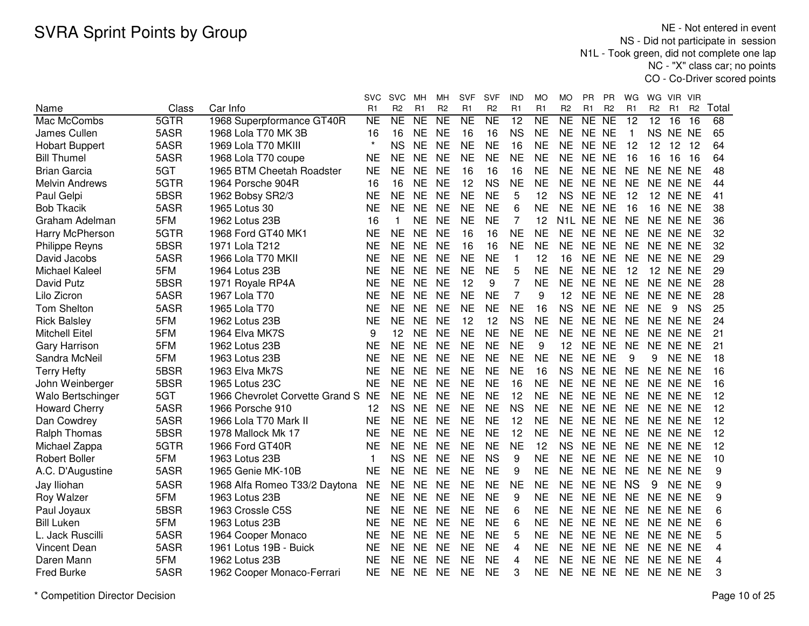NE - Not entered in event NS - Did not participate in session N1L - Took green, did not complete one lap NC - "X" class car; no pointsCO - Co-Driver scored points

|                       |       |                                 | svc       | <b>SVC</b>     | MН        | MН             | SVF            | SVF            | IND            | MO        | МO             | PR        | PR             | WG             | WG.            | VIR.            | <b>VIR</b>     |       |
|-----------------------|-------|---------------------------------|-----------|----------------|-----------|----------------|----------------|----------------|----------------|-----------|----------------|-----------|----------------|----------------|----------------|-----------------|----------------|-------|
| Name                  | Class | Car Info                        | R1        | R <sub>2</sub> | R1        | R <sub>2</sub> | R <sub>1</sub> | R <sub>2</sub> | R <sub>1</sub> | R1        | R <sub>2</sub> | R1        | R <sub>2</sub> | R <sub>1</sub> | R <sub>2</sub> | R <sub>1</sub>  | R <sub>2</sub> | Total |
| Mac McCombs           | 5GTR  | 1968 Superpformance GT40R       | <b>NE</b> | <b>NE</b>      | <b>NE</b> | NE             | NE             | NE             | 12             | <b>NE</b> | NE             | <b>NE</b> | $N_{E}$        | 12             | 12             | 16              | 16             | 68    |
| James Cullen          | 5ASR  | 1968 Lola T70 MK 3B             | 16        | 16             | <b>NE</b> | <b>NE</b>      | 16             | 16             | <b>NS</b>      | <b>NE</b> | <b>NE</b>      | NE NE     |                | $\overline{1}$ | NS NE          |                 | <b>NE</b>      | 65    |
| <b>Hobart Buppert</b> | 5ASR  | 1969 Lola T70 MKIII             | $\star$   | <b>NS</b>      | <b>NE</b> | <b>NE</b>      | <b>NE</b>      | <b>NE</b>      | 16             | <b>NE</b> | <b>NE</b>      | NE NE     |                | 12             | 12             | 12              | 12             | 64    |
| <b>Bill Thumel</b>    | 5ASR  | 1968 Lola T70 coupe             | <b>NE</b> | <b>NE</b>      | <b>NE</b> | <b>NE</b>      | <b>NE</b>      | <b>NE</b>      | <b>NE</b>      | <b>NE</b> | <b>NE</b>      | NE NE     |                | 16             | 16             | 16              | 16             | 64    |
| <b>Brian Garcia</b>   | 5GT   | 1965 BTM Cheetah Roadster       | <b>NE</b> | <b>NE</b>      | <b>NE</b> | <b>NE</b>      | 16             | 16             | 16             | <b>NE</b> | <b>NE</b>      | NE NE     |                | <b>NE</b>      | <b>NE</b>      | NE NE           |                | 48    |
| <b>Melvin Andrews</b> | 5GTR  | 1964 Porsche 904R               | 16        | 16             | <b>NE</b> | <b>NE</b>      | 12             | <b>NS</b>      | NE             | <b>NE</b> | NE.            | NE NE     |                | <b>NE</b>      | NE NE NE       |                 |                | 44    |
| Paul Gelpi            | 5BSR  | 1962 Bobsy SR2/3                | <b>NE</b> | <b>NE</b>      | <b>NE</b> | <b>NE</b>      | <b>NE</b>      | <b>NE</b>      | 5              | 12        | <b>NS</b>      | NE NE     |                | 12             |                | <b>12 NE NE</b> |                | 41    |
| <b>Bob Tkacik</b>     | 5ASR  | 1965 Lotus 30                   | NE        | <b>NE</b>      | <b>NE</b> | <b>NE</b>      | <b>NE</b>      | <b>NE</b>      | 6              | <b>NE</b> | NE.            | NE NE     |                | 16             |                | <b>16 NE NE</b> |                | 38    |
| Graham Adelman        | 5FM   | 1962 Lotus 23B                  | 16        | 1              | <b>NE</b> | <b>NE</b>      | <b>NE</b>      | <b>NE</b>      | 7              | 12        |                | N1L NE NE |                | <b>NE</b>      | NE NE NE       |                 |                | 36    |
| Harry McPherson       | 5GTR  | 1968 Ford GT40 MK1              | <b>NE</b> | <b>NE</b>      | <b>NE</b> | <b>NE</b>      | 16             | 16             | <b>NE</b>      | <b>NE</b> | NE.            | NE NE     |                | <b>NE</b>      | NE NE NE       |                 |                | 32    |
| <b>Philippe Reyns</b> | 5BSR  | 1971 Lola T212                  | <b>NE</b> | <b>NE</b>      | <b>NE</b> | <b>NE</b>      | 16             | 16             | <b>NE</b>      | <b>NE</b> | <b>NE</b>      | NE NE     |                | <b>NE</b>      | NE NE NE       |                 |                | 32    |
| David Jacobs          | 5ASR  | 1966 Lola T70 MKII              | <b>NE</b> | <b>NE</b>      | <b>NE</b> | <b>NE</b>      | <b>NE</b>      | <b>NE</b>      | $\mathbf{1}$   | 12        | 16             | NE NE     |                | <b>NE</b>      | NE NE NE       |                 |                | 29    |
| Michael Kaleel        | 5FM   | 1964 Lotus 23B                  | <b>NE</b> | <b>NE</b>      | <b>NE</b> | <b>NE</b>      | <b>NE</b>      | <b>NE</b>      | 5              | <b>NE</b> | <b>NE</b>      | NE NE     |                | 12             | 12             | NE NE           |                | 29    |
| David Putz            | 5BSR  | 1971 Royale RP4A                | <b>NE</b> | <b>NE</b>      | <b>NE</b> | <b>NE</b>      | 12             | 9              | 7              | <b>NE</b> | <b>NE</b>      | NE NE     |                | <b>NE</b>      | NE NE NE       |                 |                | 28    |
| Lilo Zicron           | 5ASR  | 1967 Lola T70                   | <b>NE</b> | <b>NE</b>      | <b>NE</b> | <b>NE</b>      | <b>NE</b>      | <b>NE</b>      | $\overline{7}$ | 9         | 12             | NE NE     |                | <b>NE</b>      | NE NE NE       |                 |                | 28    |
| Tom Shelton           | 5ASR  | 1965 Lola T70                   | <b>NE</b> | <b>NE</b>      | <b>NE</b> | <b>NE</b>      | <b>NE</b>      | <b>NE</b>      | <b>NE</b>      | 16        | <b>NS</b>      | NE NE     |                | <b>NE</b>      | <b>NE</b>      | 9               | <b>NS</b>      | 25    |
| <b>Rick Balsley</b>   | 5FM   | 1962 Lotus 23B                  | <b>NE</b> | <b>NE</b>      | <b>NE</b> | <b>NE</b>      | 12             | 12             | <b>NS</b>      | <b>NE</b> | <b>NE</b>      | NE NE     |                | <b>NE</b>      | NE NE NE       |                 |                | 24    |
| <b>Mitchell Eitel</b> | 5FM   | 1964 Elva MK7S                  | 9         | 12             | <b>NE</b> | <b>NE</b>      | <b>NE</b>      | <b>NE</b>      | <b>NE</b>      | <b>NE</b> | <b>NE</b>      | NE NE     |                | <b>NE</b>      | NE NE NE       |                 |                | 21    |
| <b>Gary Harrison</b>  | 5FM   | 1962 Lotus 23B                  | <b>NE</b> | <b>NE</b>      | <b>NE</b> | <b>NE</b>      | <b>NE</b>      | <b>NE</b>      | <b>NE</b>      | 9         | 12             | NE NE     |                | <b>NE</b>      | NE NE NE       |                 |                | 21    |
| Sandra McNeil         | 5FM   | 1963 Lotus 23B                  | <b>NE</b> | <b>NE</b>      | <b>NE</b> | <b>NE</b>      | <b>NE</b>      | <b>NE</b>      | <b>NE</b>      | <b>NE</b> | <b>NE</b>      | NE NE     |                | 9              | 9              | NE NE           |                | 18    |
| <b>Terry Hefty</b>    | 5BSR  | 1963 Elva Mk7S                  | ΝE        | <b>NE</b>      | <b>NE</b> | <b>NE</b>      | <b>NE</b>      | <b>NE</b>      | <b>NE</b>      | 16        | <b>NS</b>      | NE NE     |                | <b>NE</b>      | NE NE NE       |                 |                | 16    |
| John Weinberger       | 5BSR  | 1965 Lotus 23C                  | <b>NE</b> | <b>NE</b>      | <b>NE</b> | <b>NE</b>      | <b>NE</b>      | <b>NE</b>      | 16             | <b>NE</b> | NE.            | NE NE     |                | <b>NE</b>      | NE NE NE       |                 |                | 16    |
| Walo Bertschinger     | 5GT   | 1966 Chevrolet Corvette Grand S | <b>NE</b> | NE.            | <b>NE</b> | <b>NE</b>      | <b>NE</b>      | <b>NE</b>      | 12             | <b>NE</b> | ΝE             | NE NE     |                | NE             | NE NE NE       |                 |                | 12    |
| <b>Howard Cherry</b>  | 5ASR  | 1966 Porsche 910                | 12        | <b>NS</b>      | <b>NE</b> | <b>NE</b>      | <b>NE</b>      | <b>NE</b>      | <b>NS</b>      | <b>NE</b> | <b>NE</b>      | NE NE     |                | <b>NE</b>      | NE NE NE       |                 |                | 12    |
| Dan Cowdrey           | 5ASR  | 1966 Lola T70 Mark II           | <b>NE</b> | <b>NE</b>      | <b>NE</b> | <b>NE</b>      | <b>NE</b>      | <b>NE</b>      | 12             | <b>NE</b> | <b>NE</b>      | NE NE     |                | <b>NE</b>      | NE NE NE       |                 |                | 12    |
| Ralph Thomas          | 5BSR  | 1978 Mallock Mk 17              | <b>NE</b> | <b>NE</b>      | <b>NE</b> | <b>NE</b>      | <b>NE</b>      | <b>NE</b>      | 12             | <b>NE</b> | <b>NE</b>      | NE NE     |                | <b>NE</b>      | NE NE NE       |                 |                | 12    |
| Michael Zappa         | 5GTR  | 1966 Ford GT40R                 | NE        | <b>NE</b>      | <b>NE</b> | <b>NE</b>      | <b>NE</b>      | <b>NE</b>      | <b>NE</b>      | 12        | <b>NS</b>      | NE NE     |                | <b>NE</b>      | NE NE NE       |                 |                | 12    |
| <b>Robert Boller</b>  | 5FM   | 1963 Lotus 23B                  | 1         | <b>NS</b>      | <b>NE</b> | <b>NE</b>      | <b>NE</b>      | <b>NS</b>      | 9              | <b>NE</b> | <b>NE</b>      | NE NE     |                | <b>NE</b>      | NE NE NE       |                 |                | 10    |
| A.C. D'Augustine      | 5ASR  | 1965 Genie MK-10B               | <b>NE</b> | <b>NE</b>      | <b>NE</b> | <b>NE</b>      | <b>NE</b>      | <b>NE</b>      | 9              | <b>NE</b> | <b>NE</b>      | NE NE     |                | <b>NE</b>      | NE NE NE       |                 |                | 9     |
| Jay Iliohan           | 5ASR  | 1968 Alfa Romeo T33/2 Daytona   | <b>NE</b> | <b>NE</b>      | <b>NE</b> | <b>NE</b>      | <b>NE</b>      | <b>NE</b>      | <b>NE</b>      | <b>NE</b> | <b>NE</b>      | NE NE     |                | <b>NS</b>      | 9              | NE NE           |                | 9     |
| Roy Walzer            | 5FM   | 1963 Lotus 23B                  | <b>NE</b> | <b>NE</b>      | <b>NE</b> | <b>NE</b>      | <b>NE</b>      | <b>NE</b>      | 9              | <b>NE</b> | <b>NE</b>      | NE NE     |                | <b>NE</b>      | NE NE NE       |                 |                | 9     |
| Paul Joyaux           | 5BSR  | 1963 Crossle C5S                | <b>NE</b> | <b>NE</b>      | <b>NE</b> | <b>NE</b>      | <b>NE</b>      | <b>NE</b>      | 6              | <b>NE</b> | <b>NE</b>      | NE NE     |                | <b>NE</b>      | NE NE NE       |                 |                | 6     |
| <b>Bill Luken</b>     | 5FM   | 1963 Lotus 23B                  | <b>NE</b> | <b>NE</b>      | <b>NE</b> | <b>NE</b>      | <b>NE</b>      | <b>NE</b>      | 6              | <b>NE</b> | <b>NE</b>      | NE NE     |                | <b>NE</b>      | NE NE NE       |                 |                | 6     |
| L. Jack Ruscilli      | 5ASR  | 1964 Cooper Monaco              | <b>NE</b> | <b>NE</b>      | <b>NE</b> | <b>NE</b>      | <b>NE</b>      | <b>NE</b>      | 5              | <b>NE</b> | <b>NE</b>      | NE NE     |                | <b>NE</b>      | NE NE NE       |                 |                | 5     |
| <b>Vincent Dean</b>   | 5ASR  | 1961 Lotus 19B - Buick          | <b>NE</b> | <b>NE</b>      | <b>NE</b> | <b>NE</b>      | <b>NE</b>      | <b>NE</b>      | 4              | <b>NE</b> | <b>NE</b>      | NE NE     |                | <b>NE</b>      | NE NE NE       |                 |                | 4     |
| Daren Mann            | 5FM   | 1962 Lotus 23B                  | <b>NE</b> | <b>NE</b>      | <b>NE</b> | <b>NE</b>      | <b>NE</b>      | <b>NE</b>      | 4              | <b>NE</b> | <b>NE</b>      | NE NE     |                | <b>NE</b>      | NE NE NE       |                 |                | 4     |
| <b>Fred Burke</b>     | 5ASR  | 1962 Cooper Monaco-Ferrari      | <b>NE</b> | <b>NE</b>      | <b>NE</b> | <b>NE</b>      | <b>NE</b>      | <b>NE</b>      | 3              | <b>NE</b> | <b>NE</b>      | NE NE     |                | <b>NE</b>      | NE NE NE       |                 |                | 3     |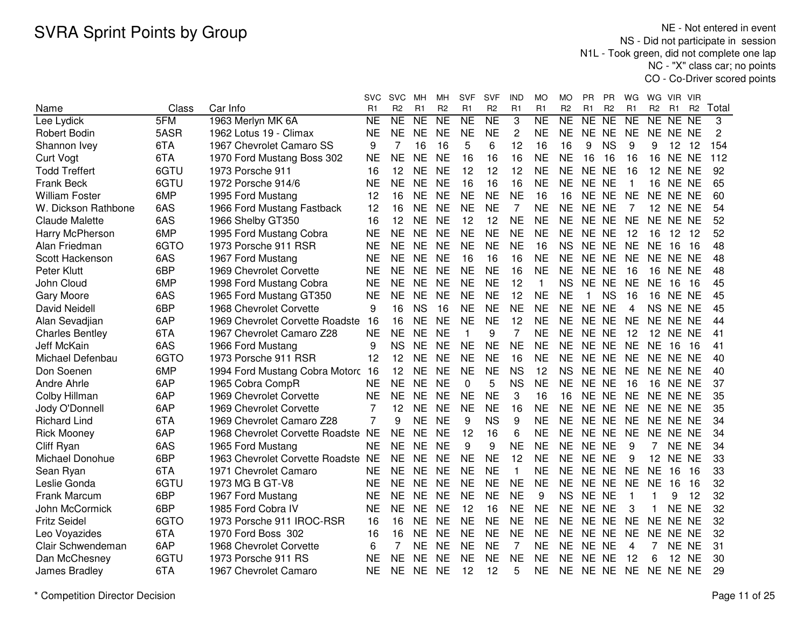NE - Not entered in event NS - Did not participate in session N1L - Took green, did not complete one lap NC - "X" class car; no pointsCO - Co-Driver scored points

|                        |       |                                 | svc            | SVC            | MН             | мн             | <b>SVF</b>          | SVF            | IND            | МO                  | MO             | PR.       | <b>PR</b>      | WG                      | WG             | VIR.            | <b>VIR</b>      |                |
|------------------------|-------|---------------------------------|----------------|----------------|----------------|----------------|---------------------|----------------|----------------|---------------------|----------------|-----------|----------------|-------------------------|----------------|-----------------|-----------------|----------------|
| Name                   | Class | Car Info                        | R1             | R <sub>2</sub> | R <sub>1</sub> | R <sub>2</sub> | R <sub>1</sub>      | R <sub>2</sub> | R1             | R1                  | R <sub>2</sub> | R1        | R <sub>2</sub> | R <sub>1</sub>          | R <sub>2</sub> | R <sub>1</sub>  | R <sub>2</sub>  | Total          |
| Lee Lydick             | 5FM   | 1963 Merlyn MK 6A               | N <sub>E</sub> | NE             | <b>NE</b>      | <b>NE</b>      | $\overline{\sf NE}$ | N <sub>E</sub> | 3              | $\overline{\sf NE}$ | NE             | NE        | NE             | N <sub>E</sub>          | NE NE          |                 | $\overline{NE}$ | 3              |
| Robert Bodin           | 5ASR  | 1962 Lotus 19 - Climax          | <b>NE</b>      | <b>NE</b>      | <b>NE</b>      | <b>NE</b>      | <b>NE</b>           | <b>NE</b>      | $\overline{2}$ | <b>NE</b>           | <b>NE</b>      | NE NE     |                | <b>NE</b>               | NE NE NE       |                 |                 | $\overline{c}$ |
| Shannon Ivey           | 6TA   | 1967 Chevrolet Camaro SS        | 9              | 7              | 16             | 16             | 5                   | 6              | 12             | 16                  | 16             | 9         | <b>NS</b>      | 9                       | 9              | 12              | 12              | 154            |
| <b>Curt Vogt</b>       | 6TA   | 1970 Ford Mustang Boss 302      | <b>NE</b>      | <b>NE</b>      | <b>NE</b>      | <b>NE</b>      | 16                  | 16             | 16             | <b>NE</b>           | <b>NE</b>      | 16        | 16             | 16                      | 16             | <b>NE</b>       | <b>NE</b>       | 112            |
| <b>Todd Treffert</b>   | 6GTU  | 1973 Porsche 911                | 16             | 12             | <b>NE</b>      | <b>NE</b>      | 12                  | 12             | 12             | <b>NE</b>           | <b>NE</b>      | NE NE     |                | 16                      | 12             |                 | NE NE           | 92             |
| <b>Frank Beck</b>      | 6GTU  | 1972 Porsche 914/6              | <b>NE</b>      | <b>NE</b>      | <b>NE</b>      | <b>NE</b>      | 16                  | 16             | 16             | <b>NE</b>           | <b>NE</b>      | NE NE     |                | $\mathbf{1}$            | 16             |                 | NE NE           | 65             |
| <b>William Foster</b>  | 6MP   | 1995 Ford Mustang               | 12             | 16             | <b>NE</b>      | <b>NE</b>      | <b>NE</b>           | <b>NE</b>      | <b>NE</b>      | 16                  | 16             | NE NE     |                | <b>NE</b>               | NE NE NE       |                 |                 | 60             |
| W. Dickson Rathbone    | 6AS   | 1966 Ford Mustang Fastback      | 12             | 16             | <b>NE</b>      | <b>NE</b>      | <b>NE</b>           | <b>NE</b>      | 7              | <b>NE</b>           | <b>NE</b>      | NE NE     |                | 7                       |                | <b>12 NE NE</b> |                 | 54             |
| <b>Claude Malette</b>  | 6AS   | 1966 Shelby GT350               | 16             | 12             | <b>NE</b>      | <b>NE</b>      | 12                  | 12             | <b>NE</b>      | <b>NE</b>           | <b>NE</b>      | NE NE     |                | <b>NE</b>               | NE NE NE       |                 |                 | 52             |
| Harry McPherson        | 6MP   | 1995 Ford Mustang Cobra         | <b>NE</b>      | <b>NE</b>      | <b>NE</b>      | <b>NE</b>      | <b>NE</b>           | <b>NE</b>      | <b>NE</b>      | <b>NE</b>           | <b>NE</b>      | NE NE     |                | 12                      | 16             | $12 \quad 12$   |                 | 52             |
| Alan Friedman          | 6GTO  | 1973 Porsche 911 RSR            | <b>NE</b>      | <b>NE</b>      | <b>NE</b>      | <b>NE</b>      | <b>NE</b>           | <b>NE</b>      | <b>NE</b>      | 16                  | <b>NS</b>      | NE NE     |                | <b>NE</b>               | <b>NE</b>      | 16              | 16              | 48             |
| Scott Hackenson        | 6AS   | 1967 Ford Mustang               | <b>NE</b>      | <b>NE</b>      | <b>NE</b>      | <b>NE</b>      | 16                  | 16             | 16             | <b>NE</b>           | <b>NE</b>      | NE NE     |                | <b>NE</b>               | NE NE NE       |                 |                 | 48             |
| Peter Klutt            | 6BP   | 1969 Chevrolet Corvette         | <b>NE</b>      | <b>NE</b>      | <b>NE</b>      | <b>NE</b>      | <b>NE</b>           | <b>NE</b>      | 16             | <b>NE</b>           | <b>NE</b>      | NE NE     |                | 16                      | 16             | NE NE           |                 | 48             |
| John Cloud             | 6MP   | 1998 Ford Mustang Cobra         | <b>NE</b>      | <b>NE</b>      | <b>NE</b>      | <b>NE</b>      | <b>NE</b>           | <b>NE</b>      | 12             | $\mathbf{1}$        | <b>NS</b>      | NE NE     |                | <b>NE</b>               | <b>NE</b>      | 16              | 16              | 45             |
| <b>Gary Moore</b>      | 6AS   | 1965 Ford Mustang GT350         | <b>NE</b>      | <b>NE</b>      | <b>NE</b>      | <b>NE</b>      | <b>NE</b>           | <b>NE</b>      | 12             | <b>NE</b>           | <b>NE</b>      | 1         | <b>NS</b>      | 16                      | 16             | NE.             | <b>NE</b>       | 45             |
| <b>David Neidell</b>   | 6BP   | 1968 Chevrolet Corvette         | 9              | 16             | <b>NS</b>      | 16             | <b>NE</b>           | <b>NE</b>      | <b>NE</b>      | <b>NE</b>           | <b>NE</b>      | NE NE     |                | $\overline{\mathbf{4}}$ | NS NE          |                 | <b>NE</b>       | 45             |
| Alan Sevadjian         | 6AP   | 1969 Chevrolet Corvette Roadste | 16             | 16             | <b>NE</b>      | <b>NE</b>      | <b>NE</b>           | <b>NE</b>      | 12             | <b>NE</b>           | <b>NE</b>      | NE NE     |                | <b>NE</b>               | <b>NE</b>      | <b>NE</b>       | <b>NE</b>       | 44             |
| <b>Charles Bentley</b> | 6TA   | 1967 Chevrolet Camaro Z28       | <b>NE</b>      | <b>NE</b>      | <b>NE</b>      | <b>NE</b>      | $\mathbf{1}$        | 9              | $\overline{7}$ | <b>NE</b>           | <b>NE</b>      | NE NE     |                | 12                      | 12             | <b>NE</b>       | <b>NE</b>       | 41             |
| Jeff McKain            | 6AS   | 1966 Ford Mustang               | 9              | <b>NS</b>      | <b>NE</b>      | <b>NE</b>      | <b>NE</b>           | <b>NE</b>      | <b>NE</b>      | <b>NE</b>           | <b>NE</b>      | NE NE     |                | <b>NE</b>               | <b>NE</b>      | 16              | 16              | 41             |
| Michael Defenbau       | 6GTO  | 1973 Porsche 911 RSR            | 12             | 12             | <b>NE</b>      | <b>NE</b>      | <b>NE</b>           | <b>NE</b>      | 16             | <b>NE</b>           | <b>NE</b>      | NE NE     |                | <b>NE</b>               | NE NE NE       |                 |                 | 40             |
| Don Soenen             | 6MP   | 1994 Ford Mustang Cobra Motorc  | 16             | 12             | <b>NE</b>      | <b>NE</b>      | <b>NE</b>           | <b>NE</b>      | <b>NS</b>      | 12                  | <b>NS</b>      | NE NE     |                | <b>NE</b>               | NE NE NE       |                 |                 | 40             |
| Andre Ahrle            | 6AP   | 1965 Cobra CompR                | <b>NE</b>      | <b>NE</b>      | <b>NE</b>      | <b>NE</b>      | 0                   | 5              | <b>NS</b>      | <b>NE</b>           | <b>NE</b>      | NE NE     |                | 16                      |                | <b>16 NE NE</b> |                 | 37             |
| Colby Hillman          | 6AP   | 1969 Chevrolet Corvette         | NE             | <b>NE</b>      | <b>NE</b>      | <b>NE</b>      | <b>NE</b>           | <b>NE</b>      | 3              | 16                  | 16             | NE NE     |                | <b>NE</b>               | NE NE NE       |                 |                 | 35             |
| Jody O'Donnell         | 6AP   | 1969 Chevrolet Corvette         | 7              | 12             | <b>NE</b>      | <b>NE</b>      | <b>NE</b>           | <b>NE</b>      | 16             | <b>NE</b>           | <b>NE</b>      | NE NE     |                | <b>NE</b>               | NE NE NE       |                 |                 | 35             |
| <b>Richard Lind</b>    | 6TA   | 1969 Chevrolet Camaro Z28       | $\overline{7}$ | 9              | <b>NE</b>      | <b>NE</b>      | 9                   | <b>NS</b>      | 9              | <b>NE</b>           | <b>NE</b>      | NE NE     |                | <b>NE</b>               | NE NE NE       |                 |                 | 34             |
| <b>Rick Mooney</b>     | 6AP   | 1968 Chevrolet Corvette Roadste | <b>NE</b>      | <b>NE</b>      | <b>NE</b>      | <b>NE</b>      | 12                  | 16             | 6              | <b>NE</b>           | <b>NE</b>      | NE NE     |                | <b>NE</b>               | NE.            | NE.             | <b>NE</b>       | 34             |
| Cliff Ryan             | 6AS   | 1965 Ford Mustang               | <b>NE</b>      | <b>NE</b>      | <b>NE</b>      | <b>NE</b>      | 9                   | 9              | <b>NE</b>      | <b>NE</b>           | <b>NE</b>      | <b>NE</b> | <b>NE</b>      | 9                       | 7              |                 | NE NE           | 34             |
| Michael Donohue        | 6BP   | 1963 Chevrolet Corvette Roadste | <b>NE</b>      | <b>NE</b>      | <b>NE</b>      | <b>NE</b>      | <b>NE</b>           | <b>NE</b>      | 12             | <b>NE</b>           | <b>NE</b>      | NE NE     |                | 9                       | 12             | <b>NE</b>       | <b>NE</b>       | 33             |
| Sean Ryan              | 6TA   | 1971 Chevrolet Camaro           | <b>NE</b>      | <b>NE</b>      | <b>NE</b>      | <b>NE</b>      | <b>NE</b>           | <b>NE</b>      | $\mathbf{1}$   | <b>NE</b>           | <b>NE</b>      | NE NE     |                | <b>NE</b>               | <b>NE</b>      | 16              | 16              | 33             |
| Leslie Gonda           | 6GTU  | 1973 MG B GT-V8                 | <b>NE</b>      | <b>NE</b>      | <b>NE</b>      | <b>NE</b>      | <b>NE</b>           | <b>NE</b>      | <b>NE</b>      | <b>NE</b>           | <b>NE</b>      | NE NE     |                | <b>NE</b>               | <b>NE</b>      | 16              | 16              | 32             |
| <b>Frank Marcum</b>    | 6BP   | 1967 Ford Mustang               | <b>NE</b>      | <b>NE</b>      | <b>NE</b>      | <b>NE</b>      | <b>NE</b>           | <b>NE</b>      | <b>NE</b>      | 9                   | <b>NS</b>      | <b>NE</b> | <b>NE</b>      | $\mathbf{1}$            |                | 9               | 12              | 32             |
| John McCormick         | 6BP   | 1985 Ford Cobra IV              | <b>NE</b>      | <b>NE</b>      | <b>NE</b>      | <b>NE</b>      | 12                  | 16             | <b>NE</b>      | <b>NE</b>           | <b>NE</b>      | NE NE     |                | 3                       | 1              | <b>NE</b>       | <b>NE</b>       | 32             |
| <b>Fritz Seidel</b>    | 6GTO  | 1973 Porsche 911 IROC-RSR       | 16             | 16             | <b>NE</b>      | <b>NE</b>      | <b>NE</b>           | <b>NE</b>      | <b>NE</b>      | <b>NE</b>           | <b>NE</b>      | NE NE     |                | <b>NE</b>               | <b>NE</b>      | <b>NE</b>       | <b>NE</b>       | 32             |
| Leo Voyazides          | 6TA   | 1970 Ford Boss 302              | 16             | 16             | <b>NE</b>      | <b>NE</b>      | <b>NE</b>           | <b>NE</b>      | <b>NE</b>      | <b>NE</b>           | <b>NE</b>      | NE NE     |                | <b>NE</b>               | <b>NE</b>      | <b>NE</b>       | <b>NE</b>       | 32             |
| Clair Schwendeman      | 6AP   | 1968 Chevrolet Corvette         | 6              | $\overline{7}$ | <b>NE</b>      | <b>NE</b>      | <b>NE</b>           | <b>NE</b>      | $\overline{7}$ | <b>NE</b>           | <b>NE</b>      | NE NE     |                | 4                       | 7              |                 | NE NE           | 31             |
| Dan McChesney          | 6GTU  | 1973 Porsche 911 RS             | <b>NE</b>      | <b>NE</b>      | <b>NE</b>      | <b>NE</b>      | <b>NE</b>           | <b>NE</b>      | <b>NE</b>      | <b>NE</b>           | <b>NE</b>      | NE NE     |                | 12                      | 6              |                 | 12 NE           | 30             |
| James Bradley          | 6TA   | 1967 Chevrolet Camaro           | <b>NE</b>      | <b>NE</b>      | <b>NE</b>      | <b>NE</b>      | 12                  | 12             | 5              | ΝE                  | <b>NE</b>      | NE NE     |                | <b>NE</b>               | NE NE NE       |                 |                 | 29             |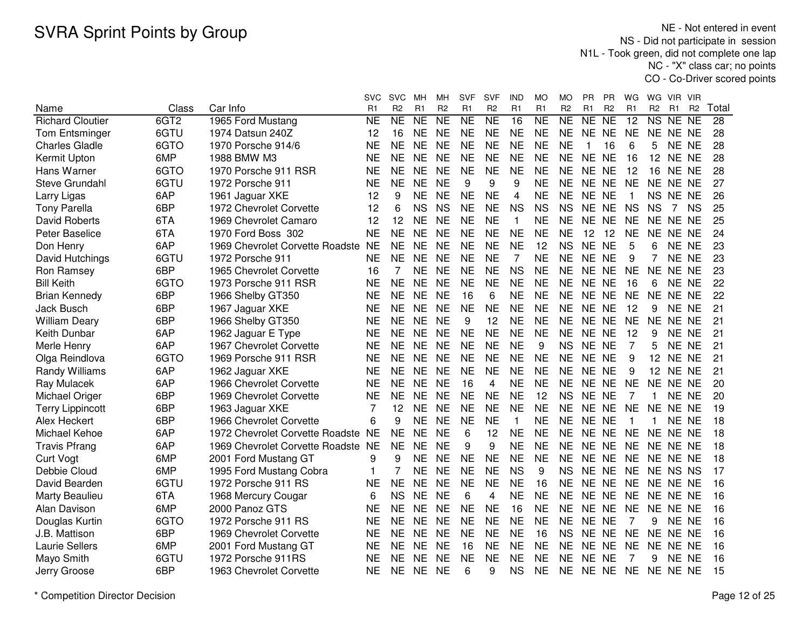NE - Not entered in event NS - Did not participate in session N1L - Took green, did not complete one lap NC - "X" class car; no pointsCO - Co-Driver scored points

|                         |                  |                                    | svc                 | <b>SVC</b>             | мн             | MН             | <b>SVF</b>     | <b>SVF</b>     | IND             | МO                  | MО             | PR        | PR             | WG             | WG             | VIR.            | VIR            |                 |
|-------------------------|------------------|------------------------------------|---------------------|------------------------|----------------|----------------|----------------|----------------|-----------------|---------------------|----------------|-----------|----------------|----------------|----------------|-----------------|----------------|-----------------|
| Name                    | Class            | Car Info                           | R1                  | R <sub>2</sub>         | R1             | R <sub>2</sub> | R <sub>1</sub> | R <sub>2</sub> | R1              | R1                  | R <sub>2</sub> | R1        | R <sub>2</sub> | R <sub>1</sub> | R <sub>2</sub> | R1              | R <sub>2</sub> | Total           |
| <b>Richard Cloutier</b> | 6GT <sub>2</sub> | 1965 Ford Mustang                  | $\overline{\sf NE}$ | $\overline{\text{NE}}$ | N <sub>E</sub> | NE             | N <sub>E</sub> | NE             | $\overline{16}$ | $\overline{\sf NE}$ | NE             | NE        | NE             | 12             | NS             | NE NE           |                | $\overline{28}$ |
| <b>Tom Entsminger</b>   | 6GTU             | 1974 Datsun 240Z                   | 12                  | 16                     | <b>NE</b>      | <b>NE</b>      | <b>NE</b>      | <b>NE</b>      | <b>NE</b>       | <b>NE</b>           | <b>NE</b>      | <b>NE</b> | <b>NE</b>      | <b>NE</b>      |                | NE NE NE        |                | 28              |
| <b>Charles Gladle</b>   | 6GTO             | 1970 Porsche 914/6                 | <b>NE</b>           | <b>NE</b>              | <b>NE</b>      | <b>NE</b>      | <b>NE</b>      | <b>NE</b>      | <b>NE</b>       | <b>NE</b>           | <b>NE</b>      | 1         | 16             | 6              | 5              | NE NE           |                | 28              |
| Kermit Upton            | 6MP              | 1988 BMW M3                        | <b>NE</b>           | <b>NE</b>              | <b>NE</b>      | <b>NE</b>      | <b>NE</b>      | <b>NE</b>      | <b>NE</b>       | <b>NE</b>           | <b>NE</b>      | NE NE     |                | 16             | 12             | NE NE           |                | 28              |
| Hans Warner             | 6GTO             | 1970 Porsche 911 RSR               | <b>NE</b>           | <b>NE</b>              | <b>NE</b>      | <b>NE</b>      | <b>NE</b>      | <b>NE</b>      | <b>NE</b>       | <b>NE</b>           | <b>NE</b>      | NE NE     |                | 12             | 16             | NE NE           |                | 28              |
| Steve Grundahl          | 6GTU             | 1972 Porsche 911                   | <b>NE</b>           | <b>NE</b>              | <b>NE</b>      | <b>NE</b>      | 9              | 9              | 9               | <b>NE</b>           | <b>NE</b>      | NE NE     |                | <b>NE</b>      |                | NE NE NE        |                | 27              |
| Larry Ligas             | 6AP              | 1961 Jaguar XKE                    | 12                  | 9                      | <b>NE</b>      | <b>NE</b>      | <b>NE</b>      | <b>NE</b>      | 4               | <b>NE</b>           | <b>NE</b>      | NE NE     |                | -1             |                | NS NE NE        |                | 26              |
| <b>Tony Parella</b>     | 6BP              | 1972 Chevrolet Corvette            | 12                  | 6                      | <b>NS</b>      | <b>NS</b>      | <b>NE</b>      | <b>NE</b>      | <b>NS</b>       | <b>NS</b>           | <b>NS</b>      | NE NE     |                | <b>NS</b>      | <b>NS</b>      | 7               | <b>NS</b>      | 25              |
| <b>David Roberts</b>    | 6TA              | 1969 Chevrolet Camaro              | 12                  | 12                     | <b>NE</b>      | <b>NE</b>      | <b>NE</b>      | <b>NE</b>      | $\mathbf{1}$    | <b>NE</b>           | <b>NE</b>      | NE NE     |                | <b>NE</b>      | NE NE NE       |                 |                | 25              |
| <b>Peter Baselice</b>   | 6TA              | 1970 Ford Boss 302                 | <b>NE</b>           | <b>NE</b>              | <b>NE</b>      | <b>NE</b>      | <b>NE</b>      | <b>NE</b>      | <b>NE</b>       | <b>NE</b>           | <b>NE</b>      | 12        | 12             | <b>NE</b>      |                | NE NE NE        |                | 24              |
| Don Henry               | 6AP              | 1969 Chevrolet Corvette Roadste    | <b>NE</b>           | <b>NE</b>              | <b>NE</b>      | <b>NE</b>      | <b>NE</b>      | <b>NE</b>      | <b>NE</b>       | 12                  | <b>NS</b>      | NE NE     |                | 5              | 6              | NE NE           |                | 23              |
| David Hutchings         | 6GTU             | 1972 Porsche 911                   | <b>NE</b>           | <b>NE</b>              | <b>NE</b>      | <b>NE</b>      | <b>NE</b>      | <b>NE</b>      | $\overline{7}$  | <b>NE</b>           | <b>NE</b>      | NE NE     |                | 9              | 7              | NE NE           |                | 23              |
| Ron Ramsey              | 6BP              | 1965 Chevrolet Corvette            | 16                  | 7                      | <b>NE</b>      | <b>NE</b>      | <b>NE</b>      | <b>NE</b>      | <b>NS</b>       | <b>NE</b>           | <b>NE</b>      | NE NE     |                | <b>NE</b>      | <b>NE</b>      | NE NE           |                | 23              |
| <b>Bill Keith</b>       | 6GTO             | 1973 Porsche 911 RSR               | <b>NE</b>           | <b>NE</b>              | <b>NE</b>      | <b>NE</b>      | <b>NE</b>      | <b>NE</b>      | <b>NE</b>       | <b>NE</b>           | <b>NE</b>      | <b>NE</b> | <b>NE</b>      | 16             | 6              | NE NE           |                | 22              |
| <b>Brian Kennedy</b>    | 6BP              | 1966 Shelby GT350                  | <b>NE</b>           | <b>NE</b>              | <b>NE</b>      | <b>NE</b>      | 16             | 6              | <b>NE</b>       | <b>NE</b>           | <b>NE</b>      | NE NE     |                | <b>NE</b>      | NE NE NE       |                 |                | 22              |
| Jack Busch              | 6BP              | 1967 Jaguar XKE                    | <b>NE</b>           | <b>NE</b>              | <b>NE</b>      | <b>NE</b>      | <b>NE</b>      | <b>NE</b>      | <b>NE</b>       | <b>NE</b>           | <b>NE</b>      | NE NE     |                | 12             | 9              | NE NE           |                | 21              |
| <b>William Deary</b>    | 6BP              | 1966 Shelby GT350                  | <b>NE</b>           | <b>NE</b>              | <b>NE</b>      | <b>NE</b>      | 9              | 12             | <b>NE</b>       | <b>NE</b>           | <b>NE</b>      | NE NE     |                | <b>NE</b>      | NE.            | NE NE           |                | 21              |
| Keith Dunbar            | 6AP              | 1962 Jaguar E Type                 | <b>NE</b>           | <b>NE</b>              | <b>NE</b>      | <b>NE</b>      | <b>NE</b>      | <b>NE</b>      | <b>NE</b>       | <b>NE</b>           | <b>NE</b>      | NE NE     |                | 12             | 9              | NE NE           |                | 21              |
| Merle Henry             | 6AP              | 1967 Chevrolet Corvette            | <b>NE</b>           | <b>NE</b>              | <b>NE</b>      | <b>NE</b>      | <b>NE</b>      | <b>NE</b>      | <b>NE</b>       | 9                   | <b>NS</b>      | NE NE     |                | 7              | 5              | NE NE           |                | 21              |
| Olga Reindlova          | 6GTO             | 1969 Porsche 911 RSR               | <b>NE</b>           | <b>NE</b>              | <b>NE</b>      | <b>NE</b>      | <b>NE</b>      | <b>NE</b>      | <b>NE</b>       | <b>NE</b>           | <b>NE</b>      | NE NE     |                | 9              | 12             | NE NE           |                | 21              |
| Randy Williams          | 6AP              | 1962 Jaguar XKE                    | <b>NE</b>           | <b>NE</b>              | <b>NE</b>      | <b>NE</b>      | <b>NE</b>      | <b>NE</b>      | <b>NE</b>       | <b>NE</b>           | <b>NE</b>      | NE NE     |                | 9              |                | <b>12 NE NE</b> |                | 21              |
| Ray Mulacek             | 6AP              | 1966 Chevrolet Corvette            | <b>NE</b>           | <b>NE</b>              | <b>NE</b>      | <b>NE</b>      | 16             | 4              | <b>NE</b>       | <b>NE</b>           | <b>NE</b>      | NE NE     |                | <b>NE</b>      |                | NE NE NE        |                | 20              |
| Michael Origer          | 6BP              | 1969 Chevrolet Corvette            | <b>NE</b>           | <b>NE</b>              | <b>NE</b>      | <b>NE</b>      | <b>NE</b>      | <b>NE</b>      | <b>NE</b>       | 12                  | <b>NS</b>      | NE NE     |                | 7              | 1.             | NE NE           |                | 20              |
| <b>Terry Lippincott</b> | 6BP              | 1963 Jaguar XKE                    | 7                   | 12                     | <b>NE</b>      | <b>NE</b>      | <b>NE</b>      | <b>NE</b>      | <b>NE</b>       | <b>NE</b>           | <b>NE</b>      | NE NE     |                | <b>NE</b>      | NE NE NE       |                 |                | 19              |
| Alex Heckert            | 6BP              | 1966 Chevrolet Corvette            | 6                   | 9                      | <b>NE</b>      | <b>NE</b>      | <b>NE</b>      | <b>NE</b>      | 1               | <b>NE</b>           | <b>NE</b>      | NE NE     |                |                |                | NE NE           |                | 18              |
| Michael Kehoe           | 6AP              | 1972 Chevrolet Corvette Roadste    | <b>NE</b>           | <b>NE</b>              | <b>NE</b>      | <b>NE</b>      | 6              | 12             | <b>NE</b>       | <b>NE</b>           | <b>NE</b>      | NE NE     |                | <b>NE</b>      | NE NE NE       |                 |                | 18              |
| <b>Travis Pfrang</b>    | 6AP              | 1969 Chevrolet Corvette Roadste NE |                     | <b>NE</b>              | <b>NE</b>      | <b>NE</b>      | 9              | 9              | <b>NE</b>       | <b>NE</b>           | <b>NE</b>      | NE NE     |                | <b>NE</b>      | NE NE NE       |                 |                | 18              |
| <b>Curt Vogt</b>        | 6MP              | 2001 Ford Mustang GT               | 9                   | 9                      | <b>NE</b>      | <b>NE</b>      | <b>NE</b>      | <b>NE</b>      | <b>NE</b>       | <b>NE</b>           | <b>NE</b>      | NE NE     |                | <b>NE</b>      | NE NE NE       |                 |                | 18              |
| Debbie Cloud            | 6MP              | 1995 Ford Mustang Cobra            | 1                   |                        | <b>NE</b>      | <b>NE</b>      | <b>NE</b>      | <b>NE</b>      | <b>NS</b>       | 9                   | <b>NS</b>      | <b>NE</b> | <b>NE</b>      | <b>NE</b>      | NE NS NS       |                 |                | 17              |
| David Bearden           | 6GTU             | 1972 Porsche 911 RS                | <b>NE</b>           | <b>NE</b>              | <b>NE</b>      | <b>NE</b>      | <b>NE</b>      | <b>NE</b>      | <b>NE</b>       | 16                  | <b>NE</b>      | <b>NE</b> | <b>NE</b>      | <b>NE</b>      | NE NE NE       |                 |                | 16              |
| Marty Beaulieu          | 6TA              | 1968 Mercury Cougar                | 6                   | <b>NS</b>              | <b>NE</b>      | <b>NE</b>      | 6              | 4              | <b>NE</b>       | <b>NE</b>           | <b>NE</b>      | NE        | <b>NE</b>      | <b>NE</b>      |                | NE NE NE        |                | 16              |
| Alan Davison            | 6MP              | 2000 Panoz GTS                     | <b>NE</b>           | <b>NE</b>              | <b>NE</b>      | <b>NE</b>      | <b>NE</b>      | <b>NE</b>      | 16              | <b>NE</b>           | <b>NE</b>      | <b>NE</b> | <b>NE</b>      | <b>NE</b>      | <b>NE</b>      | NE NE           |                | 16              |
| Douglas Kurtin          | 6GTO             | 1972 Porsche 911 RS                | <b>NE</b>           | <b>NE</b>              | <b>NE</b>      | <b>NE</b>      | <b>NE</b>      | <b>NE</b>      | <b>NE</b>       | <b>NE</b>           | <b>NE</b>      | NE NE     |                | $\overline{7}$ | 9              | NE NE           |                | 16              |
| J.B. Mattison           | 6BP              | 1969 Chevrolet Corvette            | <b>NE</b>           | <b>NE</b>              | <b>NE</b>      | <b>NE</b>      | <b>NE</b>      | <b>NE</b>      | <b>NE</b>       | 16                  | <b>NS</b>      | NE NE     |                | <b>NE</b>      |                | NE NE NE        |                | 16              |
| <b>Laurie Sellers</b>   | 6MP              | 2001 Ford Mustang GT               | <b>NE</b>           | <b>NE</b>              | <b>NE</b>      | <b>NE</b>      | 16             | <b>NE</b>      | <b>NE</b>       | <b>NE</b>           | <b>NE</b>      | NE NE     |                | <b>NE</b>      |                | NE NE NE        |                | 16              |
| Mayo Smith              | 6GTU             | 1972 Porsche 911RS                 | <b>NE</b>           | <b>NE</b>              | <b>NE</b>      | <b>NE</b>      | <b>NE</b>      | <b>NE</b>      | <b>NE</b>       | <b>NE</b>           | <b>NE</b>      | <b>NE</b> | <b>NE</b>      | 7              | 9              | NE NE           |                | 16              |
| Jerry Groose            | 6BP              | 1963 Chevrolet Corvette            | NE                  | <b>NE</b>              | <b>NE</b>      | <b>NE</b>      | 6              | 9              | <b>NS</b>       | <b>NE</b>           | <b>NE</b>      | NE NE     |                | <b>NE</b>      | NE NE NE       |                 |                | 15              |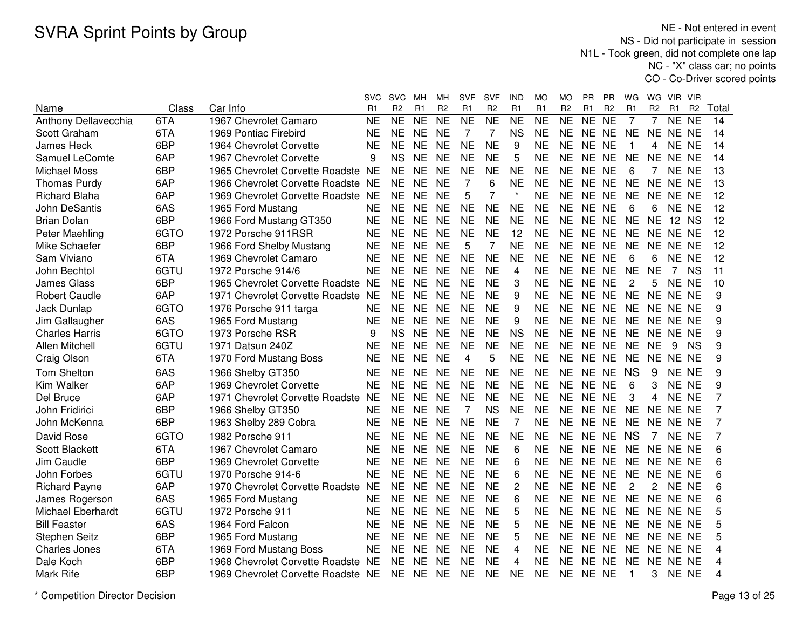NE - Not entered in event NS - Did not participate in session N1L - Took green, did not complete one lap NC - "X" class car; no pointsCO - Co-Driver scored points

|                          |       |                                    | svc       | <b>SVC</b>          | MН             | MН             | SVF             | SVF                 | IND                 | <b>MO</b>           | МO             | PR    | РR             | WG             | WG             | VIR.                | <b>VIR</b>     |       |
|--------------------------|-------|------------------------------------|-----------|---------------------|----------------|----------------|-----------------|---------------------|---------------------|---------------------|----------------|-------|----------------|----------------|----------------|---------------------|----------------|-------|
| Name                     | Class | Car Info                           | R1        | R <sub>2</sub>      | R1             | R <sub>2</sub> | R1              | R <sub>2</sub>      | R1                  | R1                  | R <sub>2</sub> | R1    | R <sub>2</sub> | R1             | R <sub>2</sub> | R <sub>1</sub>      | R <sub>2</sub> | Total |
| Anthony Dellavecchia     | 6TA   | 1967 Chevrolet Camaro              | <b>NE</b> | $\overline{\sf NE}$ | N <sub>E</sub> | NE             | $\overline{NE}$ | $\overline{\sf NE}$ | $\overline{\sf NE}$ | $\overline{\sf NE}$ | NE             | NE    | N <sub>E</sub> | 7              | 7              | $\overline{\sf NE}$ | <b>NE</b>      | 14    |
| Scott Graham             | 6TA   | 1969 Pontiac Firebird              | <b>NE</b> | <b>NE</b>           | <b>NE</b>      | <b>NE</b>      | 7               | 7                   | <b>NS</b>           | <b>NE</b>           | <b>NE</b>      | NE NE |                | <b>NE</b>      | <b>NE</b>      | NE NE               |                | 14    |
| <b>James Heck</b>        | 6BP   | 1964 Chevrolet Corvette            | <b>NE</b> | <b>NE</b>           | <b>NE</b>      | <b>NE</b>      | <b>NE</b>       | <b>NE</b>           | 9                   | <b>NE</b>           | <b>NE</b>      | NE NE |                | $\mathbf{1}$   | 4              | <b>NE</b>           | <b>NE</b>      | 14    |
| Samuel LeComte           | 6AP   | 1967 Chevrolet Corvette            | 9         | <b>NS</b>           | <b>NE</b>      | <b>NE</b>      | <b>NE</b>       | <b>NE</b>           | 5                   | <b>NE</b>           | <b>NE</b>      | NE NE |                | <b>NE</b>      | <b>NE</b>      | NE NE               |                | 14    |
| Michael Moss             | 6BP   | 1965 Chevrolet Corvette Roadste NE |           | <b>NE</b>           | <b>NE</b>      | <b>NE</b>      | <b>NE</b>       | <b>NE</b>           | <b>NE</b>           | <b>NE</b>           | <b>NE</b>      | NE NE |                | 6              | $\overline{7}$ | NE NE               |                | 13    |
| <b>Thomas Purdy</b>      | 6AP   | 1966 Chevrolet Corvette Roadste NE |           | <b>NE</b>           | <b>NE</b>      | <b>NE</b>      | $\overline{7}$  | 6                   | <b>NE</b>           | <b>NE</b>           | <b>NE</b>      | NE NE |                | <b>NE</b>      | NE NE NE       |                     |                | 13    |
| <b>Richard Blaha</b>     | 6AP   | 1969 Chevrolet Corvette Roadste NE |           | <b>NE</b>           | <b>NE</b>      | <b>NE</b>      | 5               | 7                   |                     | <b>NE</b>           | <b>NE</b>      | NE NE |                | <b>NE</b>      |                | NE NE NE            |                | 12    |
| <b>John DeSantis</b>     | 6AS   | 1965 Ford Mustang                  | <b>NE</b> | <b>NE</b>           | <b>NE</b>      | <b>NE</b>      | <b>NE</b>       | <b>NE</b>           | <b>NE</b>           | <b>NE</b>           | NE.            | NE NE |                | 6              | 6              | NE NE               |                | 12    |
| <b>Brian Dolan</b>       | 6BP   | 1966 Ford Mustang GT350            | <b>NE</b> | <b>NE</b>           | <b>NE</b>      | <b>NE</b>      | <b>NE</b>       | <b>NE</b>           | <b>NE</b>           | <b>NE</b>           | <b>NE</b>      | NE NE |                | <b>NE</b>      | <b>NE</b>      | 12 NS               |                | 12    |
| Peter Maehling           | 6GTO  | 1972 Porsche 911RSR                | <b>NE</b> | <b>NE</b>           | <b>NE</b>      | <b>NE</b>      | <b>NE</b>       | <b>NE</b>           | 12                  | <b>NE</b>           | <b>NE</b>      | NE NE |                | <b>NE</b>      | <b>NE</b>      | NE NE               |                | 12    |
| Mike Schaefer            | 6BP   | 1966 Ford Shelby Mustang           | <b>NE</b> | <b>NE</b>           | <b>NE</b>      | <b>NE</b>      | 5               | $\overline{7}$      | <b>NE</b>           | <b>NE</b>           | <b>NE</b>      | NE NE |                | <b>NE</b>      | NE NE NE       |                     |                | 12    |
| Sam Viviano              | 6TA   | 1969 Chevrolet Camaro              | <b>NE</b> | <b>NE</b>           | <b>NE</b>      | <b>NE</b>      | <b>NE</b>       | <b>NE</b>           | <b>NE</b>           | <b>NE</b>           | <b>NE</b>      | NE NE |                | 6              | 6              | NE NE               |                | 12    |
| John Bechtol             | 6GTU  | 1972 Porsche 914/6                 | <b>NE</b> | <b>NE</b>           | <b>NE</b>      | <b>NE</b>      | <b>NE</b>       | <b>NE</b>           | 4                   | <b>NE</b>           | <b>NE</b>      | NE NE |                | <b>NE</b>      | <b>NE</b>      | $\overline{7}$      | <b>NS</b>      | 11    |
| <b>James Glass</b>       | 6BP   | 1965 Chevrolet Corvette Roadste NE |           | <b>NE</b>           | <b>NE</b>      | <b>NE</b>      | <b>NE</b>       | <b>NE</b>           | 3                   | <b>NE</b>           | <b>NE</b>      | NE NE |                | $\overline{c}$ | 5              | <b>NE</b>           | <b>NE</b>      | 10    |
| <b>Robert Caudle</b>     | 6AP   | 1971 Chevrolet Corvette Roadste NE |           | <b>NE</b>           | <b>NE</b>      | <b>NE</b>      | <b>NE</b>       | <b>NE</b>           | 9                   | <b>NE</b>           | <b>NE</b>      | NE NE |                | <b>NE</b>      | NE NE NE       |                     |                | 9     |
| Jack Dunlap              | 6GTO  | 1976 Porsche 911 targa             | <b>NE</b> | <b>NE</b>           | <b>NE</b>      | <b>NE</b>      | <b>NE</b>       | <b>NE</b>           | 9                   | <b>NE</b>           | <b>NE</b>      | NE NE |                | <b>NE</b>      | NE NE NE       |                     |                | 9     |
| Jim Gallaugher           | 6AS   | 1965 Ford Mustang                  | <b>NE</b> | <b>NE</b>           | <b>NE</b>      | <b>NE</b>      | <b>NE</b>       | <b>NE</b>           | 9                   | <b>NE</b>           | <b>NE</b>      | NE NE |                | <b>NE</b>      | NE NE NE       |                     |                | 9     |
| <b>Charles Harris</b>    | 6GTO  | 1973 Porsche RSR                   | 9         | <b>NS</b>           | <b>NE</b>      | <b>NE</b>      | <b>NE</b>       | <b>NE</b>           | <b>NS</b>           | <b>NE</b>           | <b>NE</b>      | NE NE |                | <b>NE</b>      | NE NE NE       |                     |                | 9     |
| <b>Allen Mitchell</b>    | 6GTU  | 1971 Datsun 240Z                   | <b>NE</b> | <b>NE</b>           | <b>NE</b>      | <b>NE</b>      | <b>NE</b>       | <b>NE</b>           | <b>NE</b>           | <b>NE</b>           | NE.            | NE NE |                | <b>NE</b>      | <b>NE</b>      | 9                   | <b>NS</b>      | 9     |
| Craig Olson              | 6TA   | 1970 Ford Mustang Boss             | <b>NE</b> | <b>NE</b>           | <b>NE</b>      | <b>NE</b>      | 4               | 5                   | <b>NE</b>           | <b>NE</b>           | <b>NE</b>      | NE NE |                | <b>NE</b>      |                | NE NE NE            |                | 9     |
| <b>Tom Shelton</b>       | 6AS   | 1966 Shelby GT350                  | NE        | <b>NE</b>           | <b>NE</b>      | <b>NE</b>      | <b>NE</b>       | <b>NE</b>           | <b>NE</b>           | <b>NE</b>           | <b>NE</b>      | NE NE |                | <b>NS</b>      | 9              |                     | NE NE          | 9     |
| Kim Walker               | 6AP   | 1969 Chevrolet Corvette            | <b>NE</b> | NE.                 | <b>NE</b>      | <b>NE</b>      | <b>NE</b>       | <b>NE</b>           | <b>NE</b>           | <b>NE</b>           | NE.            | NE NE |                | 6              | 3              | NE NE               |                | 9     |
| Del Bruce                | 6AP   | 1971 Chevrolet Corvette Roadste    | <b>NE</b> | <b>NE</b>           | <b>NE</b>      | <b>NE</b>      | <b>NE</b>       | <b>NE</b>           | <b>NE</b>           | <b>NE</b>           | <b>NE</b>      | NE NE |                | 3              | 4              | <b>NE</b>           | <b>NE</b>      | 7     |
| John Fridirici           | 6BP   | 1966 Shelby GT350                  | <b>NE</b> | <b>NE</b>           | <b>NE</b>      | <b>NE</b>      | 7               | <b>NS</b>           | <b>NE</b>           | <b>NE</b>           | <b>NE</b>      | NE NE |                | <b>NE</b>      | NE             | <b>NE</b>           | <b>NE</b>      | 7     |
| John McKenna             | 6BP   | 1963 Shelby 289 Cobra              | <b>NE</b> | <b>NE</b>           | <b>NE</b>      | <b>NE</b>      | <b>NE</b>       | <b>NE</b>           | 7                   | <b>NE</b>           | <b>NE</b>      | NE NE |                | <b>NE</b>      | NE.            | NE NE               |                | 7     |
| David Rose               | 6GTO  | 1982 Porsche 911                   | <b>NE</b> | <b>NE</b>           | <b>NE</b>      | <b>NE</b>      | <b>NE</b>       | <b>NE</b>           | <b>NE</b>           | <b>NE</b>           | <b>NE</b>      | NE NE |                | <b>NS</b>      | 7              | NE NE               |                | 7     |
| <b>Scott Blackett</b>    | 6TA   | 1967 Chevrolet Camaro              | <b>NE</b> | <b>NE</b>           | <b>NE</b>      | <b>NE</b>      | <b>NE</b>       | <b>NE</b>           | 6                   | <b>NE</b>           | <b>NE</b>      | NE NE |                | <b>NE</b>      | <b>NE</b>      | NE NE               |                | 6     |
| Jim Caudle               | 6BP   | 1969 Chevrolet Corvette            | <b>NE</b> | <b>NE</b>           | <b>NE</b>      | <b>NE</b>      | <b>NE</b>       | <b>NE</b>           | 6                   | <b>NE</b>           | <b>NE</b>      | NE NE |                | <b>NE</b>      | NE NE NE       |                     |                | 6     |
| John Forbes              | 6GTU  | 1970 Porsche 914-6                 | <b>NE</b> | <b>NE</b>           | <b>NE</b>      | <b>NE</b>      | <b>NE</b>       | <b>NE</b>           | 6                   | <b>NE</b>           | <b>NE</b>      | NE NE |                | <b>NE</b>      | NE NE NE       |                     |                | 6     |
| <b>Richard Payne</b>     | 6AP   | 1970 Chevrolet Corvette Roadste NE |           | <b>NE</b>           | <b>NE</b>      | <b>NE</b>      | <b>NE</b>       | <b>NE</b>           | $\overline{c}$      | <b>NE</b>           | <b>NE</b>      | NE NE |                | $\overline{2}$ | 2              | NE NE               |                | 6     |
| James Rogerson           | 6AS   | 1965 Ford Mustang                  | <b>NE</b> | <b>NE</b>           | <b>NE</b>      | <b>NE</b>      | <b>NE</b>       | <b>NE</b>           | 6                   | <b>NE</b>           | <b>NE</b>      | NE NE |                | <b>NE</b>      | NE NE NE       |                     |                | 6     |
| <b>Michael Eberhardt</b> | 6GTU  | 1972 Porsche 911                   | <b>NE</b> | <b>NE</b>           | <b>NE</b>      | <b>NE</b>      | <b>NE</b>       | <b>NE</b>           | 5                   | <b>NE</b>           | <b>NE</b>      | NE NE |                | <b>NE</b>      | NE NE          |                     | <b>NE</b>      | 5     |
| <b>Bill Feaster</b>      | 6AS   | 1964 Ford Falcon                   | <b>NE</b> | <b>NE</b>           | <b>NE</b>      | <b>NE</b>      | <b>NE</b>       | <b>NE</b>           | 5                   | <b>NE</b>           | <b>NE</b>      | NE NE |                | <b>NE</b>      | NE NE NE       |                     |                | 5     |
| <b>Stephen Seitz</b>     | 6BP   | 1965 Ford Mustang                  | <b>NE</b> | <b>NE</b>           | <b>NE</b>      | <b>NE</b>      | <b>NE</b>       | <b>NE</b>           | 5                   | <b>NE</b>           | <b>NE</b>      | NE NE |                | <b>NE</b>      | NE NE NE       |                     |                | 5     |
| <b>Charles Jones</b>     | 6TA   | 1969 Ford Mustang Boss             | <b>NE</b> | <b>NE</b>           | <b>NE</b>      | <b>NE</b>      | <b>NE</b>       | <b>NE</b>           | 4                   | <b>NE</b>           | <b>NE</b>      | NE NE |                | <b>NE</b>      |                | NE NE NE            |                | 4     |
| Dale Koch                | 6BP   | 1968 Chevrolet Corvette Roadste NE |           | NE.                 | <b>NE</b>      | <b>NE</b>      | <b>NE</b>       | NF                  | 4                   | <b>NE</b>           | NE             | NE NE |                | <b>NE</b>      |                | NE NE NE            |                | 4     |
| Mark Rife                | 6BP   | 1969 Chevrolet Corvette Roadste NE |           | <b>NE</b>           | <b>NE</b>      | <b>NE</b>      | <b>NE</b>       | <b>NE</b>           | <b>NE</b>           | <b>NE</b>           | <b>NE</b>      | NE NE |                | -1             | 3              | NE NE               |                | 4     |
|                          |       |                                    |           |                     |                |                |                 |                     |                     |                     |                |       |                |                |                |                     |                |       |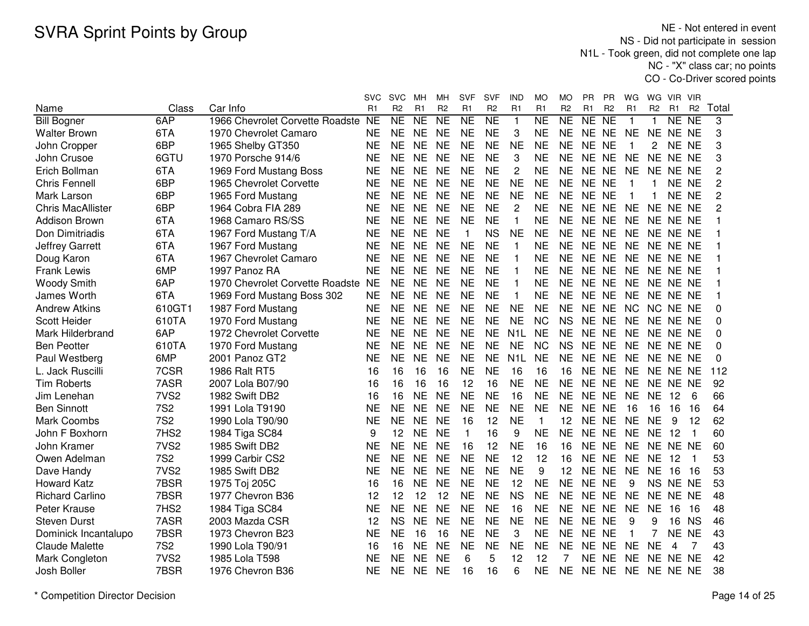NE - Not entered in event NS - Did not participate in session N1L - Took green, did not complete one lap NC - "X" class car; no pointsCO - Co-Driver scored points

|                          |                  |                                    | svc       | <b>SVC</b>     | MН             | MH.            | <b>SVF</b>     | <b>SVF</b>             | IND              | МO                  | MO             | PR             | <b>PR</b>                | WG             | WG             | VIR.                | <b>VIR</b>          |                |
|--------------------------|------------------|------------------------------------|-----------|----------------|----------------|----------------|----------------|------------------------|------------------|---------------------|----------------|----------------|--------------------------|----------------|----------------|---------------------|---------------------|----------------|
| Name                     | Class            | Car Info                           | R1        | R <sub>2</sub> | R <sub>1</sub> | R <sub>2</sub> | R <sub>1</sub> | R <sub>2</sub>         | R <sub>1</sub>   | R <sub>1</sub>      | R <sub>2</sub> | R <sub>1</sub> | R <sub>2</sub>           | R <sub>1</sub> | R <sub>2</sub> | R <sub>1</sub>      | R <sub>2</sub>      | Total          |
| <b>Bill Bogner</b>       | 6AP              | 1966 Chevrolet Corvette Roadste NE |           | NE             | <b>NE</b>      | NE             | <b>NE</b>      | $\overline{\text{NE}}$ | $\mathbf{1}$     | $\overline{\sf NE}$ | N <sub>E</sub> | NE             | $\overline{\mathsf{NE}}$ | $\overline{1}$ | 1              | $\overline{\sf NE}$ | $\overline{\sf NE}$ | 3              |
| <b>Walter Brown</b>      | 6TA              | 1970 Chevrolet Camaro              | <b>NE</b> | <b>NE</b>      | <b>NE</b>      | <b>NE</b>      | <b>NE</b>      | <b>NE</b>              | 3                | <b>NE</b>           | <b>NE</b>      | NE NE          |                          | <b>NE</b>      | <b>NE</b>      | NE NE               |                     | 3              |
| John Cropper             | 6BP              | 1965 Shelby GT350                  | <b>NE</b> | <b>NE</b>      | <b>NE</b>      | <b>NE</b>      | <b>NE</b>      | <b>NE</b>              | <b>NE</b>        | <b>NE</b>           | <b>NE</b>      | NE NE          |                          | $\mathbf{1}$   | 2              | NE NE               |                     | 3              |
| John Crusoe              | 6GTU             | 1970 Porsche 914/6                 | <b>NE</b> | <b>NE</b>      | <b>NE</b>      | <b>NE</b>      | <b>NE</b>      | <b>NE</b>              | 3                | <b>NE</b>           | <b>NE</b>      | NE NE          |                          | <b>NE</b>      | NE NE NE       |                     |                     | 3              |
| Erich Bollman            | 6TA              | 1969 Ford Mustang Boss             | <b>NE</b> | <b>NE</b>      | <b>NE</b>      | <b>NE</b>      | <b>NE</b>      | <b>NE</b>              | $\overline{2}$   | <b>NE</b>           | <b>NE</b>      | NE NE          |                          | <b>NE</b>      | <b>NE</b>      | NE NE               |                     | 2              |
| Chris Fennell            | 6BP              | 1965 Chevrolet Corvette            | <b>NE</b> | <b>NE</b>      | <b>NE</b>      | <b>NE</b>      | <b>NE</b>      | <b>NE</b>              | <b>NE</b>        | <b>NE</b>           | <b>NE</b>      | NE NE          |                          | $\mathbf{1}$   | $\mathbf 1$    | NE NE               |                     | $\overline{c}$ |
| Mark Larson              | 6BP              | 1965 Ford Mustang                  | <b>NE</b> | <b>NE</b>      | <b>NE</b>      | <b>NE</b>      | <b>NE</b>      | <b>NE</b>              | <b>NE</b>        | <b>NE</b>           | <b>NE</b>      | NE NE          |                          | -1             | $\mathbf 1$    | NE NE               |                     | $\overline{c}$ |
| <b>Chris MacAllister</b> | 6BP              | 1964 Cobra FIA 289                 | <b>NE</b> | <b>NE</b>      | <b>NE</b>      | <b>NE</b>      | <b>NE</b>      | <b>NE</b>              | $\overline{2}$   | <b>NE</b>           | <b>NE</b>      | NE NE          |                          | <b>NE</b>      | NE NE NE       |                     |                     | 2              |
| <b>Addison Brown</b>     | 6TA              | 1968 Camaro RS/SS                  | <b>NE</b> | <b>NE</b>      | <b>NE</b>      | <b>NE</b>      | <b>NE</b>      | <b>NE</b>              | $\mathbf 1$      | <b>NE</b>           | <b>NE</b>      | NE NE          |                          | <b>NE</b>      |                | NE NE NE            |                     |                |
| Don Dimitriadis          | 6TA              | 1967 Ford Mustang T/A              | <b>NE</b> | <b>NE</b>      | <b>NE</b>      | <b>NE</b>      | 1              | <b>NS</b>              | <b>NE</b>        | <b>NE</b>           | NE.            | NE NE          |                          | NE             | NE NE NE       |                     |                     |                |
| <b>Jeffrey Garrett</b>   | 6TA              | 1967 Ford Mustang                  | <b>NE</b> | <b>NE</b>      | <b>NE</b>      | <b>NE</b>      | <b>NE</b>      | <b>NE</b>              | $\mathbf{1}$     | <b>NE</b>           | <b>NE</b>      | NE NE          |                          | <b>NE</b>      | NE NE NE       |                     |                     |                |
| Doug Karon               | 6TA              | 1967 Chevrolet Camaro              | <b>NE</b> | <b>NE</b>      | <b>NE</b>      | <b>NE</b>      | <b>NE</b>      | <b>NE</b>              | 1                | <b>NE</b>           | <b>NE</b>      | NE NE          |                          | <b>NE</b>      | NE NE NE       |                     |                     |                |
| <b>Frank Lewis</b>       | 6MP              | 1997 Panoz RA                      | <b>NE</b> | <b>NE</b>      | <b>NE</b>      | <b>NE</b>      | <b>NE</b>      | <b>NE</b>              | $\mathbf{1}$     | <b>NE</b>           | <b>NE</b>      | NE NE          |                          | <b>NE</b>      | NE NE NE       |                     |                     |                |
| <b>Woody Smith</b>       | 6AP              | 1970 Chevrolet Corvette Roadste    | <b>NE</b> | <b>NE</b>      | <b>NE</b>      | <b>NE</b>      | <b>NE</b>      | <b>NE</b>              | $\mathbf{1}$     | <b>NE</b>           | <b>NE</b>      | NE NE          |                          | <b>NE</b>      | NE NE NE       |                     |                     |                |
| James Worth              | 6TA              | 1969 Ford Mustang Boss 302         | <b>NE</b> | <b>NE</b>      | <b>NE</b>      | <b>NE</b>      | <b>NE</b>      | <b>NE</b>              | $\mathbf{1}$     | <b>NE</b>           | <b>NE</b>      | NE NE          |                          | <b>NE</b>      | NE NE NE       |                     |                     |                |
| <b>Andrew Atkins</b>     | 610GT1           | 1987 Ford Mustang                  | <b>NE</b> | <b>NE</b>      | <b>NE</b>      | <b>NE</b>      | <b>NE</b>      | <b>NE</b>              | <b>NE</b>        | <b>NE</b>           | <b>NE</b>      | NE NE          |                          | <b>NC</b>      | NC NE NE       |                     |                     | 0              |
| Scott Heider             | 610TA            | 1970 Ford Mustang                  | <b>NE</b> | <b>NE</b>      | <b>NE</b>      | <b>NE</b>      | <b>NE</b>      | <b>NE</b>              | <b>NE</b>        | <b>NC</b>           | <b>NS</b>      | NE NE          |                          | <b>NE</b>      | NE NE NE       |                     |                     | 0              |
| Mark Hilderbrand         | 6AP              | 1972 Chevrolet Corvette            | <b>NE</b> | <b>NE</b>      | <b>NE</b>      | <b>NE</b>      | <b>NE</b>      | <b>NE</b>              | N <sub>1</sub> L | <b>NE</b>           | <b>NE</b>      | NE NE          |                          | <b>NE</b>      | NE NE NE       |                     |                     | 0              |
| <b>Ben Peotter</b>       | 610TA            | 1970 Ford Mustang                  | <b>NE</b> | <b>NE</b>      | <b>NE</b>      | <b>NE</b>      | <b>NE</b>      | <b>NE</b>              | <b>NE</b>        | <b>NC</b>           | <b>NS</b>      | NE NE          |                          | <b>NE</b>      | NE NE NE       |                     |                     | 0              |
| Paul Westberg            | 6MP              | 2001 Panoz GT2                     | <b>NE</b> | <b>NE</b>      | <b>NE</b>      | <b>NE</b>      | <b>NE</b>      | <b>NE</b>              | N <sub>1</sub> L | <b>NE</b>           | <b>NE</b>      | NE NE          |                          | <b>NE</b>      | NE NE NE       |                     |                     | $\Omega$       |
| L. Jack Ruscilli         | 7CSR             | 1986 Ralt RT5                      | 16        | 16             | 16             | 16             | <b>NE</b>      | <b>NE</b>              | 16               | 16                  | 16             | NE NE          |                          | <b>NE</b>      | NE NE NE       |                     |                     | 112            |
| <b>Tim Roberts</b>       | 7ASR             | 2007 Lola B07/90                   | 16        | 16             | 16             | 16             | 12             | 16                     | <b>NE</b>        | <b>NE</b>           | <b>NE</b>      | NE NE          |                          | <b>NE</b>      | NE NE NE       |                     |                     | 92             |
| Jim Lenehan              | 7VS <sub>2</sub> | 1982 Swift DB2                     | 16        | 16             | <b>NE</b>      | <b>NE</b>      | <b>NE</b>      | <b>NE</b>              | 16               | <b>NE</b>           | <b>NE</b>      | NE NE          |                          | <b>NE</b>      | <b>NE</b>      | 12                  | 6                   | 66             |
| <b>Ben Sinnott</b>       | <b>7S2</b>       | 1991 Lola T9190                    | NE        | <b>NE</b>      | <b>NE</b>      | <b>NE</b>      | <b>NE</b>      | <b>NE</b>              | <b>NE</b>        | <b>NE</b>           | <b>NE</b>      | NE NE          |                          | 16             | 16             | 16                  | 16                  | 64             |
| Mark Coombs              | <b>7S2</b>       | 1990 Lola T90/90                   | <b>NE</b> | <b>NE</b>      | <b>NE</b>      | <b>NE</b>      | 16             | 12                     | <b>NE</b>        | 1                   | 12             | NE NE          |                          | <b>NE</b>      | <b>NE</b>      | 9                   | 12                  | 62             |
| John F Boxhorn           | 7HS2             | 1984 Tiga SC84                     | 9         | 12             | <b>NE</b>      | <b>NE</b>      | $\mathbf{1}$   | 16                     | 9                | <b>NE</b>           | <b>NE</b>      | NE NE          |                          | <b>NE</b>      | <b>NE</b>      | 12                  |                     | 60             |
| John Kramer              | 7VS <sub>2</sub> | 1985 Swift DB2                     | <b>NE</b> | <b>NE</b>      | <b>NE</b>      | <b>NE</b>      | 16             | 12                     | <b>NE</b>        | 16                  | 16             | NE NE          |                          | <b>NE</b>      | NE NE NE       |                     |                     | 60             |
| Owen Adelman             | <b>7S2</b>       | 1999 Carbir CS2                    | <b>NE</b> | <b>NE</b>      | <b>NE</b>      | <b>NE</b>      | <b>NE</b>      | <b>NE</b>              | 12               | 12                  | 16             | <b>NE</b>      | <b>NE</b>                | <b>NE</b>      | <b>NE</b>      | 12                  | 1                   | 53             |
| Dave Handy               | 7VS <sub>2</sub> | 1985 Swift DB2                     | <b>NE</b> | <b>NE</b>      | <b>NE</b>      | <b>NE</b>      | <b>NE</b>      | <b>NE</b>              | <b>NE</b>        | 9                   | 12             | <b>NE</b>      | <b>NE</b>                | <b>NE</b>      | <b>NE</b>      | 16                  | 16                  | 53             |
| <b>Howard Katz</b>       | 7BSR             | 1975 Toj 205C                      | 16        | 16             | <b>NE</b>      | <b>NE</b>      | <b>NE</b>      | <b>NE</b>              | 12               | <b>NE</b>           | <b>NE</b>      | NE NE          |                          | 9              |                | NS NE NE            |                     | 53             |
| <b>Richard Carlino</b>   | 7BSR             | 1977 Chevron B36                   | 12        | 12             | 12             | 12             | <b>NE</b>      | <b>NE</b>              | <b>NS</b>        | <b>NE</b>           | <b>NE</b>      | NE NE          |                          | <b>NE</b>      | <b>NE</b>      | NE NE               |                     | 48             |
| Peter Krause             | 7HS2             | 1984 Tiga SC84                     | <b>NE</b> | <b>NE</b>      | <b>NE</b>      | <b>NE</b>      | <b>NE</b>      | <b>NE</b>              | 16               | <b>NE</b>           | <b>NE</b>      | NE NE          |                          | <b>NE</b>      | <b>NE</b>      | 16                  | 16                  | 48             |
| <b>Steven Durst</b>      | 7ASR             | 2003 Mazda CSR                     | 12        | <b>NS</b>      | <b>NE</b>      | <b>NE</b>      | <b>NE</b>      | <b>NE</b>              | <b>NE</b>        | <b>NE</b>           | <b>NE</b>      | NE NE          |                          | 9              | 9              | 16                  | <b>NS</b>           | 46             |
| Dominick Incantalupo     | 7BSR             | 1973 Chevron B23                   | <b>NE</b> | <b>NE</b>      | 16             | 16             | <b>NE</b>      | <b>NE</b>              | 3                | <b>NE</b>           | <b>NE</b>      | NE NE          |                          | $\mathbf{1}$   | 7              | <b>NE</b>           | <b>NE</b>           | 43             |
| <b>Claude Malette</b>    | <b>7S2</b>       | 1990 Lola T90/91                   | 16        | 16             | <b>NE</b>      | <b>NE</b>      | <b>NE</b>      | <b>NE</b>              | <b>NE</b>        | <b>NE</b>           | <b>NE</b>      | NE NE          |                          | <b>NE</b>      | <b>NE</b>      | 4                   | 7                   | 43             |
| Mark Congleton           | 7VS <sub>2</sub> | 1985 Lola T598                     | <b>NE</b> | <b>NE</b>      | <b>NE</b>      | <b>NE</b>      | 6              | 5                      | 12               | 12                  | 7              | NE NE          |                          | <b>NE</b>      |                | NE NE NE            |                     | 42             |
| Josh Boller              | 7BSR             | 1976 Chevron B36                   | <b>NE</b> | <b>NE</b>      | <b>NE</b>      | <b>NE</b>      | 16             | 16                     | 6                | <b>NE</b>           | <b>NE</b>      | NE NE          |                          | <b>NE</b>      | NE NE NE       |                     |                     | 38             |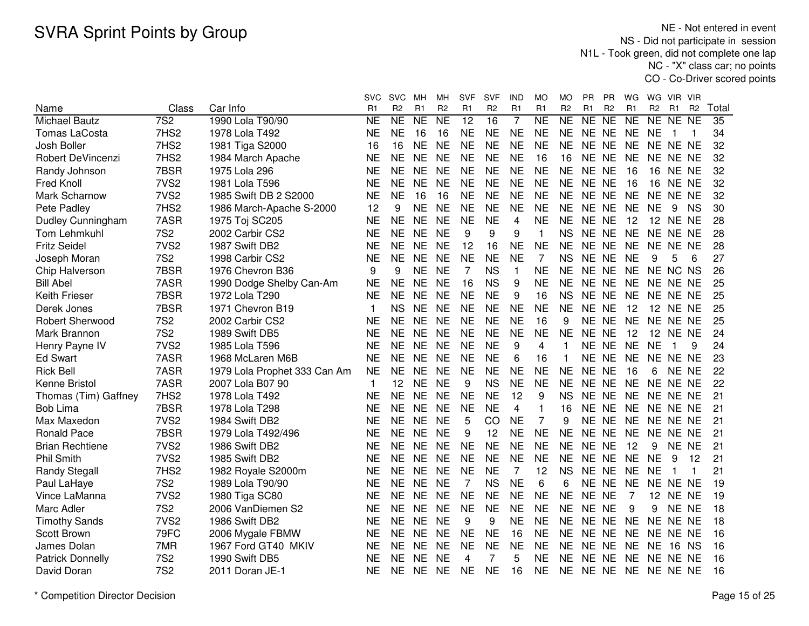NE - Not entered in event NS - Did not participate in session N1L - Took green, did not complete one lap NC - "X" class car; no pointsCO - Co-Driver scored points

|                          |                  |                              | svc          | <b>SVC</b>          | мн             | MН             | <b>SVF</b>     | SVF            | IND            | МO             | МO                  | РR        | <b>PR</b>      | WG        | WG              | VIR.            | - VIR          |       |
|--------------------------|------------------|------------------------------|--------------|---------------------|----------------|----------------|----------------|----------------|----------------|----------------|---------------------|-----------|----------------|-----------|-----------------|-----------------|----------------|-------|
| Name                     | Class            | Car Info                     | R1           | R <sub>2</sub>      | R <sub>1</sub> | R <sub>2</sub> | R <sub>1</sub> | R <sub>2</sub> | R <sub>1</sub> | R <sub>1</sub> | R <sub>2</sub>      | R1        | R <sub>2</sub> | R1        | R <sub>2</sub>  | R <sub>1</sub>  | R <sub>2</sub> | Total |
| <b>Michael Bautz</b>     | 7S <sub>2</sub>  | 1990 Lola T90/90             | <b>NE</b>    | $\overline{\sf NE}$ | <b>NE</b>      | <b>NE</b>      | 12             | 16             | $\overline{7}$ | <b>NE</b>      | $\overline{\sf NE}$ | NE        | <b>NE</b>      | <b>NE</b> | <b>NE</b>       | NE              | <b>NE</b>      | 35    |
| <b>Tomas LaCosta</b>     | 7HS2             | 1978 Lola T492               | <b>NE</b>    | <b>NE</b>           | 16             | 16             | <b>NE</b>      | <b>NE</b>      | <b>NE</b>      | <b>NE</b>      | <b>NE</b>           | NE NE     |                | <b>NE</b> | <b>NE</b>       | 1               | -1             | 34    |
| Josh Boller              | 7HS2             | 1981 Tiga S2000              | 16           | 16                  | <b>NE</b>      | <b>NE</b>      | <b>NE</b>      | <b>NE</b>      | <b>NE</b>      | <b>NE</b>      | <b>NE</b>           | NE.       | <b>NE</b>      | <b>NE</b> | NE.             | NE NE           |                | 32    |
| <b>Robert DeVincenzi</b> | 7HS2             | 1984 March Apache            | <b>NE</b>    | <b>NE</b>           | <b>NE</b>      | <b>NE</b>      | <b>NE</b>      | <b>NE</b>      | <b>NE</b>      | 16             | 16                  | <b>NE</b> | <b>NE</b>      | <b>NE</b> | <b>NE</b>       | NE NE           |                | 32    |
| Randy Johnson            | 7BSR             | 1975 Lola 296                | <b>NE</b>    | <b>NE</b>           | <b>NE</b>      | <b>NE</b>      | <b>NE</b>      | <b>NE</b>      | <b>NE</b>      | <b>NE</b>      | <b>NE</b>           | <b>NE</b> | <b>NE</b>      | 16        | 16              | NE NE           |                | 32    |
| <b>Fred Knoll</b>        | 7VS <sub>2</sub> | 1981 Lola T596               | <b>NE</b>    | <b>NE</b>           | <b>NE</b>      | <b>NE</b>      | <b>NE</b>      | <b>NE</b>      | <b>NE</b>      | <b>NE</b>      | <b>NE</b>           | NE NE     |                | 16        | 16              | NE NE           |                | 32    |
| Mark Scharnow            | 7VS <sub>2</sub> | 1985 Swift DB 2 S2000        | <b>NE</b>    | <b>NE</b>           | 16             | 16             | <b>NE</b>      | <b>NE</b>      | <b>NE</b>      | <b>NE</b>      | <b>NE</b>           | NE NE     |                | <b>NE</b> |                 | NE NE NE        |                | 32    |
| Pete Padley              | 7HS2             | 1986 March-Apache S-2000     | 12           | 9                   | <b>NE</b>      | <b>NE</b>      | <b>NE</b>      | <b>NE</b>      | <b>NE</b>      | <b>NE</b>      | <b>NE</b>           | NE NE     |                | <b>NE</b> | <b>NE</b>       | 9               | <b>NS</b>      | 30    |
| Dudley Cunningham        | 7ASR             | 1975 Toj SC205               | <b>NE</b>    | <b>NE</b>           | <b>NE</b>      | <b>NE</b>      | <b>NE</b>      | <b>NE</b>      | 4              | <b>NE</b>      | <b>NE</b>           | NE NE     |                | 12        |                 | <b>12 NE NE</b> |                | 28    |
| Tom Lehmkuhl             | <b>7S2</b>       | 2002 Carbir CS2              | <b>NE</b>    | <b>NE</b>           | <b>NE</b>      | <b>NE</b>      | 9              | 9              | 9              | 1              | <b>NS</b>           | NE NE     |                | <b>NE</b> |                 | NE NE NE        |                | 28    |
| <b>Fritz Seidel</b>      | 7VS <sub>2</sub> | 1987 Swift DB2               | <b>NE</b>    | <b>NE</b>           | <b>NE</b>      | <b>NE</b>      | 12             | 16             | <b>NE</b>      | <b>NE</b>      | <b>NE</b>           | NE        | <b>NE</b>      | <b>NE</b> | <b>NE</b>       | NE NE           |                | 28    |
| Joseph Moran             | <b>7S2</b>       | 1998 Carbir CS2              | <b>NE</b>    | <b>NE</b>           | <b>NE</b>      | <b>NE</b>      | <b>NE</b>      | <b>NE</b>      | <b>NE</b>      | $\overline{7}$ | <b>NS</b>           | <b>NE</b> | <b>NE</b>      | <b>NE</b> | 9               | 5               | 6              | 27    |
| Chip Halverson           | 7BSR             | 1976 Chevron B36             | 9            | 9                   | <b>NE</b>      | <b>NE</b>      | $\overline{7}$ | <b>NS</b>      | $\mathbf{1}$   | <b>NE</b>      | <b>NE</b>           | <b>NE</b> | <b>NE</b>      | <b>NE</b> |                 | NE NC           | <b>NS</b>      | 26    |
| <b>Bill Abel</b>         | 7ASR             | 1990 Dodge Shelby Can-Am     | <b>NE</b>    | <b>NE</b>           | <b>NE</b>      | <b>NE</b>      | 16             | <b>NS</b>      | 9              | <b>NE</b>      | <b>NE</b>           | NE NE     |                | <b>NE</b> | NE NE NE        |                 |                | 25    |
| Keith Frieser            | 7BSR             | 1972 Lola T290               | <b>NE</b>    | <b>NE</b>           | <b>NE</b>      | <b>NE</b>      | <b>NE</b>      | <b>NE</b>      | 9              | 16             | <b>NS</b>           | <b>NE</b> | <b>NE</b>      | <b>NE</b> |                 | NE NE NE        |                | 25    |
| Derek Jones              | 7BSR             | 1971 Chevron B19             | $\mathbf{1}$ | <b>NS</b>           | <b>NE</b>      | <b>NE</b>      | <b>NE</b>      | <b>NE</b>      | <b>NE</b>      | <b>NE</b>      | <b>NE</b>           | <b>NE</b> | <b>NE</b>      | 12        | 12 <sup>2</sup> | NE NE           |                | 25    |
| <b>Robert Sherwood</b>   | <b>7S2</b>       | 2002 Carbir CS2              | <b>NE</b>    | <b>NE</b>           | <b>NE</b>      | <b>NE</b>      | <b>NE</b>      | <b>NE</b>      | <b>NE</b>      | 16             | 9                   | <b>NE</b> | <b>NE</b>      | <b>NE</b> | <b>NE</b>       | NE NE           |                | 25    |
| Mark Brannon             | <b>7S2</b>       | 1989 Swift DB5               | <b>NE</b>    | <b>NE</b>           | <b>NE</b>      | <b>NE</b>      | <b>NE</b>      | <b>NE</b>      | <b>NE</b>      | <b>NE</b>      | <b>NE</b>           | <b>NE</b> | <b>NE</b>      | 12        | 12 <sup>2</sup> | NE NE           |                | 24    |
| Henry Payne IV           | 7VS <sub>2</sub> | 1985 Lola T596               | <b>NE</b>    | <b>NE</b>           | <b>NE</b>      | <b>NE</b>      | <b>NE</b>      | <b>NE</b>      | 9              | 4              | 1                   | NE NE     |                | <b>NE</b> | <b>NE</b>       | 1               | 9              | 24    |
| <b>Ed Swart</b>          | 7ASR             | 1968 McLaren M6B             | <b>NE</b>    | <b>NE</b>           | <b>NE</b>      | <b>NE</b>      | <b>NE</b>      | <b>NE</b>      | 6              | 16             | 1                   | NE NE     |                | <b>NE</b> | NE.             | NE NE           |                | 23    |
| <b>Rick Bell</b>         | 7ASR             | 1979 Lola Prophet 333 Can Am | <b>NE</b>    | <b>NE</b>           | <b>NE</b>      | <b>NE</b>      | <b>NE</b>      | <b>NE</b>      | NE             | <b>NE</b>      | <b>NE</b>           | NE NE     |                | 16        | 6               | NE NE           |                | 22    |
| Kenne Bristol            | 7ASR             | 2007 Lola B07 90             | $\mathbf 1$  | 12                  | <b>NE</b>      | <b>NE</b>      | 9              | <b>NS</b>      | <b>NE</b>      | <b>NE</b>      | <b>NE</b>           | NE NE     |                | <b>NE</b> |                 | NE NE NE        |                | 22    |
| Thomas (Tim) Gaffney     | 7HS2             | 1978 Lola T492               | <b>NE</b>    | <b>NE</b>           | <b>NE</b>      | <b>NE</b>      | <b>NE</b>      | <b>NE</b>      | 12             | 9              | <b>NS</b>           | <b>NE</b> | <b>NE</b>      | <b>NE</b> |                 | NE NE NE        |                | 21    |
| <b>Bob Lima</b>          | 7BSR             | 1978 Lola T298               | <b>NE</b>    | <b>NE</b>           | <b>NE</b>      | <b>NE</b>      | <b>NE</b>      | <b>NE</b>      | 4              | $\mathbf{1}$   | 16                  | <b>NE</b> | <b>NE</b>      | <b>NE</b> |                 | NE NE NE        |                | 21    |
| Max Maxedon              | 7VS <sub>2</sub> | 1984 Swift DB2               | <b>NE</b>    | <b>NE</b>           | <b>NE</b>      | <b>NE</b>      | 5              | CO             | <b>NE</b>      | 7              | 9                   | <b>NE</b> | <b>NE</b>      | <b>NE</b> | NE              | NE NE           |                | 21    |
| <b>Ronald Pace</b>       | 7BSR             | 1979 Lola T492/496           | <b>NE</b>    | <b>NE</b>           | <b>NE</b>      | <b>NE</b>      | 9              | 12             | <b>NE</b>      | <b>NE</b>      | <b>NE</b>           | NE.       | <b>NE</b>      | <b>NE</b> | NE.             | NE NE           |                | 21    |
| <b>Brian Rechtiene</b>   | 7VS <sub>2</sub> | 1986 Swift DB2               | <b>NE</b>    | <b>NE</b>           | <b>NE</b>      | <b>NE</b>      | <b>NE</b>      | <b>NE</b>      | <b>NE</b>      | <b>NE</b>      | <b>NE</b>           | <b>NE</b> | <b>NE</b>      | 12        | 9               | NE NE           |                | 21    |
| <b>Phil Smith</b>        | 7VS <sub>2</sub> | 1985 Swift DB2               | <b>NE</b>    | <b>NE</b>           | <b>NE</b>      | <b>NE</b>      | <b>NE</b>      | <b>NE</b>      | <b>NE</b>      | <b>NE</b>      | <b>NE</b>           | NE.       | <b>NE</b>      | <b>NE</b> | <b>NE</b>       | 9               | 12             | 21    |
| <b>Randy Stegall</b>     | 7HS2             | 1982 Royale S2000m           | <b>NE</b>    | <b>NE</b>           | <b>NE</b>      | <b>NE</b>      | <b>NE</b>      | <b>NE</b>      | $\overline{7}$ | 12             | <b>NS</b>           | <b>NE</b> | <b>NE</b>      | <b>NE</b> | <b>NE</b>       | 1               | 1              | 21    |
| Paul LaHaye              | <b>7S2</b>       | 1989 Lola T90/90             | <b>NE</b>    | <b>NE</b>           | <b>NE</b>      | <b>NE</b>      | 7              | <b>NS</b>      | <b>NE</b>      | 6              | 6                   | <b>NE</b> | <b>NE</b>      | <b>NE</b> | NE.             | NE NE           |                | 19    |
| Vince LaManna            | 7VS <sub>2</sub> | 1980 Tiga SC80               | <b>NE</b>    | <b>NE</b>           | <b>NE</b>      | <b>NE</b>      | <b>NE</b>      | <b>NE</b>      | <b>NE</b>      | <b>NE</b>      | <b>NE</b>           | <b>NE</b> | <b>NE</b>      | 7         | 12              | NE NE           |                | 19    |
| Marc Adler               | <b>7S2</b>       | 2006 VanDiemen S2            | <b>NE</b>    | <b>NE</b>           | <b>NE</b>      | <b>NE</b>      | <b>NE</b>      | <b>NE</b>      | <b>NE</b>      | <b>NE</b>      | <b>NE</b>           | <b>NE</b> | <b>NE</b>      | 9         | 9               | NE NE           |                | 18    |
| <b>Timothy Sands</b>     | 7VS <sub>2</sub> | 1986 Swift DB2               | <b>NE</b>    | <b>NE</b>           | <b>NE</b>      | <b>NE</b>      | 9              | 9              | <b>NE</b>      | <b>NE</b>      | <b>NE</b>           | NE NE     |                | <b>NE</b> |                 | NE NE NE        |                | 18    |
| Scott Brown              | 79FC             | 2006 Mygale FBMW             | <b>NE</b>    | <b>NE</b>           | <b>NE</b>      | <b>NE</b>      | <b>NE</b>      | <b>NE</b>      | 16             | <b>NE</b>      | <b>NE</b>           | NE NE     |                | <b>NE</b> |                 | NE NE NE        |                | 16    |
| James Dolan              | 7MR              | 1967 Ford GT40 MKIV          | <b>NE</b>    | <b>NE</b>           | <b>NE</b>      | <b>NE</b>      | <b>NE</b>      | <b>NE</b>      | NE             | NE             | <b>NE</b>           | NE NE     |                | <b>NE</b> | NE              | 16 NS           |                | 16    |
| <b>Patrick Donnelly</b>  | <b>7S2</b>       | 1990 Swift DB5               | NE           | <b>NE</b>           | <b>NE</b>      | NE             | 4              | 7              | 5              | ΝE             | ΝE                  | NE.       | <b>NE</b>      | <b>NE</b> |                 | NE NE NE        |                | 16    |
| David Doran              | <b>7S2</b>       | 2011 Doran JE-1              | <b>NE</b>    | <b>NE</b>           | <b>NE</b>      | <b>NE</b>      | <b>NE</b>      | <b>NE</b>      | 16             | <b>NE</b>      | <b>NE</b>           | NE NE     |                | <b>NE</b> | NE NE NE        |                 |                | 16    |
|                          |                  |                              |              |                     |                |                |                |                |                |                |                     |           |                |           |                 |                 |                |       |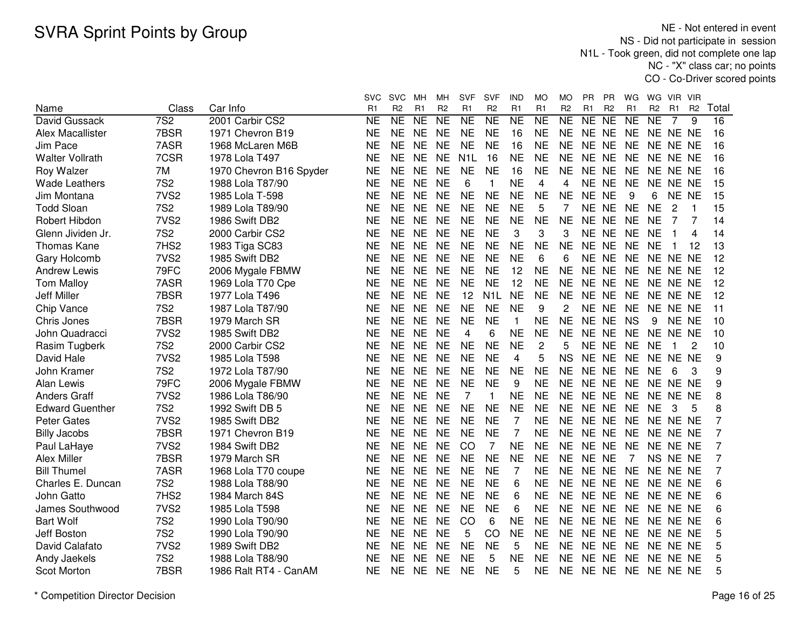NE - Not entered in event NS - Did not participate in session N1L - Took green, did not complete one lap NC - "X" class car; no pointsCO - Co-Driver scored points

|                        |                  |                         | svc       | <b>SVC</b>          | MН        | MН                     | <b>SVF</b>       | <b>SVF</b>       | IND                    | MO             | МO             | <b>PR</b> | PR             | WG             | WG.            | VIR.     | VIR            |                |
|------------------------|------------------|-------------------------|-----------|---------------------|-----------|------------------------|------------------|------------------|------------------------|----------------|----------------|-----------|----------------|----------------|----------------|----------|----------------|----------------|
| Name                   | Class            | Car Info                | R1        | R <sub>2</sub>      | R1        | R <sub>2</sub>         | R <sub>1</sub>   | R <sub>2</sub>   | R <sub>1</sub>         | R <sub>1</sub> | R <sub>2</sub> | R1        | R <sub>2</sub> | R <sub>1</sub> | R <sub>2</sub> | R1       | R <sub>2</sub> | Total          |
| David Gussack          | 7S <sub>2</sub>  | 2001 Carbir CS2         | <b>NE</b> | $\overline{\sf NE}$ | <b>NE</b> | $\overline{\text{NE}}$ | <b>NE</b>        | N <sub>E</sub>   | $\overline{\text{NE}}$ | <b>NE</b>      | NE             | NE        | <b>NE</b>      | NE             | <b>NE</b>      | 7        | 9              | 16             |
| Alex Macallister       | 7BSR             | 1971 Chevron B19        | <b>NE</b> | <b>NE</b>           | <b>NE</b> | <b>NE</b>              | <b>NE</b>        | <b>NE</b>        | 16                     | <b>NE</b>      | <b>NE</b>      | NE NE     |                | <b>NE</b>      |                | NE NE NE |                | 16             |
| Jim Pace               | 7ASR             | 1968 McLaren M6B        | <b>NE</b> | <b>NE</b>           | <b>NE</b> | <b>NE</b>              | <b>NE</b>        | <b>NE</b>        | 16                     | <b>NE</b>      | <b>NE</b>      | NE NE     |                | <b>NE</b>      |                | NE NE NE |                | 16             |
| <b>Walter Vollrath</b> | 7CSR             | 1978 Lola T497          | <b>NE</b> | <b>NE</b>           | <b>NE</b> | <b>NE</b>              | N <sub>1</sub> L | 16               | <b>NE</b>              | <b>NE</b>      | <b>NE</b>      | NE NE     |                | <b>NE</b>      |                | NE NE NE |                | 16             |
| Roy Walzer             | 7M               | 1970 Chevron B16 Spyder | <b>NE</b> | <b>NE</b>           | <b>NE</b> | <b>NE</b>              | <b>NE</b>        | <b>NE</b>        | 16                     | <b>NE</b>      | <b>NE</b>      | NE NE     |                | <b>NE</b>      |                | NE NE NE |                | 16             |
| <b>Wade Leathers</b>   | <b>7S2</b>       | 1988 Lola T87/90        | NE        | NE                  | <b>NE</b> | <b>NE</b>              | 6                | $\mathbf{1}$     | <b>NE</b>              | 4              | 4              | NE NE     |                | <b>NE</b>      |                | NE NE NE |                | 15             |
| Jim Montana            | 7VS <sub>2</sub> | 1985 Lola T-598         | <b>NE</b> | <b>NE</b>           | <b>NE</b> | <b>NE</b>              | <b>NE</b>        | <b>NE</b>        | <b>NE</b>              | <b>NE</b>      | <b>NE</b>      | NE NE     |                | 9              | 6              | NE NE    |                | 15             |
| <b>Todd Sloan</b>      | <b>7S2</b>       | 1989 Lola T89/90        | NE        | <b>NE</b>           | <b>NE</b> | <b>NE</b>              | <b>NE</b>        | <b>NE</b>        | <b>NE</b>              | 5              | $\overline{7}$ | NE NE     |                | <b>NE</b>      | <b>NE</b>      | 2        | 1              | 15             |
| Robert Hibdon          | 7VS <sub>2</sub> | 1986 Swift DB2          | NE        | <b>NE</b>           | <b>NE</b> | <b>NE</b>              | <b>NE</b>        | <b>NE</b>        | <b>NE</b>              | <b>NE</b>      | <b>NE</b>      | NE NE     |                | <b>NE</b>      | <b>NE</b>      | 7        | 7              | 14             |
| Glenn Jividen Jr.      | <b>7S2</b>       | 2000 Carbir CS2         | <b>NE</b> | <b>NE</b>           | <b>NE</b> | <b>NE</b>              | <b>NE</b>        | <b>NE</b>        | 3                      | 3              | 3              | NE NE     |                | <b>NE</b>      | <b>NE</b>      |          | 4              | 14             |
| <b>Thomas Kane</b>     | 7HS <sub>2</sub> | 1983 Tiga SC83          | <b>NE</b> | <b>NE</b>           | <b>NE</b> | <b>NE</b>              | <b>NE</b>        | <b>NE</b>        | <b>NE</b>              | <b>NE</b>      | <b>NE</b>      | NE NE     |                | <b>NE</b>      | <b>NE</b>      | 1        | 12             | 13             |
| Gary Holcomb           | 7VS <sub>2</sub> | 1985 Swift DB2          | <b>NE</b> | <b>NE</b>           | <b>NE</b> | <b>NE</b>              | <b>NE</b>        | <b>NE</b>        | <b>NE</b>              | 6              | 6              | NE NE     |                | <b>NE</b>      | NE NE NE       |          |                | 12             |
| <b>Andrew Lewis</b>    | 79FC             | 2006 Mygale FBMW        | <b>NE</b> | <b>NE</b>           | <b>NE</b> | <b>NE</b>              | <b>NE</b>        | <b>NE</b>        | 12                     | <b>NE</b>      | <b>NE</b>      | <b>NE</b> | <b>NE</b>      | <b>NE</b>      | NE NE NE       |          |                | 12             |
| <b>Tom Malloy</b>      | 7ASR             | 1969 Lola T70 Cpe       | <b>NE</b> | <b>NE</b>           | <b>NE</b> | <b>NE</b>              | <b>NE</b>        | <b>NE</b>        | 12                     | <b>NE</b>      | <b>NE</b>      | NE NE     |                | <b>NE</b>      | NE NE NE       |          |                | 12             |
| Jeff Miller            | 7BSR             | 1977 Lola T496          | <b>NE</b> | <b>NE</b>           | <b>NE</b> | <b>NE</b>              | 12               | N <sub>1</sub> L | <b>NE</b>              | <b>NE</b>      | <b>NE</b>      | NE NE     |                | <b>NE</b>      | NE NE NE       |          |                | 12             |
| Chip Vance             | <b>7S2</b>       | 1987 Lola T87/90        | <b>NE</b> | <b>NE</b>           | <b>NE</b> | <b>NE</b>              | <b>NE</b>        | <b>NE</b>        | <b>NE</b>              | 9              | 2              | NE NE     |                | <b>NE</b>      |                | NE NE NE |                | 11             |
| Chris Jones            | 7BSR             | 1979 March SR           | <b>NE</b> | <b>NE</b>           | <b>NE</b> | <b>NE</b>              | <b>NE</b>        | <b>NE</b>        | $\mathbf{1}$           | <b>NE</b>      | <b>NE</b>      | NE NE     |                | <b>NS</b>      | 9              | NE NE    |                | 10             |
| John Quadracci         | 7VS <sub>2</sub> | 1985 Swift DB2          | <b>NE</b> | <b>NE</b>           | <b>NE</b> | <b>NE</b>              | 4                | 6                | <b>NE</b>              | <b>NE</b>      | <b>NE</b>      | NE NE     |                | <b>NE</b>      | NE NE NE       |          |                | 10             |
| Rasim Tugberk          | <b>7S2</b>       | 2000 Carbir CS2         | <b>NE</b> | <b>NE</b>           | <b>NE</b> | <b>NE</b>              | <b>NE</b>        | <b>NE</b>        | <b>NE</b>              | 2              | 5              | NE NE     |                | <b>NE</b>      | <b>NE</b>      | -1       | 2              | 10             |
| David Hale             | 7VS <sub>2</sub> | 1985 Lola T598          | <b>NE</b> | <b>NE</b>           | <b>NE</b> | <b>NE</b>              | <b>NE</b>        | <b>NE</b>        | 4                      | 5              | <b>NS</b>      | NE NE     |                | <b>NE</b>      | NE NE NE       |          |                | 9              |
| John Kramer            | <b>7S2</b>       | 1972 Lola T87/90        | NE        | NE                  | <b>NE</b> | <b>NE</b>              | <b>NE</b>        | <b>NE</b>        | <b>NE</b>              | <b>NE</b>      | <b>NE</b>      | NE NE     |                | <b>NE</b>      | <b>NE</b>      | 6        | 3              | 9              |
| Alan Lewis             | 79FC             | 2006 Mygale FBMW        | <b>NE</b> | <b>NE</b>           | <b>NE</b> | <b>NE</b>              | <b>NE</b>        | <b>NE</b>        | 9                      | <b>NE</b>      | <b>NE</b>      | NE NE     |                | <b>NE</b>      | NE NE NE       |          |                | 9              |
| <b>Anders Graff</b>    | 7VS <sub>2</sub> | 1986 Lola T86/90        | <b>NE</b> | <b>NE</b>           | <b>NE</b> | <b>NE</b>              | 7                | 1                | <b>NE</b>              | <b>NE</b>      | <b>NE</b>      | NE NE     |                | <b>NE</b>      |                | NE NE NE |                | 8              |
| <b>Edward Guenther</b> | <b>7S2</b>       | 1992 Swift DB 5         | <b>NE</b> | <b>NE</b>           | <b>NE</b> | <b>NE</b>              | <b>NE</b>        | <b>NE</b>        | <b>NE</b>              | <b>NE</b>      | <b>NE</b>      | NE NE     |                | <b>NE</b>      | <b>NE</b>      | 3        | 5              | 8              |
| <b>Peter Gates</b>     | 7VS <sub>2</sub> | 1985 Swift DB2          | <b>NE</b> | <b>NE</b>           | <b>NE</b> | <b>NE</b>              | <b>NE</b>        | <b>NE</b>        | 7                      | <b>NE</b>      | <b>NE</b>      | NE NE     |                | <b>NE</b>      |                | NE NE NE |                |                |
| <b>Billy Jacobs</b>    | 7BSR             | 1971 Chevron B19        | <b>NE</b> | <b>NE</b>           | <b>NE</b> | <b>NE</b>              | <b>NE</b>        | <b>NE</b>        | 7                      | <b>NE</b>      | <b>NE</b>      | NE NE     |                | <b>NE</b>      |                | NE NE NE |                |                |
| Paul LaHaye            | 7VS <sub>2</sub> | 1984 Swift DB2          | <b>NE</b> | <b>NE</b>           | <b>NE</b> | <b>NE</b>              | CO               | $\overline{7}$   | <b>NE</b>              | <b>NE</b>      | <b>NE</b>      | NE NE     |                | <b>NE</b>      |                | NE NE NE |                | 7              |
| <b>Alex Miller</b>     | 7BSR             | 1979 March SR           | <b>NE</b> | <b>NE</b>           | <b>NE</b> | <b>NE</b>              | <b>NE</b>        | <b>NE</b>        | <b>NE</b>              | <b>NE</b>      | <b>NE</b>      | NE NE     |                | 7              |                | NS NE NE |                | 7              |
| <b>Bill Thumel</b>     | 7ASR             | 1968 Lola T70 coupe     | <b>NE</b> | <b>NE</b>           | <b>NE</b> | <b>NE</b>              | <b>NE</b>        | <b>NE</b>        | $\overline{7}$         | <b>NE</b>      | <b>NE</b>      | NE NE     |                | <b>NE</b>      |                | NE NE NE |                | $\overline{7}$ |
| Charles E. Duncan      | <b>7S2</b>       | 1988 Lola T88/90        | <b>NE</b> | <b>NE</b>           | <b>NE</b> | <b>NE</b>              | <b>NE</b>        | <b>NE</b>        | 6                      | <b>NE</b>      | <b>NE</b>      | NE NE     |                | <b>NE</b>      |                | NE NE NE |                | 6              |
| John Gatto             | 7HS <sub>2</sub> | 1984 March 84S          | <b>NE</b> | <b>NE</b>           | <b>NE</b> | <b>NE</b>              | <b>NE</b>        | <b>NE</b>        | 6                      | <b>NE</b>      | <b>NE</b>      | NE NE     |                | <b>NE</b>      |                | NE NE NE |                | 6              |
| James Southwood        | 7VS <sub>2</sub> | 1985 Lola T598          | <b>NE</b> | <b>NE</b>           | <b>NE</b> | <b>NE</b>              | <b>NE</b>        | <b>NE</b>        | 6                      | <b>NE</b>      | <b>NE</b>      | NE NE     |                | <b>NE</b>      |                | NE NE NE |                | 6              |
| <b>Bart Wolf</b>       | <b>7S2</b>       | 1990 Lola T90/90        | <b>NE</b> | <b>NE</b>           | <b>NE</b> | <b>NE</b>              | CO               | 6                | <b>NE</b>              | <b>NE</b>      | <b>NE</b>      | NE NE     |                | <b>NE</b>      |                | NE NE NE |                | 6              |
| Jeff Boston            | <b>7S2</b>       | 1990 Lola T90/90        | <b>NE</b> | <b>NE</b>           | <b>NE</b> | <b>NE</b>              | 5                | CO               | <b>NE</b>              | <b>NE</b>      | <b>NE</b>      | NE NE     |                | <b>NE</b>      |                | NE NE NE |                | 5              |
| David Calafato         | 7VS <sub>2</sub> | 1989 Swift DB2          | NE        | <b>NE</b>           | NE        | <b>NE</b>              | <b>NE</b>        | <b>NE</b>        | 5                      | NE             | NE.            | NE NE     |                | <b>NE</b>      | NE NE NE       |          |                | 5              |
| Andy Jaekels           | <b>7S2</b>       | 1988 Lola T88/90        | NE        | NE.                 | <b>NE</b> | <b>NE</b>              | <b>NE</b>        | 5                | <b>NE</b>              | NE             | <b>NE</b>      | NE NE     |                | NE             |                | NE NE NE |                | 5              |
| Scot Morton            | 7BSR             | 1986 Ralt RT4 - CanAM   | <b>NE</b> | <b>NE</b>           | <b>NE</b> | <b>NE</b>              | <b>NE</b>        | <b>NE</b>        | 5                      | <b>NE</b>      | <b>NE</b>      | NE NE     |                | <b>NE</b>      | NE NE NE       |          |                | 5              |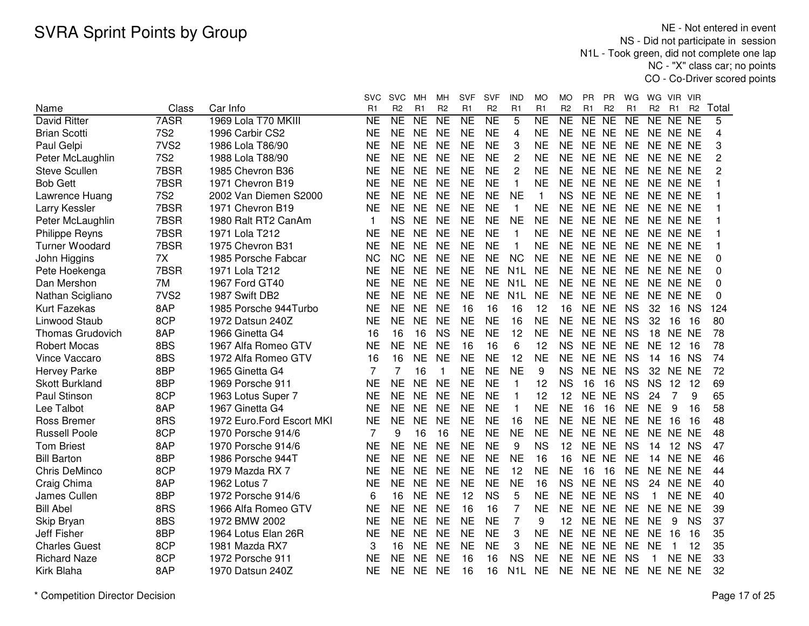NE - Not entered in event NS - Did not participate in session N1L - Took green, did not complete one lap NC - "X" class car; no pointsCO - Co-Driver scored points

|                         |                  |                           | <b>SVC</b>             | <b>SVC</b>     | MН        | мн             | <b>SVF</b>     | <b>SVF</b>     | IND              | MO             | МO             | PR             | РR              | WG             | WG             | VIR.  | - VIR          |       |
|-------------------------|------------------|---------------------------|------------------------|----------------|-----------|----------------|----------------|----------------|------------------|----------------|----------------|----------------|-----------------|----------------|----------------|-------|----------------|-------|
| Name                    | Class            | Car Info                  | R1                     | R <sub>2</sub> | R1        | R <sub>2</sub> | R <sub>1</sub> | R <sub>2</sub> | R <sub>1</sub>   | R <sub>1</sub> | R <sub>2</sub> | R1             | R <sub>2</sub>  | R <sub>1</sub> | R <sub>2</sub> | R1    | R <sub>2</sub> | Total |
| <b>David Ritter</b>     | 7ASR             | 1969 Lola T70 MKIII       | $\overline{\text{NE}}$ | NE             | NE        | <b>NE</b>      | <b>NE</b>      | NE             | $\overline{5}$   | N <sub>E</sub> | NE             | N <sub>E</sub> | $\overline{NE}$ | NE             | NE NE NE       |       |                | 5     |
| <b>Brian Scotti</b>     | <b>7S2</b>       | 1996 Carbir CS2           | <b>NE</b>              | <b>NE</b>      | <b>NE</b> | <b>NE</b>      | <b>NE</b>      | <b>NE</b>      | 4                | <b>NE</b>      | <b>NE</b>      | NE NE          |                 | <b>NE</b>      | NE NE NE       |       |                | 4     |
| Paul Gelpi              | 7VS <sub>2</sub> | 1986 Lola T86/90          | <b>NE</b>              | <b>NE</b>      | <b>NE</b> | <b>NE</b>      | <b>NE</b>      | <b>NE</b>      | 3                | <b>NE</b>      | <b>NE</b>      | NE NE          |                 | <b>NE</b>      | NE NE NE       |       |                | 3     |
| Peter McLaughlin        | <b>7S2</b>       | 1988 Lola T88/90          | <b>NE</b>              | <b>NE</b>      | <b>NE</b> | <b>NE</b>      | <b>NE</b>      | <b>NE</b>      | $\overline{c}$   | <b>NE</b>      | <b>NE</b>      | NE NE          |                 | <b>NE</b>      | NE NE NE       |       |                | 2     |
| <b>Steve Scullen</b>    | 7BSR             | 1985 Chevron B36          | <b>NE</b>              | <b>NE</b>      | <b>NE</b> | <b>NE</b>      | <b>NE</b>      | <b>NE</b>      | $\overline{c}$   | <b>NE</b>      | <b>NE</b>      | NE NE          |                 | <b>NE</b>      | NE NE NE       |       |                | 2     |
| <b>Bob Gett</b>         | 7BSR             | 1971 Chevron B19          | <b>NE</b>              | <b>NE</b>      | <b>NE</b> | <b>NE</b>      | <b>NE</b>      | <b>NE</b>      | $\mathbf{1}$     | <b>NE</b>      | <b>NE</b>      | NE NE          |                 | <b>NE</b>      | NE NE NE       |       |                |       |
| Lawrence Huang          | <b>7S2</b>       | 2002 Van Diemen S2000     | <b>NE</b>              | <b>NE</b>      | <b>NE</b> | <b>NE</b>      | <b>NE</b>      | <b>NE</b>      | <b>NE</b>        | $\mathbf{1}$   | <b>NS</b>      | NE NE          |                 | <b>NE</b>      | NE NE NE       |       |                |       |
| Larry Kessler           | 7BSR             | 1971 Chevron B19          | <b>NE</b>              | <b>NE</b>      | <b>NE</b> | <b>NE</b>      | <b>NE</b>      | <b>NE</b>      | 1                | NE             | NE.            | NE NE          |                 | <b>NE</b>      | NE NE NE       |       |                |       |
| Peter McLaughlin        | 7BSR             | 1980 Ralt RT2 CanAm       |                        | <b>NS</b>      | <b>NE</b> | <b>NE</b>      | <b>NE</b>      | <b>NE</b>      | <b>NE</b>        | <b>NE</b>      | <b>NE</b>      | NE NE          |                 | <b>NE</b>      | NE NE NE       |       |                |       |
| <b>Philippe Reyns</b>   | 7BSR             | 1971 Lola T212            | <b>NE</b>              | <b>NE</b>      | <b>NE</b> | <b>NE</b>      | <b>NE</b>      | <b>NE</b>      | 1                | <b>NE</b>      | <b>NE</b>      | NE NE          |                 | <b>NE</b>      | NE NE NE       |       |                |       |
| <b>Turner Woodard</b>   | 7BSR             | 1975 Chevron B31          | <b>NE</b>              | <b>NE</b>      | <b>NE</b> | <b>NE</b>      | <b>NE</b>      | <b>NE</b>      | 1                | <b>NE</b>      | <b>NE</b>      | NE NE          |                 | <b>NE</b>      | NE NE NE       |       |                |       |
| John Higgins            | 7X               | 1985 Porsche Fabcar       | <b>NC</b>              | <b>NC</b>      | <b>NE</b> | <b>NE</b>      | <b>NE</b>      | <b>NE</b>      | <b>NC</b>        | <b>NE</b>      | <b>NE</b>      | NE NE          |                 | <b>NE</b>      | NE NE NE       |       |                | 0     |
| Pete Hoekenga           | 7BSR             | 1971 Lola T212            | <b>NE</b>              | <b>NE</b>      | <b>NE</b> | <b>NE</b>      | <b>NE</b>      | <b>NE</b>      | N <sub>1</sub> L | <b>NE</b>      | <b>NE</b>      | <b>NE</b>      | <b>NE</b>       | <b>NE</b>      | NE NE NE       |       |                | 0     |
| Dan Mershon             | 7M               | 1967 Ford GT40            | <b>NE</b>              | <b>NE</b>      | <b>NE</b> | <b>NE</b>      | <b>NE</b>      | <b>NE</b>      | N <sub>1</sub> L | <b>NE</b>      | <b>NE</b>      | NE NE          |                 | <b>NE</b>      | NE NE NE       |       |                | 0     |
| Nathan Scigliano        | 7VS <sub>2</sub> | 1987 Swift DB2            | <b>NE</b>              | <b>NE</b>      | <b>NE</b> | <b>NE</b>      | <b>NE</b>      | <b>NE</b>      | N <sub>1</sub> L | <b>NE</b>      | <b>NE</b>      | NE NE          |                 | <b>NE</b>      | NE NE NE       |       |                | 0     |
| Kurt Fazekas            | 8AP              | 1985 Porsche 944Turbo     | <b>NE</b>              | <b>NE</b>      | <b>NE</b> | <b>NE</b>      | 16             | 16             | 16               | 12             | 16             | NE NE          |                 | <b>NS</b>      | 32             | 16    | <b>NS</b>      | 124   |
| Linwood Staub           | 8CP              | 1972 Datsun 240Z          | <b>NE</b>              | <b>NE</b>      | <b>NE</b> | <b>NE</b>      | <b>NE</b>      | <b>NE</b>      | 16               | <b>NE</b>      | <b>NE</b>      | NE NE          |                 | <b>NS</b>      | 32             | 16    | 16             | 80    |
| <b>Thomas Grudovich</b> | 8AP              | 1966 Ginetta G4           | 16                     | 16             | 16        | <b>NS</b>      | <b>NE</b>      | <b>NE</b>      | 12               | <b>NE</b>      | <b>NE</b>      |                | NE NE           | <b>NS</b>      | 18             | NE NE |                | 78    |
| <b>Robert Mocas</b>     | 8BS              | 1967 Alfa Romeo GTV       | <b>NE</b>              | <b>NE</b>      | <b>NE</b> | <b>NE</b>      | 16             | 16             | 6                | 12             | <b>NS</b>      | NE NE          |                 | <b>NE</b>      | <b>NE</b>      | 12    | 16             | 78    |
| Vince Vaccaro           | 8BS              | 1972 Alfa Romeo GTV       | 16                     | 16             | <b>NE</b> | <b>NE</b>      | <b>NE</b>      | <b>NE</b>      | 12               | <b>NE</b>      | <b>NE</b>      | NE NE          |                 | <b>NS</b>      | 14             | 16 NS |                | 74    |
| <b>Hervey Parke</b>     | 8BP              | 1965 Ginetta G4           | 7                      | $\overline{7}$ | 16        | 1              | <b>NE</b>      | <b>NE</b>      | <b>NE</b>        | 9              | <b>NS</b>      | NE NE          |                 | <b>NS</b>      | 32             | NE NE |                | 72    |
| <b>Skott Burkland</b>   | 8BP              | 1969 Porsche 911          | <b>NE</b>              | <b>NE</b>      | <b>NE</b> | <b>NE</b>      | <b>NE</b>      | <b>NE</b>      | 1                | 12             | <b>NS</b>      | 16             | 16              | <b>NS</b>      | <b>NS</b>      | 12    | 12             | 69    |
| Paul Stinson            | 8CP              | 1963 Lotus Super 7        | <b>NE</b>              | <b>NE</b>      | <b>NE</b> | <b>NE</b>      | <b>NE</b>      | <b>NE</b>      | 1                | 12             | 12             | NE NE          |                 | <b>NS</b>      | 24             | 7     | 9              | 65    |
| Lee Talbot              | 8AP              | 1967 Ginetta G4           | <b>NE</b>              | <b>NE</b>      | <b>NE</b> | <b>NE</b>      | <b>NE</b>      | <b>NE</b>      | $\mathbf{1}$     | <b>NE</b>      | <b>NE</b>      | 16             | 16              | <b>NE</b>      | <b>NE</b>      | 9     | 16             | 58    |
| Ross Bremer             | 8RS              | 1972 Euro.Ford Escort MKI | <b>NE</b>              | <b>NE</b>      | <b>NE</b> | <b>NE</b>      | <b>NE</b>      | <b>NE</b>      | 16               | <b>NE</b>      | <b>NE</b>      | NE NE          |                 | <b>NE</b>      | <b>NE</b>      | 16    | -16            | 48    |
| <b>Russell Poole</b>    | 8CP              | 1970 Porsche 914/6        | 7                      | 9              | 16        | 16             | <b>NE</b>      | <b>NE</b>      | <b>NE</b>        | <b>NE</b>      | <b>NE</b>      | NE NE          |                 | <b>NE</b>      | NE NE NE       |       |                | 48    |
| <b>Tom Briest</b>       | 8AP              | 1970 Porsche 914/6        | <b>NE</b>              | <b>NE</b>      | <b>NE</b> | <b>NE</b>      | <b>NE</b>      | <b>NE</b>      | 9                | <b>NS</b>      | 12             | NE NE          |                 | <b>NS</b>      | 14             | 12 NS |                | 47    |
| <b>Bill Barton</b>      | 8BP              | 1986 Porsche 944T         | <b>NE</b>              | <b>NE</b>      | <b>NE</b> | <b>NE</b>      | <b>NE</b>      | <b>NE</b>      | <b>NE</b>        | 16             | 16             | <b>NE</b>      | <b>NE</b>       | <b>NE</b>      | 14             | NE NE |                | 46    |
| Chris DeMinco           | 8CP              | 1979 Mazda RX 7           | <b>NE</b>              | <b>NE</b>      | <b>NE</b> | <b>NE</b>      | <b>NE</b>      | <b>NE</b>      | 12               | <b>NE</b>      | <b>NE</b>      | 16             | 16              | <b>NE</b>      | NE NE NE       |       |                | 44    |
| Craig Chima             | 8AP              | 1962 Lotus 7              | <b>NE</b>              | <b>NE</b>      | <b>NE</b> | <b>NE</b>      | <b>NE</b>      | <b>NE</b>      | <b>NE</b>        | 16             | <b>NS</b>      | NE             | <b>NE</b>       | <b>NS</b>      | 24             | NE NE |                | 40    |
| James Cullen            | 8BP              | 1972 Porsche 914/6        | 6                      | 16             | <b>NE</b> | <b>NE</b>      | 12             | <b>NS</b>      | 5                | <b>NE</b>      | <b>NE</b>      | <b>NE</b>      | <b>NE</b>       | <b>NS</b>      | $\mathbf 1$    | NE NE |                | 40    |
| <b>Bill Abel</b>        | 8RS              | 1966 Alfa Romeo GTV       | <b>NE</b>              | <b>NE</b>      | <b>NE</b> | <b>NE</b>      | 16             | 16             | $\overline{7}$   | <b>NE</b>      | <b>NE</b>      | NE NE          |                 | <b>NE</b>      | NE NE NE       |       |                | 39    |
| Skip Bryan              | 8BS              | 1972 BMW 2002             | <b>NE</b>              | <b>NE</b>      | <b>NE</b> | <b>NE</b>      | <b>NE</b>      | <b>NE</b>      | 7                | 9              | 12             | NE NE          |                 | <b>NE</b>      | <b>NE</b>      | 9     | <b>NS</b>      | 37    |
| <b>Jeff Fisher</b>      | 8BP              | 1964 Lotus Elan 26R       | <b>NE</b>              | <b>NE</b>      | <b>NE</b> | <b>NE</b>      | <b>NE</b>      | <b>NE</b>      | 3                | <b>NE</b>      | <b>NE</b>      | NE NE          |                 | <b>NE</b>      | <b>NE</b>      | 16    | 16             | 35    |
| <b>Charles Guest</b>    | 8CP              | 1981 Mazda RX7            | 3                      | 16             | <b>NE</b> | <b>NE</b>      | <b>NE</b>      | <b>NE</b>      | 3                | <b>NE</b>      | <b>NE</b>      | NE NE          |                 | <b>NE</b>      | <b>NE</b>      | 1     | 12             | 35    |
| <b>Richard Naze</b>     | 8CP              | 1972 Porsche 911          | <b>NE</b>              | <b>NE</b>      | <b>NE</b> | <b>NE</b>      | 16             | 16             | <b>NS</b>        | <b>NE</b>      | <b>NE</b>      | NE NE          |                 | <b>NS</b>      | -1             | NE NE |                | 33    |
| Kirk Blaha              | 8AP              | 1970 Datsun 240Z          | ΝE                     | <b>NE</b>      | <b>NE</b> | <b>NE</b>      | 16             | 16             | N <sub>1</sub> L | <b>NE</b>      | <b>NE</b>      | NE NE          |                 | <b>NE</b>      | NE NE NE       |       |                | 32    |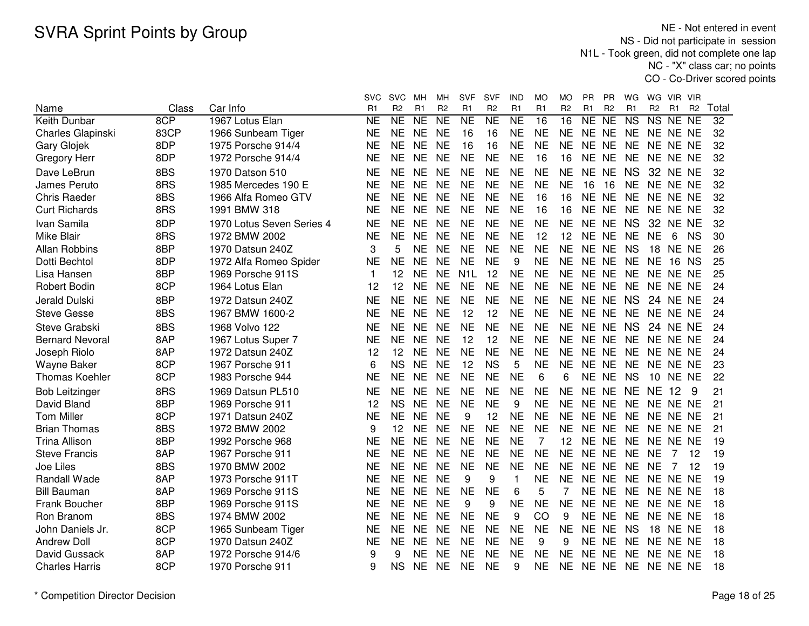NE - Not entered in event NS - Did not participate in session N1L - Took green, did not complete one lap NC - "X" class car; no pointsCO - Co-Driver scored points

|                          |       |                           | <b>SVC</b>     | <b>SVC</b>     | MН              | мн             | <b>SVF</b>       | <b>SVF</b>          | IND             | MO             | MO              | <b>PR</b>      | PR             | WG                     | WG                     | VIR VIR         |                |       |
|--------------------------|-------|---------------------------|----------------|----------------|-----------------|----------------|------------------|---------------------|-----------------|----------------|-----------------|----------------|----------------|------------------------|------------------------|-----------------|----------------|-------|
| Name                     | Class | Car Info                  | R <sub>1</sub> | R <sub>2</sub> | R <sub>1</sub>  | R <sub>2</sub> | R <sub>1</sub>   | R <sub>2</sub>      | R <sub>1</sub>  | R <sub>1</sub> | R <sub>2</sub>  | R <sub>1</sub> | R <sub>2</sub> | R <sub>1</sub>         | R <sub>2</sub>         | R <sub>1</sub>  | R <sub>2</sub> | Total |
| Keith Dunbar             | 8CP   | 1967 Lotus Elan           | <b>NE</b>      | NE             | $\overline{NE}$ | N <sub>E</sub> | <b>NE</b>        | $\overline{\sf NE}$ | $\overline{NE}$ | 16             | $\overline{16}$ | <b>NE</b>      | NE             | $\overline{\text{NS}}$ | $\overline{\text{NS}}$ | NE.             | <b>NE</b>      | 32    |
| <b>Charles Glapinski</b> | 83CP  | 1966 Sunbeam Tiger        | <b>NE</b>      | <b>NE</b>      | <b>NE</b>       | <b>NE</b>      | 16               | 16                  | <b>NE</b>       | <b>NE</b>      | <b>NE</b>       |                | NE NE          | <b>NE</b>              | NE NE NE               |                 |                | 32    |
| Gary Glojek              | 8DP   | 1975 Porsche 914/4        | <b>NE</b>      | <b>NE</b>      | <b>NE</b>       | <b>NE</b>      | 16               | 16                  | <b>NE</b>       | <b>NE</b>      | <b>NE</b>       | <b>NE</b>      | <b>NE</b>      | <b>NE</b>              |                        | NE NE NE        |                | 32    |
| Gregory Herr             | 8DP   | 1972 Porsche 914/4        | <b>NE</b>      | <b>NE</b>      | <b>NE</b>       | <b>NE</b>      | <b>NE</b>        | <b>NE</b>           | <b>NE</b>       | 16             | 16              |                | NE NE          | <b>NE</b>              | NE NE NE               |                 |                | 32    |
| Dave LeBrun              | 8BS   | 1970 Datson 510           | <b>NE</b>      | <b>NE</b>      | <b>NE</b>       | <b>NE</b>      | <b>NE</b>        | <b>NE</b>           | <b>NE</b>       | <b>NE</b>      | <b>NE</b>       |                | NE NE          | <b>NS</b>              |                        | <b>32 NE NE</b> |                | 32    |
| James Peruto             | 8RS   | 1985 Mercedes 190 E       | <b>NE</b>      | <b>NE</b>      | <b>NE</b>       | <b>NE</b>      | <b>NE</b>        | <b>NE</b>           | <b>NE</b>       | <b>NE</b>      | <b>NE</b>       | 16             | 16             | <b>NE</b>              | NE NE NE               |                 |                | 32    |
| <b>Chris Raeder</b>      | 8BS   | 1966 Alfa Romeo GTV       | <b>NE</b>      | <b>NE</b>      | <b>NE</b>       | <b>NE</b>      | <b>NE</b>        | <b>NE</b>           | <b>NE</b>       | 16             | 16              | <b>NE</b>      | <b>NE</b>      | <b>NE</b>              |                        | NE NE NE        |                | 32    |
| <b>Curt Richards</b>     | 8RS   | 1991 BMW 318              | <b>NE</b>      | <b>NE</b>      | <b>NE</b>       | <b>NE</b>      | <b>NE</b>        | <b>NE</b>           | <b>NE</b>       | 16             | 16              |                | NE NE          | <b>NE</b>              | NE NE NE               |                 |                | 32    |
| Ivan Samila              | 8DP   | 1970 Lotus Seven Series 4 | <b>NE</b>      | <b>NE</b>      | <b>NE</b>       | <b>NE</b>      | <b>NE</b>        | <b>NE</b>           | <b>NE</b>       | <b>NE</b>      | <b>NE</b>       |                | NE NE          | <b>NS</b>              | 32                     | NE NE           |                | 32    |
| Mike Blair               | 8RS   | 1972 BMW 2002             | <b>NE</b>      | <b>NE</b>      | <b>NE</b>       | <b>NE</b>      | <b>NE</b>        | <b>NE</b>           | <b>NE</b>       | 12             | 12              | <b>NE</b>      | <b>NE</b>      | <b>NE</b>              | <b>NE</b>              | 6               | <b>NS</b>      | 30    |
| Allan Robbins            | 8BP   | 1970 Datsun 240Z          | 3              | 5              | <b>NE</b>       | <b>NE</b>      | <b>NE</b>        | <b>NE</b>           | <b>NE</b>       | <b>NE</b>      | <b>NE</b>       | NE NE          |                | <b>NS</b>              | 18                     | NE NE           |                | 26    |
| Dotti Bechtol            | 8DP   | 1972 Alfa Romeo Spider    | <b>NE</b>      | <b>NE</b>      | <b>NE</b>       | <b>NE</b>      | <b>NE</b>        | <b>NE</b>           | 9               | <b>NE</b>      | <b>NE</b>       | <b>NE</b>      | <b>NE</b>      | <b>NE</b>              | <b>NE</b>              | 16 NS           |                | 25    |
| Lisa Hansen              | 8BP   | 1969 Porsche 911S         | 1              | 12             | <b>NE</b>       | <b>NE</b>      | N <sub>1</sub> L | 12                  | <b>NE</b>       | <b>NE</b>      | <b>NE</b>       |                | NE NE          | <b>NE</b>              |                        | NE NE NE        |                | 25    |
| <b>Robert Bodin</b>      | 8CP   | 1964 Lotus Elan           | 12             | 12             | <b>NE</b>       | <b>NE</b>      | <b>NE</b>        | <b>NE</b>           | <b>NE</b>       | <b>NE</b>      | <b>NE</b>       |                | NE NE          | <b>NE</b>              |                        | NE NE NE        |                | 24    |
| Jerald Dulski            | 8BP   | 1972 Datsun 240Z          | <b>NE</b>      | <b>NE</b>      | <b>NE</b>       | <b>NE</b>      | <b>NE</b>        | <b>NE</b>           | <b>NE</b>       | <b>NE</b>      | <b>NE</b>       | NE NE          |                | <b>NS</b>              | 24                     | NE NE           |                | 24    |
| <b>Steve Gesse</b>       | 8BS   | 1967 BMW 1600-2           | <b>NE</b>      | <b>NE</b>      | <b>NE</b>       | <b>NE</b>      | 12               | 12                  | <b>NE</b>       | <b>NE</b>      | <b>NE</b>       | NE NE          |                | <b>NE</b>              | NE NE NE               |                 |                | 24    |
| Steve Grabski            | 8BS   | 1968 Volvo 122            | <b>NE</b>      | <b>NE</b>      | <b>NE</b>       | <b>NE</b>      | <b>NE</b>        | <b>NE</b>           | <b>NE</b>       | <b>NE</b>      | <b>NE</b>       | NE NE          |                | <b>NS</b>              | 24                     | NE NE           |                | 24    |
| <b>Bernard Nevoral</b>   | 8AP   | 1967 Lotus Super 7        | <b>NE</b>      | <b>NE</b>      | <b>NE</b>       | <b>NE</b>      | 12               | 12                  | <b>NE</b>       | <b>NE</b>      | <b>NE</b>       | NE NE          |                | <b>NE</b>              | NE NE NE               |                 |                | 24    |
| Joseph Riolo             | 8AP   | 1972 Datsun 240Z          | 12             | 12             | <b>NE</b>       | <b>NE</b>      | <b>NE</b>        | <b>NE</b>           | <b>NE</b>       | <b>NE</b>      | <b>NE</b>       | <b>NE</b>      | <b>NE</b>      | <b>NE</b>              | <b>NE</b>              | NE NE           |                | 24    |
| Wayne Baker              | 8CP   | 1967 Porsche 911          | 6              | <b>NS</b>      | <b>NE</b>       | <b>NE</b>      | 12               | <b>NS</b>           | 5               | <b>NE</b>      | <b>NE</b>       | NE NE          |                | <b>NE</b>              | NE NE NE               |                 |                | 23    |
| <b>Thomas Koehler</b>    | 8CP   | 1983 Porsche 944          | <b>NE</b>      | <b>NE</b>      | <b>NE</b>       | <b>NE</b>      | <b>NE</b>        | <b>NE</b>           | <b>NE</b>       | 6              | 6               |                | NE NE          | <b>NS</b>              | 10                     | NE NE           |                | 22    |
| <b>Bob Leitzinger</b>    | 8RS   | 1969 Datsun PL510         | <b>NE</b>      | <b>NE</b>      | <b>NE</b>       | <b>NE</b>      | <b>NE</b>        | <b>NE</b>           | <b>NE</b>       | <b>NE</b>      | <b>NE</b>       | <b>NE</b>      | <b>NE</b>      | <b>NE</b>              | NE.                    | 12              | 9              | 21    |
| David Bland              | 8BP   | 1969 Porsche 911          | 12             | <b>NS</b>      | <b>NE</b>       | <b>NE</b>      | <b>NE</b>        | <b>NE</b>           | 9               | <b>NE</b>      | <b>NE</b>       | <b>NE</b>      | <b>NE</b>      | <b>NE</b>              |                        | NE NE NE        |                | 21    |
| <b>Tom Miller</b>        | 8CP   | 1971 Datsun 240Z          | <b>NE</b>      | <b>NE</b>      | <b>NE</b>       | <b>NE</b>      | 9                | 12                  | <b>NE</b>       | <b>NE</b>      | <b>NE</b>       | NE             | <b>NE</b>      | <b>NE</b>              | NE NE NE               |                 |                | 21    |
| <b>Brian Thomas</b>      | 8BS   | 1972 BMW 2002             | 9              | 12             | <b>NE</b>       | <b>NE</b>      | <b>NE</b>        | <b>NE</b>           | <b>NE</b>       | <b>NE</b>      | <b>NE</b>       | <b>NE</b>      | <b>NE</b>      | <b>NE</b>              | NE NE NE               |                 |                | 21    |
| <b>Trina Allison</b>     | 8BP   | 1992 Porsche 968          | <b>NE</b>      | <b>NE</b>      | <b>NE</b>       | <b>NE</b>      | <b>NE</b>        | <b>NE</b>           | <b>NE</b>       | 7              | 12              | <b>NE</b>      | <b>NE</b>      | <b>NE</b>              |                        | NE NE NE        |                | 19    |
| <b>Steve Francis</b>     | 8AP   | 1967 Porsche 911          | <b>NE</b>      | <b>NE</b>      | <b>NE</b>       | <b>NE</b>      | <b>NE</b>        | <b>NE</b>           | <b>NE</b>       | <b>NE</b>      | <b>NE</b>       |                | NE NE          | <b>NE</b>              | <b>NE</b>              | 7               | 12             | 19    |
| Joe Liles                | 8BS   | 1970 BMW 2002             | <b>NE</b>      | <b>NE</b>      | <b>NE</b>       | <b>NE</b>      | <b>NE</b>        | <b>NE</b>           | <b>NE</b>       | <b>NE</b>      | <b>NE</b>       |                | NE NE          | <b>NE</b>              | <b>NE</b>              | 7               | 12             | 19    |
| Randall Wade             | 8AP   | 1973 Porsche 911T         | <b>NE</b>      | <b>NE</b>      | <b>NE</b>       | <b>NE</b>      | 9                | 9                   | 1               | <b>NE</b>      | <b>NE</b>       | NE NE          |                | <b>NE</b>              | NE NE NE               |                 |                | 19    |
| <b>Bill Bauman</b>       | 8AP   | 1969 Porsche 911S         | <b>NE</b>      | <b>NE</b>      | <b>NE</b>       | <b>NE</b>      | <b>NE</b>        | <b>NE</b>           | 6               | 5              | 7               |                | NE NE          | <b>NE</b>              |                        | NE NE NE        |                | 18    |
| Frank Boucher            | 8BP   | 1969 Porsche 911S         | <b>NE</b>      | <b>NE</b>      | <b>NE</b>       | <b>NE</b>      | 9                | 9                   | <b>NE</b>       | <b>NE</b>      | <b>NE</b>       |                | NE NE          | <b>NE</b>              |                        | NE NE NE        |                | 18    |
| Ron Branom               | 8BS   | 1974 BMW 2002             | <b>NE</b>      | <b>NE</b>      | <b>NE</b>       | <b>NE</b>      | <b>NE</b>        | <b>NE</b>           | 9               | CO             | 9               |                | NE NE          | <b>NE</b>              |                        | NE NE NE        |                | 18    |
| John Daniels Jr.         | 8CP   | 1965 Sunbeam Tiger        | <b>NE</b>      | <b>NE</b>      | <b>NE</b>       | <b>NE</b>      | <b>NE</b>        | <b>NE</b>           | <b>NE</b>       | <b>NE</b>      | <b>NE</b>       |                | NE NE          | <b>NS</b>              | 18                     | NE NE           |                | 18    |
| <b>Andrew Doll</b>       | 8CP   | 1970 Datsun 240Z          | <b>NE</b>      | <b>NE</b>      | <b>NE</b>       | <b>NE</b>      | <b>NE</b>        | <b>NE</b>           | <b>NE</b>       | 9              | 9               |                | NE NE          | NE                     | NE NE NE               |                 |                | 18    |
| David Gussack            | 8AP   | 1972 Porsche 914/6        | 9              | 9              | <b>NE</b>       | <b>NE</b>      | <b>NE</b>        | <b>NE</b>           | <b>NE</b>       | <b>NE</b>      | <b>NE</b>       | <b>NE</b>      | <b>NE</b>      | <b>NE</b>              |                        | NE NE NE        |                | 18    |
| <b>Charles Harris</b>    | 8CP   | 1970 Porsche 911          | 9              | <b>NS</b>      | <b>NE</b>       | <b>NE</b>      | <b>NE</b>        | <b>NE</b>           | 9               | <b>NE</b>      | <b>NE</b>       |                | NE NE          |                        | NE NE NE NE            |                 |                | 18    |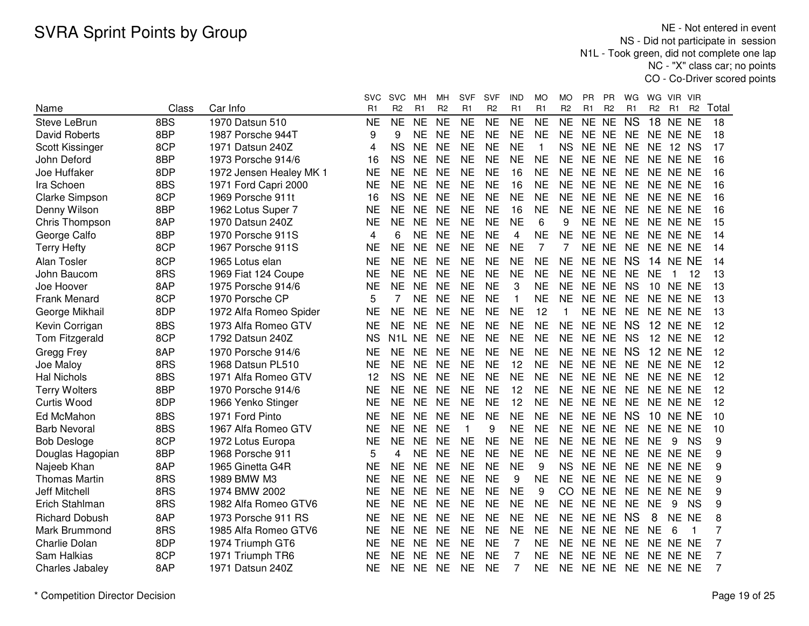NE - Not entered in event NS - Did not participate in session N1L - Took green, did not complete one lap NC - "X" class car; no pointsCO - Co-Driver scored points

|                       |       |                         | svc            | SVC              | MН             | мн             | <b>SVF</b>     | <b>SVF</b>     | IND            | MO             | МO             | PR.            | <b>PR</b>      | WG        | WG              | VIR.           | <b>VIR</b>     |       |
|-----------------------|-------|-------------------------|----------------|------------------|----------------|----------------|----------------|----------------|----------------|----------------|----------------|----------------|----------------|-----------|-----------------|----------------|----------------|-------|
| Name                  | Class | Car Info                | R <sub>1</sub> | R <sub>2</sub>   | R <sub>1</sub> | R <sub>2</sub> | R <sub>1</sub> | R <sub>2</sub> | R1             | R <sub>1</sub> | R <sub>2</sub> | R <sub>1</sub> | R <sub>2</sub> | R1        | R <sub>2</sub>  | R <sub>1</sub> | R <sub>2</sub> | Total |
| Steve LeBrun          | 8BS   | 1970 Datsun 510         | <b>NE</b>      | <b>NE</b>        | <b>NE</b>      | <b>NE</b>      | <b>NE</b>      | <b>NE</b>      | <b>NE</b>      | <b>NE</b>      | <b>NE</b>      | <b>NE</b>      | <b>NE</b>      | <b>NS</b> | 18              | <b>NE</b>      | <b>NE</b>      | 18    |
| <b>David Roberts</b>  | 8BP   | 1987 Porsche 944T       | 9              | 9                | <b>NE</b>      | <b>NE</b>      | <b>NE</b>      | <b>NE</b>      | <b>NE</b>      | <b>NE</b>      | <b>NE</b>      | <b>NE</b>      | <b>NE</b>      | <b>NE</b> | <b>NE</b>       | NE NE          |                | 18    |
| Scott Kissinger       | 8CP   | 1971 Datsun 240Z        | 4              | <b>NS</b>        | <b>NE</b>      | <b>NE</b>      | <b>NE</b>      | <b>NE</b>      | <b>NE</b>      | 1              | <b>NS</b>      | <b>NE</b>      | <b>NE</b>      | <b>NE</b> | <b>NE</b>       |                | 12 NS          | 17    |
| John Deford           | 8BP   | 1973 Porsche 914/6      | 16             | <b>NS</b>        | <b>NE</b>      | <b>NE</b>      | <b>NE</b>      | <b>NE</b>      | <b>NE</b>      | <b>NE</b>      | <b>NE</b>      | NE NE          |                | <b>NE</b> |                 | NE NE NE       |                | 16    |
| Joe Huffaker          | 8DP   | 1972 Jensen Healey MK 1 | <b>NE</b>      | <b>NE</b>        | <b>NE</b>      | <b>NE</b>      | <b>NE</b>      | <b>NE</b>      | 16             | <b>NE</b>      | <b>NE</b>      | NE NE          |                | <b>NE</b> | NE NE NE        |                |                | 16    |
| Ira Schoen            | 8BS   | 1971 Ford Capri 2000    | <b>NE</b>      | <b>NE</b>        | <b>NE</b>      | <b>NE</b>      | <b>NE</b>      | <b>NE</b>      | 16             | <b>NE</b>      | <b>NE</b>      | NE NE          |                | <b>NE</b> |                 | NE NE NE       |                | 16    |
| Clarke Simpson        | 8CP   | 1969 Porsche 911t       | 16             | <b>NS</b>        | <b>NE</b>      | <b>NE</b>      | <b>NE</b>      | <b>NE</b>      | <b>NE</b>      | <b>NE</b>      | <b>NE</b>      | NE NE          |                | <b>NE</b> |                 | NE NE NE       |                | 16    |
| Denny Wilson          | 8BP   | 1962 Lotus Super 7      | <b>NE</b>      | <b>NE</b>        | <b>NE</b>      | <b>NE</b>      | <b>NE</b>      | <b>NE</b>      | 16             | <b>NE</b>      | <b>NE</b>      | NE NE          |                | <b>NE</b> |                 | NE NE NE       |                | 16    |
| Chris Thompson        | 8AP   | 1970 Datsun 240Z        | <b>NE</b>      | <b>NE</b>        | <b>NE</b>      | <b>NE</b>      | <b>NE</b>      | <b>NE</b>      | <b>NE</b>      | 6              | 9              | NE NE          |                | <b>NE</b> |                 | NE NE NE       |                | 15    |
| George Calfo          | 8BP   | 1970 Porsche 911S       | 4              | 6                | <b>NE</b>      | <b>NE</b>      | <b>NE</b>      | <b>NE</b>      | 4              | <b>NE</b>      | <b>NE</b>      | NE NE          |                | <b>NE</b> |                 | NE NE NE       |                | 14    |
| <b>Terry Hefty</b>    | 8CP   | 1967 Porsche 911S       | <b>NE</b>      | <b>NE</b>        | <b>NE</b>      | <b>NE</b>      | <b>NE</b>      | <b>NE</b>      | <b>NE</b>      | $\overline{7}$ | 7              | NE NE          |                | <b>NE</b> |                 | NE NE NE       |                | 14    |
| Alan Tosler           | 8CP   | 1965 Lotus elan         | <b>NE</b>      | <b>NE</b>        | <b>NE</b>      | <b>NE</b>      | <b>NE</b>      | <b>NE</b>      | <b>NE</b>      | <b>NE</b>      | <b>NE</b>      | NE NE          |                | <b>NS</b> | 14.             | NE NE          |                | 14    |
| John Baucom           | 8RS   | 1969 Fiat 124 Coupe     | <b>NE</b>      | <b>NE</b>        | <b>NE</b>      | <b>NE</b>      | <b>NE</b>      | <b>NE</b>      | <b>NE</b>      | <b>NE</b>      | <b>NE</b>      | NE NE          |                | <b>NE</b> | <b>NE</b>       | 1              | 12             | 13    |
| Joe Hoover            | 8AP   | 1975 Porsche 914/6      | <b>NE</b>      | <b>NE</b>        | <b>NE</b>      | <b>NE</b>      | <b>NE</b>      | <b>NE</b>      | 3              | <b>NE</b>      | <b>NE</b>      | NE NE          |                | <b>NS</b> | 10 <sup>1</sup> | NE NE          |                | 13    |
| <b>Frank Menard</b>   | 8CP   | 1970 Porsche CP         | 5              | $\overline{7}$   | <b>NE</b>      | <b>NE</b>      | <b>NE</b>      | <b>NE</b>      | $\mathbf 1$    | <b>NE</b>      | <b>NE</b>      | NE NE          |                | <b>NE</b> |                 | NE NE NE       |                | 13    |
| George Mikhail        | 8DP   | 1972 Alfa Romeo Spider  | <b>NE</b>      | <b>NE</b>        | <b>NE</b>      | <b>NE</b>      | <b>NE</b>      | <b>NE</b>      | <b>NE</b>      | 12             | $\mathbf 1$    |                | NE NE          | <b>NE</b> |                 | NE NE NE       |                | 13    |
| Kevin Corrigan        | 8BS   | 1973 Alfa Romeo GTV     | <b>NE</b>      | <b>NE</b>        | <b>NE</b>      | <b>NE</b>      | <b>NE</b>      | <b>NE</b>      | <b>NE</b>      | <b>NE</b>      | <b>NE</b>      | NE NE          |                | <b>NS</b> | 12              | NE NE          |                | 12    |
| Tom Fitzgerald        | 8CP   | 1792 Datsun 240Z        | <b>NS</b>      | N <sub>1</sub> L | <b>NE</b>      | <b>NE</b>      | <b>NE</b>      | <b>NE</b>      | <b>NE</b>      | <b>NE</b>      | <b>NE</b>      | NE NE          |                | <b>NS</b> | 12              | NE NE          |                | 12    |
| Gregg Frey            | 8AP   | 1970 Porsche 914/6      | <b>NE</b>      | <b>NE</b>        | <b>NE</b>      | <b>NE</b>      | <b>NE</b>      | <b>NE</b>      | <b>NE</b>      | <b>NE</b>      | <b>NE</b>      | NE NE          |                | <b>NS</b> | 12              | NE NE          |                | 12    |
| Joe Maloy             | 8RS   | 1968 Datsun PL510       | <b>NE</b>      | <b>NE</b>        | <b>NE</b>      | <b>NE</b>      | <b>NE</b>      | <b>NE</b>      | 12             | <b>NE</b>      | <b>NE</b>      | NE NE          |                | <b>NE</b> |                 | NE NE NE       |                | 12    |
| <b>Hal Nichols</b>    | 8BS   | 1971 Alfa Romeo GTV     | 12             | <b>NS</b>        | <b>NE</b>      | <b>NE</b>      | <b>NE</b>      | <b>NE</b>      | <b>NE</b>      | <b>NE</b>      | <b>NE</b>      | NE NE          |                | <b>NE</b> |                 | NE NE NE       |                | 12    |
| <b>Terry Wolters</b>  | 8BP   | 1970 Porsche 914/6      | <b>NE</b>      | <b>NE</b>        | <b>NE</b>      | <b>NE</b>      | <b>NE</b>      | <b>NE</b>      | 12             | <b>NE</b>      | <b>NE</b>      | NE NE          |                | <b>NE</b> |                 | NE NE NE       |                | 12    |
| <b>Curtis Wood</b>    | 8DP   | 1966 Yenko Stinger      | <b>NE</b>      | <b>NE</b>        | <b>NE</b>      | <b>NE</b>      | <b>NE</b>      | <b>NE</b>      | 12             | <b>NE</b>      | <b>NE</b>      | NE NE          |                | <b>NE</b> |                 | NE NE NE       |                | 12    |
| Ed McMahon            | 8BS   | 1971 Ford Pinto         | <b>NE</b>      | <b>NE</b>        | <b>NE</b>      | <b>NE</b>      | <b>NE</b>      | <b>NE</b>      | <b>NE</b>      | <b>NE</b>      | <b>NE</b>      | NE NE          |                | <b>NS</b> | 10              | NE NE          |                | 10    |
| <b>Barb Nevoral</b>   | 8BS   | 1967 Alfa Romeo GTV     | <b>NE</b>      | <b>NE</b>        | <b>NE</b>      | <b>NE</b>      | 1              | 9              | <b>NE</b>      | <b>NE</b>      | <b>NE</b>      | NE NE          |                | <b>NE</b> |                 | NE NE          | <b>NE</b>      | 10    |
| <b>Bob Desloge</b>    | 8CP   | 1972 Lotus Europa       | <b>NE</b>      | <b>NE</b>        | <b>NE</b>      | <b>NE</b>      | <b>NE</b>      | <b>NE</b>      | <b>NE</b>      | <b>NE</b>      | <b>NE</b>      | NE NE          |                | <b>NE</b> | <b>NE</b>       | 9              | <b>NS</b>      | 9     |
| Douglas Hagopian      | 8BP   | 1968 Porsche 911        | 5              | 4                | <b>NE</b>      | <b>NE</b>      | <b>NE</b>      | <b>NE</b>      | <b>NE</b>      | <b>NE</b>      | <b>NE</b>      | NE NE          |                | <b>NE</b> |                 | NE NE NE       |                | 9     |
| Najeeb Khan           | 8AP   | 1965 Ginetta G4R        | <b>NE</b>      | <b>NE</b>        | <b>NE</b>      | <b>NE</b>      | <b>NE</b>      | <b>NE</b>      | <b>NE</b>      | 9              | <b>NS</b>      | NE NE          |                | <b>NE</b> |                 | NE NE NE       |                | 9     |
| <b>Thomas Martin</b>  | 8RS   | 1989 BMW M3             | <b>NE</b>      | <b>NE</b>        | <b>NE</b>      | <b>NE</b>      | <b>NE</b>      | <b>NE</b>      | 9              | <b>NE</b>      | <b>NE</b>      | NE NE          |                | <b>NE</b> |                 | NE NE NE       |                | 9     |
| <b>Jeff Mitchell</b>  | 8RS   | 1974 BMW 2002           | <b>NE</b>      | <b>NE</b>        | <b>NE</b>      | <b>NE</b>      | <b>NE</b>      | <b>NE</b>      | <b>NE</b>      | 9              | CO.            | NE NE          |                | NE        |                 | NE NE NE       |                | 9     |
| Erich Stahlman        | 8RS   | 1982 Alfa Romeo GTV6    | <b>NE</b>      | <b>NE</b>        | <b>NE</b>      | <b>NE</b>      | <b>NE</b>      | <b>NE</b>      | <b>NE</b>      | <b>NE</b>      | <b>NE</b>      | NE NE          |                | <b>NE</b> | <b>NE</b>       | 9              | <b>NS</b>      | 9     |
| <b>Richard Dobush</b> | 8AP   | 1973 Porsche 911 RS     | <b>NE</b>      | <b>NE</b>        | <b>NE</b>      | <b>NE</b>      | <b>NE</b>      | <b>NE</b>      | <b>NE</b>      | <b>NE</b>      | <b>NE</b>      | NE NE          |                | <b>NS</b> | 8               | NE NE          |                | 8     |
| Mark Brummond         | 8RS   | 1985 Alfa Romeo GTV6    | <b>NE</b>      | <b>NE</b>        | <b>NE</b>      | <b>NE</b>      | <b>NE</b>      | <b>NE</b>      | <b>NE</b>      | <b>NE</b>      | NE.            | NE NE          |                | <b>NE</b> | <b>NE</b>       | 6              |                | 7     |
| <b>Charlie Dolan</b>  | 8DP   | 1974 Triumph GT6        | <b>NE</b>      | <b>NE</b>        | <b>NE</b>      | <b>NE</b>      | <b>NE</b>      | <b>NE</b>      | $\overline{7}$ | <b>NE</b>      | <b>NE</b>      | NE NE          |                | <b>NE</b> |                 | NE NE NE       |                | 7     |
| Sam Halkias           | 8CP   | 1971 Triumph TR6        | NE             | NE.              | <b>NE</b>      | <b>NE</b>      | <b>NE</b>      | <b>NE</b>      | 7              | <b>NE</b>      | NE.            | NE NE          |                | <b>NE</b> |                 | NE NE NE       |                | 7     |
| Charles Jabaley       | 8AP   | 1971 Datsun 240Z        | <b>NE</b>      | <b>NE</b>        | <b>NE</b>      | <b>NE</b>      | <b>NE</b>      | <b>NE</b>      | 7              | <b>NE</b>      | <b>NE</b>      | NE NE          |                | <b>NE</b> | NE NE NE        |                |                | 7     |
|                       |       |                         |                |                  |                |                |                |                |                |                |                |                |                |           |                 |                |                |       |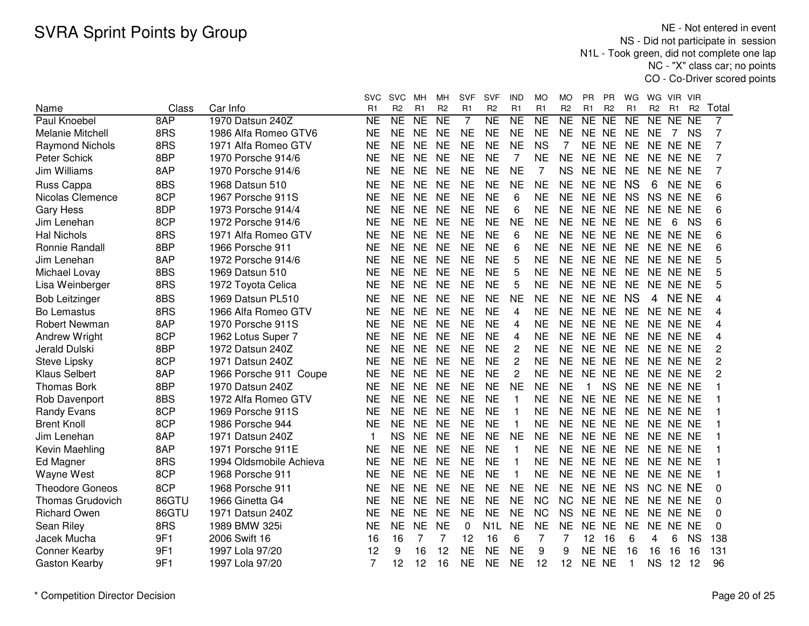NE - Not entered in event NS - Did not participate in session N1L - Took green, did not complete one lap NC - "X" class car; no pointsCO - Co-Driver scored points

|                         |       |                         | <b>SVC</b> | <b>SVC</b>     | MН        | мн                  | <b>SVF</b> | <b>SVF</b>       | IND            | МO             | MO             | PR           | <b>PR</b>      | WG           | WG.            | VIR.         | - VIR          |                |
|-------------------------|-------|-------------------------|------------|----------------|-----------|---------------------|------------|------------------|----------------|----------------|----------------|--------------|----------------|--------------|----------------|--------------|----------------|----------------|
| Name                    | Class | Car Info                | R1         | R <sub>2</sub> | R1        | R <sub>2</sub>      | R1         | R <sub>2</sub>   | R1             | R1             | R <sub>2</sub> | R1           | R <sub>2</sub> | R1           | R <sub>2</sub> | R1           | R <sub>2</sub> | Total          |
| Paul Knoebel            | 8AP   | 1970 Datsun 240Z        | NE         | <b>NE</b>      | <b>NE</b> | $\overline{\sf NE}$ | 7          | NE               | <b>NE</b>      | <b>NE</b>      | <b>NE</b>      | <b>NE</b>    | <b>NE</b>      | <b>NE</b>    | <b>NE</b>      | NE.          | <b>NE</b>      | 7              |
| <b>Melanie Mitchell</b> | 8RS   | 1986 Alfa Romeo GTV6    | NE         | <b>NE</b>      | <b>NE</b> | <b>NE</b>           | <b>NE</b>  | <b>NE</b>        | <b>NE</b>      | <b>NE</b>      | <b>NE</b>      | NE.          | <b>NE</b>      | <b>NE</b>    | <b>NE</b>      | 7            | <b>NS</b>      | 7              |
| <b>Raymond Nichols</b>  | 8RS   | 1971 Alfa Romeo GTV     | <b>NE</b>  | <b>NE</b>      | <b>NE</b> | <b>NE</b>           | <b>NE</b>  | <b>NE</b>        | <b>NE</b>      | <b>NS</b>      | 7              | NE           | <b>NE</b>      | <b>NE</b>    | NE NE NE       |              |                | 7              |
| Peter Schick            | 8BP   | 1970 Porsche 914/6      | <b>NE</b>  | <b>NE</b>      | <b>NE</b> | <b>NE</b>           | <b>NE</b>  | <b>NE</b>        | $\overline{7}$ | <b>NE</b>      | <b>NE</b>      | <b>NE</b>    | <b>NE</b>      | <b>NE</b>    |                | NE NE NE     |                | 7              |
| Jim Williams            | 8AP   | 1970 Porsche 914/6      | <b>NE</b>  | <b>NE</b>      | <b>NE</b> | <b>NE</b>           | <b>NE</b>  | <b>NE</b>        | <b>NE</b>      | $\overline{7}$ | <b>NS</b>      | <b>NE</b>    | <b>NE</b>      | <b>NE</b>    |                | NE NE NE     |                | 7              |
| Russ Cappa              | 8BS   | 1968 Datsun 510         | NE         | <b>NE</b>      | <b>NE</b> | <b>NE</b>           | <b>NE</b>  | <b>NE</b>        | <b>NE</b>      | NE             | <b>NE</b>      | NE NE        |                | <b>NS</b>    | 6              | NE NE        |                | 6              |
| Nicolas Clemence        | 8CP   | 1967 Porsche 911S       | <b>NE</b>  | <b>NE</b>      | <b>NE</b> | <b>NE</b>           | <b>NE</b>  | <b>NE</b>        | 6              | <b>NE</b>      | <b>NE</b>      | <b>NE</b>    | <b>NE</b>      | <b>NS</b>    | <b>NS</b>      | NE NE        |                | 6              |
| <b>Gary Hess</b>        | 8DP   | 1973 Porsche 914/4      | <b>NE</b>  | <b>NE</b>      | <b>NE</b> | <b>NE</b>           | <b>NE</b>  | <b>NE</b>        | 6              | <b>NE</b>      | <b>NE</b>      | <b>NE</b>    | <b>NE</b>      | <b>NE</b>    | NE NE NE       |              |                | 6              |
| Jim Lenehan             | 8CP   | 1972 Porsche 914/6      | <b>NE</b>  | <b>NE</b>      | <b>NE</b> | <b>NE</b>           | <b>NE</b>  | <b>NE</b>        | <b>NE</b>      | <b>NE</b>      | <b>NE</b>      | <b>NE</b>    | <b>NE</b>      | <b>NE</b>    | <b>NE</b>      | 6            | <b>NS</b>      | 6              |
| <b>Hal Nichols</b>      | 8RS   | 1971 Alfa Romeo GTV     | NE         | <b>NE</b>      | <b>NE</b> | <b>NE</b>           | <b>NE</b>  | <b>NE</b>        | 6              | <b>NE</b>      | <b>NE</b>      | NE.          | <b>NE</b>      | <b>NE</b>    |                | NE NE NE     |                | 6              |
| Ronnie Randall          | 8BP   | 1966 Porsche 911        | <b>NE</b>  | <b>NE</b>      | <b>NE</b> | <b>NE</b>           | <b>NE</b>  | <b>NE</b>        | 6              | <b>NE</b>      | <b>NE</b>      | <b>NE</b>    | <b>NE</b>      | <b>NE</b>    |                | NE NE NE     |                | 6              |
| Jim Lenehan             | 8AP   | 1972 Porsche 914/6      | <b>NE</b>  | <b>NE</b>      | <b>NE</b> | <b>NE</b>           | <b>NE</b>  | <b>NE</b>        | 5              | <b>NE</b>      | <b>NE</b>      | <b>NE</b>    | <b>NE</b>      | <b>NE</b>    |                | NE NE NE     |                | 5              |
| Michael Lovay           | 8BS   | 1969 Datsun 510         | <b>NE</b>  | <b>NE</b>      | <b>NE</b> | <b>NE</b>           | <b>NE</b>  | <b>NE</b>        | 5              | <b>NE</b>      | <b>NE</b>      | NE NE        |                | <b>NE</b>    |                | NE NE NE     |                | 5              |
| Lisa Weinberger         | 8RS   | 1972 Toyota Celica      | <b>NE</b>  | <b>NE</b>      | <b>NE</b> | <b>NE</b>           | <b>NE</b>  | <b>NE</b>        | 5              | <b>NE</b>      | <b>NE</b>      | NE NE        |                | <b>NE</b>    |                | NE NE NE     |                | 5              |
| <b>Bob Leitzinger</b>   | 8BS   | 1969 Datsun PL510       | <b>NE</b>  | <b>NE</b>      | <b>NE</b> | <b>NE</b>           | <b>NE</b>  | <b>NE</b>        | <b>NE</b>      | <b>NE</b>      | <b>NE</b>      | NE NE        |                | <b>NS</b>    | $\overline{4}$ | <b>NE NE</b> |                | 4              |
| <b>Bo Lemastus</b>      | 8RS   | 1966 Alfa Romeo GTV     | <b>NE</b>  | <b>NE</b>      | <b>NE</b> | <b>NE</b>           | <b>NE</b>  | <b>NE</b>        | $\overline{4}$ | <b>NE</b>      | <b>NE</b>      | <b>NE</b>    | <b>NE</b>      | <b>NE</b>    | NE NE NE       |              |                | 4              |
| <b>Robert Newman</b>    | 8AP   | 1970 Porsche 911S       | <b>NE</b>  | <b>NE</b>      | <b>NE</b> | <b>NE</b>           | <b>NE</b>  | <b>NE</b>        | $\overline{4}$ | <b>NE</b>      | <b>NE</b>      | <b>NE</b>    | <b>NE</b>      | <b>NE</b>    | NE NE NE       |              |                | 4              |
| <b>Andrew Wright</b>    | 8CP   | 1962 Lotus Super 7      | <b>NE</b>  | <b>NE</b>      | <b>NE</b> | <b>NE</b>           | <b>NE</b>  | <b>NE</b>        | $\overline{4}$ | <b>NE</b>      | <b>NE</b>      | <b>NE</b>    | <b>NE</b>      | <b>NE</b>    |                | NE NE NE     |                | 4              |
| Jerald Dulski           | 8BP   | 1972 Datsun 240Z        | NE         | <b>NE</b>      | <b>NE</b> | <b>NE</b>           | <b>NE</b>  | <b>NE</b>        | $\overline{2}$ | <b>NE</b>      | <b>NE</b>      | <b>NE</b>    | <b>NE</b>      | <b>NE</b>    |                | NE NE NE     |                | 2              |
| Steve Lipsky            | 8CP   | 1971 Datsun 240Z        | <b>NE</b>  | <b>NE</b>      | <b>NE</b> | <b>NE</b>           | <b>NE</b>  | <b>NE</b>        | 2              | <b>NE</b>      | <b>NE</b>      | NE NE        |                | <b>NE</b>    |                | NE NE NE     |                | 2              |
| <b>Klaus Selbert</b>    | 8AP   | 1966 Porsche 911 Coupe  | <b>NE</b>  | <b>NE</b>      | <b>NE</b> | <b>NE</b>           | <b>NE</b>  | <b>NE</b>        | $\overline{2}$ | <b>NE</b>      | <b>NE</b>      | <b>NE</b>    | <b>NE</b>      | <b>NE</b>    |                | NE NE NE     |                | $\overline{c}$ |
| <b>Thomas Bork</b>      | 8BP   | 1970 Datsun 240Z        | <b>NE</b>  | <b>NE</b>      | <b>NE</b> | <b>NE</b>           | <b>NE</b>  | <b>NE</b>        | <b>NE</b>      | <b>NE</b>      | <b>NE</b>      | $\mathbf{1}$ | <b>NS</b>      | <b>NE</b>    |                | NE NE NE     |                |                |
| Rob Davenport           | 8BS   | 1972 Alfa Romeo GTV     | <b>NE</b>  | <b>NE</b>      | <b>NE</b> | <b>NE</b>           | <b>NE</b>  | <b>NE</b>        | $\mathbf{1}$   | <b>NE</b>      | <b>NE</b>      | NE NE        |                | <b>NE</b>    |                | NE NE NE     |                |                |
| <b>Randy Evans</b>      | 8CP   | 1969 Porsche 911S       | <b>NE</b>  | <b>NE</b>      | <b>NE</b> | <b>NE</b>           | <b>NE</b>  | <b>NE</b>        | $\mathbf{1}$   | <b>NE</b>      | <b>NE</b>      | NE NE        |                | <b>NE</b>    |                | NE NE NE     |                |                |
| <b>Brent Knoll</b>      | 8CP   | 1986 Porsche 944        | <b>NE</b>  | <b>NE</b>      | <b>NE</b> | <b>NE</b>           | <b>NE</b>  | <b>NE</b>        | $\mathbf{1}$   | <b>NE</b>      | <b>NE</b>      | NE NE        |                | <b>NE</b>    |                | NE NE NE     |                |                |
| Jim Lenehan             | 8AP   | 1971 Datsun 240Z        | 1          | <b>NS</b>      | <b>NE</b> | <b>NE</b>           | <b>NE</b>  | <b>NE</b>        | <b>NE</b>      | <b>NE</b>      | <b>NE</b>      | NE NE        |                | <b>NE</b>    |                | NE NE NE     |                |                |
| Kevin Maehling          | 8AP   | 1971 Porsche 911E       | <b>NE</b>  | <b>NE</b>      | <b>NE</b> | <b>NE</b>           | <b>NE</b>  | <b>NE</b>        | $\mathbf{1}$   | <b>NE</b>      | <b>NE</b>      | NE NE        |                | <b>NE</b>    | NE NE NE       |              |                |                |
| Ed Magner               | 8RS   | 1994 Oldsmobile Achieva | <b>NE</b>  | <b>NE</b>      | <b>NE</b> | <b>NE</b>           | <b>NE</b>  | <b>NE</b>        | 1              | <b>NE</b>      | <b>NE</b>      | NE NE        |                | <b>NE</b>    | NE NE NE       |              |                |                |
| Wayne West              | 8CP   | 1968 Porsche 911        | NE         | <b>NE</b>      | <b>NE</b> | <b>NE</b>           | <b>NE</b>  | <b>NE</b>        | 1              | <b>NE</b>      | <b>NE</b>      | NE NE        |                | <b>NE</b>    |                | NE NE NE     |                |                |
| <b>Theodore Goneos</b>  | 8CP   | 1968 Porsche 911        | <b>NE</b>  | <b>NE</b>      | <b>NE</b> | <b>NE</b>           | <b>NE</b>  | <b>NE</b>        | <b>NE</b>      | <b>NE</b>      | <b>NE</b>      | NE NE        |                | <b>NS</b>    |                | NC NE NE     |                | $\Omega$       |
| <b>Thomas Grudovich</b> | 86GTU | 1966 Ginetta G4         | <b>NE</b>  | <b>NE</b>      | <b>NE</b> | <b>NE</b>           | <b>NE</b>  | <b>NE</b>        | <b>NE</b>      | <b>NC</b>      | <b>NC</b>      | <b>NE</b>    | <b>NE</b>      | <b>NE</b>    |                | NE NE NE     |                | 0              |
| <b>Richard Owen</b>     | 86GTU | 1971 Datsun 240Z        | <b>NE</b>  | <b>NE</b>      | <b>NE</b> | <b>NE</b>           | <b>NE</b>  | <b>NE</b>        | <b>NE</b>      | <b>NC</b>      | <b>NS</b>      | <b>NE</b>    | <b>NE</b>      | <b>NE</b>    |                | NE NE NE     |                | 0              |
| Sean Riley              | 8RS   | 1989 BMW 325i           | NE         | <b>NE</b>      | <b>NE</b> | <b>NE</b>           | 0          | N <sub>1</sub> L | <b>NE</b>      | <b>NE</b>      | <b>NE</b>      | <b>NE</b>    | <b>NE</b>      | <b>NE</b>    | <b>NE</b>      | NE NE        |                | 0              |
| Jacek Mucha             | 9F1   | 2006 Swift 16           | 16         | 16             | 7         | 7                   | 12         | 16               | 6              | 7              | 7              | 12           | 16             | 6            | 4              | 6            | <b>NS</b>      | 138            |
| <b>Conner Kearby</b>    | 9F1   | 1997 Lola 97/20         | 12         | 9              | 16        | 12                  | <b>NE</b>  | <b>NE</b>        | <b>NE</b>      | 9              | 9              | <b>NE</b>    | <b>NE</b>      | 16           | 16             | 16           | 16             | 131            |
| Gaston Kearby           | 9F1   | 1997 Lola 97/20         | 7          | 12             | 12        | 16                  | <b>NE</b>  | <b>NE</b>        | <b>NE</b>      | 12             | 12             | <b>NE</b>    | <b>NE</b>      | $\mathbf{1}$ | <b>NS</b>      | 12           | 12             | 96             |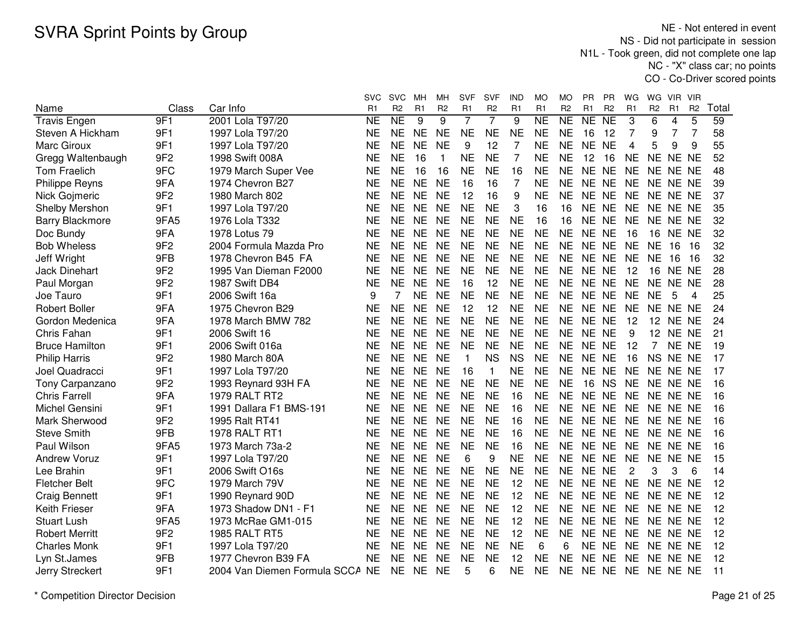NE - Not entered in event NS - Did not participate in session N1L - Took green, did not complete one lap NC - "X" class car; no pointsCO - Co-Driver scored points

|                        |                 |                                 | <b>SVC</b> | <b>SVC</b>     | MН             | мн             | <b>SVF</b>     | SVF            | IND            | MO                  | МO             | PR             | РR              | WG             | WG             | VIR.            | VIR            |       |
|------------------------|-----------------|---------------------------------|------------|----------------|----------------|----------------|----------------|----------------|----------------|---------------------|----------------|----------------|-----------------|----------------|----------------|-----------------|----------------|-------|
| Name                   | Class           | Car Info                        | R1         | R <sub>2</sub> | R <sub>1</sub> | R <sub>2</sub> | R <sub>1</sub> | R <sub>2</sub> | R <sub>1</sub> | R <sub>1</sub>      | R <sub>2</sub> | R <sub>1</sub> | R <sub>2</sub>  | R1             | R <sub>2</sub> | R <sub>1</sub>  | R <sub>2</sub> | Total |
| <b>Travis Engen</b>    | 9F1             | 2001 Lola T97/20                | <b>NE</b>  | <b>NE</b>      | 9              | 9              | $\overline{7}$ | $\overline{7}$ | 9              | $\overline{\sf NE}$ | NE             | NE             | $\overline{NE}$ | 3              | 6              | 4               | 5              | 59    |
| Steven A Hickham       | 9F1             | 1997 Lola T97/20                | <b>NE</b>  | <b>NE</b>      | <b>NE</b>      | <b>NE</b>      | <b>NE</b>      | <b>NE</b>      | <b>NE</b>      | <b>NE</b>           | <b>NE</b>      | 16             | 12              | $\overline{7}$ | 9              | $\overline{7}$  | $\overline{7}$ | 58    |
| Marc Giroux            | 9F1             | 1997 Lola T97/20                | <b>NE</b>  | <b>NE</b>      | <b>NE</b>      | <b>NE</b>      | 9              | 12             | 7              | <b>NE</b>           | <b>NE</b>      | NE NE          |                 | $\overline{4}$ | 5              | 9               | 9              | 55    |
| Gregg Waltenbaugh      | 9F <sub>2</sub> | 1998 Swift 008A                 | <b>NE</b>  | <b>NE</b>      | 16             | 1              | <b>NE</b>      | <b>NE</b>      | 7              | <b>NE</b>           | <b>NE</b>      | 12             | 16              | <b>NE</b>      | NE NE NE       |                 |                | 52    |
| Tom Fraelich           | 9FC             | 1979 March Super Vee            | <b>NE</b>  | <b>NE</b>      | 16             | 16             | <b>NE</b>      | <b>NE</b>      | 16             | <b>NE</b>           | <b>NE</b>      | NE NE          |                 | <b>NE</b>      | NE NE NE       |                 |                | 48    |
| <b>Philippe Reyns</b>  | 9FA             | 1974 Chevron B27                | NE         | <b>NE</b>      | <b>NE</b>      | <b>NE</b>      | 16             | 16             | 7              | NE                  | <b>NE</b>      | NE NE          |                 | <b>NE</b>      |                | NE NE NE        |                | 39    |
| Nick Gojmeric          | 9F <sub>2</sub> | 1980 March 802                  | <b>NE</b>  | <b>NE</b>      | <b>NE</b>      | <b>NE</b>      | 12             | 16             | 9              | <b>NE</b>           | <b>NE</b>      | NE NE          |                 | <b>NE</b>      | NE NE NE       |                 |                | 37    |
| Shelby Mershon         | 9F1             | 1997 Lola T97/20                | <b>NE</b>  | <b>NE</b>      | <b>NE</b>      | <b>NE</b>      | <b>NE</b>      | <b>NE</b>      | 3              | 16                  | 16             | NE NE          |                 | <b>NE</b>      | NE NE NE       |                 |                | 35    |
| <b>Barry Blackmore</b> | 9FA5            | 1976 Lola T332                  | <b>NE</b>  | <b>NE</b>      | <b>NE</b>      | <b>NE</b>      | <b>NE</b>      | <b>NE</b>      | <b>NE</b>      | 16                  | 16             | NE NE          |                 | <b>NE</b>      | NE NE NE       |                 |                | 32    |
| Doc Bundy              | 9FA             | 1978 Lotus 79                   | <b>NE</b>  | <b>NE</b>      | <b>NE</b>      | <b>NE</b>      | <b>NE</b>      | <b>NE</b>      | <b>NE</b>      | <b>NE</b>           | <b>NE</b>      | NE NE          |                 | 16             |                | <b>16 NE NE</b> |                | 32    |
| <b>Bob Wheless</b>     | 9F <sub>2</sub> | 2004 Formula Mazda Pro          | <b>NE</b>  | <b>NE</b>      | <b>NE</b>      | <b>NE</b>      | <b>NE</b>      | <b>NE</b>      | <b>NE</b>      | <b>NE</b>           | <b>NE</b>      | NE NE          |                 | <b>NE</b>      | <b>NE</b>      | 16              | -16            | 32    |
| Jeff Wright            | 9FB             | 1978 Chevron B45 FA             | <b>NE</b>  | <b>NE</b>      | <b>NE</b>      | <b>NE</b>      | <b>NE</b>      | <b>NE</b>      | <b>NE</b>      | <b>NE</b>           | <b>NE</b>      | NE NE          |                 | <b>NE</b>      | <b>NE</b>      | 16              | 16             | 32    |
| <b>Jack Dinehart</b>   | 9F <sub>2</sub> | 1995 Van Dieman F2000           | <b>NE</b>  | <b>NE</b>      | <b>NE</b>      | <b>NE</b>      | <b>NE</b>      | <b>NE</b>      | <b>NE</b>      | <b>NE</b>           | <b>NE</b>      | <b>NE</b>      | <b>NE</b>       | 12             | 16             | NE NE           |                | 28    |
| Paul Morgan            | 9F <sub>2</sub> | 1987 Swift DB4                  | <b>NE</b>  | <b>NE</b>      | <b>NE</b>      | <b>NE</b>      | 16             | 12             | <b>NE</b>      | <b>NE</b>           | <b>NE</b>      | NE NE          |                 | <b>NE</b>      | NE NE NE       |                 |                | 28    |
| Joe Tauro              | 9F1             | 2006 Swift 16a                  | 9          | $\overline{7}$ | <b>NE</b>      | <b>NE</b>      | <b>NE</b>      | <b>NE</b>      | <b>NE</b>      | <b>NE</b>           | <b>NE</b>      | NE NE          |                 | <b>NE</b>      | <b>NE</b>      | 5               | 4              | 25    |
| <b>Robert Boller</b>   | 9FA             | 1975 Chevron B29                | <b>NE</b>  | <b>NE</b>      | <b>NE</b>      | <b>NE</b>      | 12             | 12             | <b>NE</b>      | <b>NE</b>           | <b>NE</b>      | NE NE          |                 | <b>NE</b>      | NE NE NE       |                 |                | 24    |
| Gordon Medenica        | 9FA             | 1978 March BMW 782              | <b>NE</b>  | <b>NE</b>      | <b>NE</b>      | <b>NE</b>      | <b>NE</b>      | <b>NE</b>      | <b>NE</b>      | <b>NE</b>           | <b>NE</b>      | NE NE          |                 | 12             | 12             | NE NE           |                | 24    |
| Chris Fahan            | 9F1             | 2006 Swift 16                   | <b>NE</b>  | <b>NE</b>      | <b>NE</b>      | <b>NE</b>      | <b>NE</b>      | <b>NE</b>      | <b>NE</b>      | <b>NE</b>           | <b>NE</b>      | NE NE          |                 | 9              | 12             | NE NE           |                | 21    |
| <b>Bruce Hamilton</b>  | 9F1             | 2006 Swift 016a                 | <b>NE</b>  | <b>NE</b>      | <b>NE</b>      | <b>NE</b>      | <b>NE</b>      | <b>NE</b>      | <b>NE</b>      | <b>NE</b>           | <b>NE</b>      | NE NE          |                 | 12             | $\overline{7}$ | NE NE           |                | 19    |
| <b>Philip Harris</b>   | 9F <sub>2</sub> | 1980 March 80A                  | <b>NE</b>  | <b>NE</b>      | <b>NE</b>      | <b>NE</b>      | $\mathbf{1}$   | <b>NS</b>      | <b>NS</b>      | <b>NE</b>           | <b>NE</b>      | NE NE          |                 | 16             | NS NE NE       |                 |                | 17    |
| Joel Quadracci         | 9F1             | 1997 Lola T97/20                | NE         | NE             | <b>NE</b>      | <b>NE</b>      | 16             | -1             | <b>NE</b>      | NE                  | NE.            | NE NE          |                 | <b>NE</b>      | NE NE NE       |                 |                | 17    |
| Tony Carpanzano        | 9F <sub>2</sub> | 1993 Reynard 93H FA             | <b>NE</b>  | <b>NE</b>      | <b>NE</b>      | <b>NE</b>      | <b>NE</b>      | <b>NE</b>      | <b>NE</b>      | <b>NE</b>           | <b>NE</b>      | 16             | <b>NS</b>       | <b>NE</b>      | NE NE NE       |                 |                | 16    |
| <b>Chris Farrell</b>   | 9FA             | <b>1979 RALT RT2</b>            | <b>NE</b>  | <b>NE</b>      | <b>NE</b>      | <b>NE</b>      | <b>NE</b>      | <b>NE</b>      | 16             | <b>NE</b>           | <b>NE</b>      | NE NE          |                 | <b>NE</b>      | NE NE NE       |                 |                | 16    |
| Michel Gensini         | 9F1             | 1991 Dallara F1 BMS-191         | <b>NE</b>  | <b>NE</b>      | <b>NE</b>      | <b>NE</b>      | <b>NE</b>      | <b>NE</b>      | 16             | <b>NE</b>           | <b>NE</b>      | NE NE          |                 | <b>NE</b>      | NE NE NE       |                 |                | 16    |
| Mark Sherwood          | 9F <sub>2</sub> | 1995 Ralt RT41                  | <b>NE</b>  | <b>NE</b>      | <b>NE</b>      | <b>NE</b>      | <b>NE</b>      | <b>NE</b>      | 16             | <b>NE</b>           | <b>NE</b>      | NE NE          |                 | <b>NE</b>      | NE NE NE       |                 |                | 16    |
| <b>Steve Smith</b>     | 9FB             | <b>1978 RALT RT1</b>            | <b>NE</b>  | <b>NE</b>      | <b>NE</b>      | <b>NE</b>      | <b>NE</b>      | <b>NE</b>      | 16             | <b>NE</b>           | <b>NE</b>      | NE             | NE              | <b>NE</b>      | NE NE NE       |                 |                | 16    |
| Paul Wilson            | 9FA5            | 1973 March 73a-2                | <b>NE</b>  | <b>NE</b>      | <b>NE</b>      | <b>NE</b>      | <b>NE</b>      | <b>NE</b>      | 16             | <b>NE</b>           | <b>NE</b>      | NE NE          |                 | <b>NE</b>      | NE NE NE       |                 |                | 16    |
| <b>Andrew Voruz</b>    | 9F1             | 1997 Lola T97/20                | <b>NE</b>  | <b>NE</b>      | <b>NE</b>      | <b>NE</b>      | 6              | 9              | <b>NE</b>      | <b>NE</b>           | <b>NE</b>      | NE NE          |                 | <b>NE</b>      | NE NE NE       |                 |                | 15    |
| Lee Brahin             | 9F1             | 2006 Swift O16s                 | <b>NE</b>  | <b>NE</b>      | <b>NE</b>      | <b>NE</b>      | <b>NE</b>      | <b>NE</b>      | <b>NE</b>      | <b>NE</b>           | <b>NE</b>      | NE NE          |                 | $\overline{2}$ | 3              | 3               | 6              | 14    |
| <b>Fletcher Belt</b>   | 9FC             | 1979 March 79V                  | <b>NE</b>  | <b>NE</b>      | <b>NE</b>      | <b>NE</b>      | <b>NE</b>      | <b>NE</b>      | 12             | <b>NE</b>           | <b>NE</b>      | NE NE          |                 | <b>NE</b>      | NE NE NE       |                 |                | 12    |
| <b>Craig Bennett</b>   | 9F1             | 1990 Reynard 90D                | <b>NE</b>  | <b>NE</b>      | <b>NE</b>      | <b>NE</b>      | <b>NE</b>      | <b>NE</b>      | 12             | <b>NE</b>           | <b>NE</b>      | NE NE          |                 | <b>NE</b>      | NE NE NE       |                 |                | 12    |
| Keith Frieser          | 9FA             | 1973 Shadow DN1 - F1            | <b>NE</b>  | <b>NE</b>      | <b>NE</b>      | <b>NE</b>      | <b>NE</b>      | <b>NE</b>      | 12             | <b>NE</b>           | <b>NE</b>      | NE NE          |                 | <b>NE</b>      | NE NE NE       |                 |                | 12    |
| <b>Stuart Lush</b>     | 9FA5            | 1973 McRae GM1-015              | <b>NE</b>  | <b>NE</b>      | <b>NE</b>      | <b>NE</b>      | <b>NE</b>      | <b>NE</b>      | 12             | <b>NE</b>           | <b>NE</b>      | NE NE          |                 | <b>NE</b>      | NE NE NE       |                 |                | 12    |
| <b>Robert Merritt</b>  | 9F <sub>2</sub> | 1985 RALT RT5                   | <b>NE</b>  | <b>NE</b>      | <b>NE</b>      | <b>NE</b>      | <b>NE</b>      | <b>NE</b>      | 12             | <b>NE</b>           | <b>NE</b>      | NE NE          |                 | <b>NE</b>      | NE NE NE       |                 |                | 12    |
| <b>Charles Monk</b>    | 9F1             | 1997 Lola T97/20                | <b>NE</b>  | <b>NE</b>      | <b>NE</b>      | <b>NE</b>      | <b>NE</b>      | NE             | <b>NE</b>      | 6                   | 6              | NE NE          |                 | <b>NE</b>      | NE NE NE       |                 |                | 12    |
| Lyn St.James           | 9FB             | 1977 Chevron B39 FA             | NE         | <b>NE</b>      | <b>NE</b>      | <b>NE</b>      | <b>NE</b>      | ΝE             | 12             | NE                  | <b>NE</b>      | NE NE          |                 | NE             | NE NE NE       |                 |                | 12    |
| Jerry Streckert        | 9F1             | 2004 Van Diemen Formula SCCA NE |            | <b>NE</b>      | <b>NE</b>      | <b>NE</b>      | 5              | 6              | <b>NE</b>      | <b>NE</b>           | <b>NE</b>      | NE NE          |                 | <b>NE</b>      | NE NE NE       |                 |                | 11    |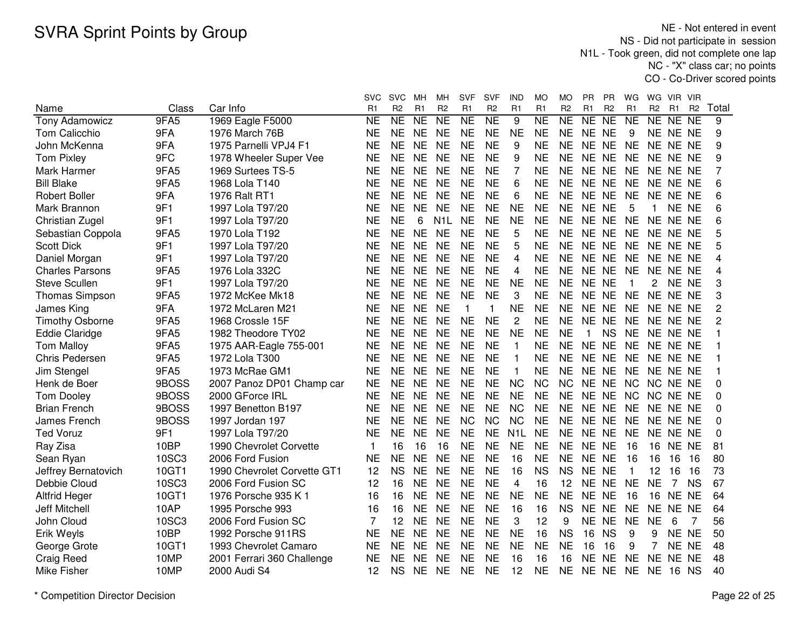NE - Not entered in event NS - Did not participate in session N1L - Took green, did not complete one lap NC - "X" class car; no pointsCO - Co-Driver scored points

|                        |              |                             | <b>SVC</b> | <b>SVC</b>     | MН              | мн                  | <b>SVF</b>     | <b>SVF</b>          | IND            | MO                  | MO             | <b>PR</b>   | РR              | WG           | WG.             | VIR VIR        |                |                |
|------------------------|--------------|-----------------------------|------------|----------------|-----------------|---------------------|----------------|---------------------|----------------|---------------------|----------------|-------------|-----------------|--------------|-----------------|----------------|----------------|----------------|
| Name                   | Class        | Car Info                    | R1         | R <sub>2</sub> | R1              | R <sub>2</sub>      | R <sub>1</sub> | R <sub>2</sub>      | R1             | R <sub>1</sub>      | R <sub>2</sub> | R1          | R <sub>2</sub>  | R1           | R <sub>2</sub>  | R <sub>1</sub> | R <sub>2</sub> | Total          |
| <b>Tony Adamowicz</b>  | 9FA5         | 1969 Eagle F5000            | <b>NE</b>  | NE             | $\overline{NE}$ | $\overline{\sf NE}$ | <b>NE</b>      | $\overline{\sf NE}$ | 9              | $\overline{\sf NE}$ | NE             | NE          | $\overline{NE}$ | NE           | <b>NE</b>       | NE.            | <b>NE</b>      | 9              |
| Tom Calicchio          | 9FA          | 1976 March 76B              | <b>NE</b>  | <b>NE</b>      | <b>NE</b>       | <b>NE</b>           | <b>NE</b>      | <b>NE</b>           | <b>NE</b>      | <b>NE</b>           | <b>NE</b>      | NE NE       |                 | 9            | NE NE NE        |                |                | 9              |
| John McKenna           | 9FA          | 1975 Parnelli VPJ4 F1       | <b>NE</b>  | <b>NE</b>      | <b>NE</b>       | <b>NE</b>           | <b>NE</b>      | <b>NE</b>           | 9              | <b>NE</b>           | <b>NE</b>      | NE NE       |                 | <b>NE</b>    | NE NE NE        |                |                | 9              |
| <b>Tom Pixley</b>      | 9FC          | 1978 Wheeler Super Vee      | <b>NE</b>  | <b>NE</b>      | <b>NE</b>       | <b>NE</b>           | <b>NE</b>      | <b>NE</b>           | 9              | <b>NE</b>           | <b>NE</b>      | NE NE       |                 | <b>NE</b>    | NE NE NE        |                |                | 9              |
| Mark Harmer            | 9FA5         | 1969 Surtees TS-5           | <b>NE</b>  | <b>NE</b>      | <b>NE</b>       | <b>NE</b>           | <b>NE</b>      | <b>NE</b>           | 7              | <b>NE</b>           | <b>NE</b>      | NE NE       |                 | <b>NE</b>    | NE NE NE        |                |                | 7              |
| <b>Bill Blake</b>      | 9FA5         | 1968 Lola T140              | <b>NE</b>  | <b>NE</b>      | <b>NE</b>       | <b>NE</b>           | <b>NE</b>      | <b>NE</b>           | 6              | ΝE                  | <b>NE</b>      | NE NE       |                 | <b>NE</b>    | NE NE NE        |                |                | 6              |
| <b>Robert Boller</b>   | 9FA          | 1976 Ralt RT1               | <b>NE</b>  | <b>NE</b>      | <b>NE</b>       | <b>NE</b>           | <b>NE</b>      | <b>NE</b>           | 6              | <b>NE</b>           | <b>NE</b>      | NE NE       |                 | <b>NE</b>    | NE NE NE        |                |                | 6              |
| Mark Brannon           | 9F1          | 1997 Lola T97/20            | <b>NE</b>  | <b>NE</b>      | <b>NE</b>       | <b>NE</b>           | <b>NE</b>      | <b>NE</b>           | <b>NE</b>      | <b>NE</b>           | <b>NE</b>      | NE NE       |                 | 5            | 1.              | NE NE          |                | 6              |
| Christian Zugel        | 9F1          | 1997 Lola T97/20            | <b>NE</b>  | <b>NE</b>      | 6               | N1L                 | <b>NE</b>      | <b>NE</b>           | <b>NE</b>      | <b>NE</b>           | <b>NE</b>      | NE NE       |                 | <b>NE</b>    | NE NE NE        |                |                | 6              |
| Sebastian Coppola      | 9FA5         | 1970 Lola T192              | <b>NE</b>  | <b>NE</b>      | <b>NE</b>       | <b>NE</b>           | <b>NE</b>      | <b>NE</b>           | 5              | <b>NE</b>           | <b>NE</b>      | NE NE       |                 | <b>NE</b>    | NE NE NE        |                |                | 5              |
| <b>Scott Dick</b>      | 9F1          | 1997 Lola T97/20            | <b>NE</b>  | <b>NE</b>      | <b>NE</b>       | <b>NE</b>           | <b>NE</b>      | <b>NE</b>           | 5              | <b>NE</b>           | <b>NE</b>      | NE NE       |                 | <b>NE</b>    | NE NE NE        |                |                | 5              |
| Daniel Morgan          | 9F1          | 1997 Lola T97/20            | <b>NE</b>  | <b>NE</b>      | <b>NE</b>       | <b>NE</b>           | <b>NE</b>      | <b>NE</b>           | 4              | <b>NE</b>           | <b>NE</b>      | NE NE       |                 | <b>NE</b>    | NE NE NE        |                |                | 4              |
| <b>Charles Parsons</b> | 9FA5         | 1976 Lola 332C              | <b>NE</b>  | <b>NE</b>      | <b>NE</b>       | <b>NE</b>           | <b>NE</b>      | <b>NE</b>           | 4              | <b>NE</b>           | <b>NE</b>      | <b>NE</b>   | <b>NE</b>       | <b>NE</b>    | <b>NE</b>       | NE NE          |                | 4              |
| <b>Steve Scullen</b>   | 9F1          | 1997 Lola T97/20            | <b>NE</b>  | <b>NE</b>      | <b>NE</b>       | <b>NE</b>           | <b>NE</b>      | <b>NE</b>           | <b>NE</b>      | <b>NE</b>           | <b>NE</b>      | NE NE       |                 | $\mathbf{1}$ | 2               | NE NE          |                | 3              |
| <b>Thomas Simpson</b>  | 9FA5         | 1972 McKee Mk18             | <b>NE</b>  | <b>NE</b>      | <b>NE</b>       | <b>NE</b>           | <b>NE</b>      | <b>NE</b>           | 3              | <b>NE</b>           | <b>NE</b>      | NE NE       |                 | <b>NE</b>    | NE NE NE        |                |                | 3              |
| James King             | 9FA          | 1972 McLaren M21            | <b>NE</b>  | <b>NE</b>      | <b>NE</b>       | <b>NE</b>           | $\mathbf{1}$   | $\mathbf{1}$        | <b>NE</b>      | <b>NE</b>           | <b>NE</b>      | NE NE       |                 | <b>NE</b>    | NE NE NE        |                |                | 2              |
| <b>Timothy Osborne</b> | 9FA5         | 1968 Crossle 15F            | <b>NE</b>  | <b>NE</b>      | <b>NE</b>       | <b>NE</b>           | <b>NE</b>      | <b>NE</b>           | $\overline{c}$ | <b>NE</b>           | <b>NE</b>      | NE NE       |                 | <b>NE</b>    | NE NE NE        |                |                | $\overline{c}$ |
| <b>Eddie Claridge</b>  | 9FA5         | 1982 Theodore TY02          | <b>NE</b>  | <b>NE</b>      | <b>NE</b>       | <b>NE</b>           | <b>NE</b>      | <b>NE</b>           | <b>NE</b>      | <b>NE</b>           | <b>NE</b>      | $\mathbf 1$ | <b>NS</b>       | <b>NE</b>    | NE NE NE        |                |                |                |
| <b>Tom Malloy</b>      | 9FA5         | 1975 AAR-Eagle 755-001      | <b>NE</b>  | <b>NE</b>      | <b>NE</b>       | <b>NE</b>           | <b>NE</b>      | <b>NE</b>           | $\mathbf{1}$   | <b>NE</b>           | <b>NE</b>      | NE NE       |                 | <b>NE</b>    | NE NE NE        |                |                |                |
| Chris Pedersen         | 9FA5         | 1972 Lola T300              | <b>NE</b>  | <b>NE</b>      | <b>NE</b>       | <b>NE</b>           | <b>NE</b>      | <b>NE</b>           | 1              | <b>NE</b>           | <b>NE</b>      | NE NE       |                 | <b>NE</b>    | NE NE NE        |                |                |                |
| Jim Stengel            | 9FA5         | 1973 McRae GM1              | NE         | <b>NE</b>      | <b>NE</b>       | <b>NE</b>           | <b>NE</b>      | <b>NE</b>           | 1              | <b>NE</b>           | <b>NE</b>      | NE NE       |                 | <b>NE</b>    | NE NE NE        |                |                |                |
| Henk de Boer           | 9BOSS        | 2007 Panoz DP01 Champ car   | <b>NE</b>  | <b>NE</b>      | <b>NE</b>       | <b>NE</b>           | <b>NE</b>      | <b>NE</b>           | <b>NC</b>      | <b>NC</b>           | <b>NC</b>      | NE NE       |                 | <b>NC</b>    | NC NE NE        |                |                | 0              |
| <b>Tom Dooley</b>      | 9BOSS        | 2000 GForce IRL             | <b>NE</b>  | <b>NE</b>      | <b>NE</b>       | <b>NE</b>           | <b>NE</b>      | <b>NE</b>           | <b>NE</b>      | <b>NE</b>           | <b>NE</b>      | <b>NE</b>   | <b>NE</b>       | <b>NC</b>    | NC.             | NE NE          |                | 0              |
| <b>Brian French</b>    | 9BOSS        | 1997 Benetton B197          | <b>NE</b>  | <b>NE</b>      | <b>NE</b>       | <b>NE</b>           | <b>NE</b>      | <b>NE</b>           | <b>NC</b>      | <b>NE</b>           | <b>NE</b>      | NE NE       |                 | <b>NE</b>    | NE NE NE        |                |                | 0              |
| James French           | 9BOSS        | 1997 Jordan 197             | <b>NE</b>  | <b>NE</b>      | <b>NE</b>       | <b>NE</b>           | <b>NC</b>      | <b>NC</b>           | <b>NC</b>      | <b>NE</b>           | <b>NE</b>      | NE NE       |                 | <b>NE</b>    | NE NE NE        |                |                | 0              |
| <b>Ted Voruz</b>       | 9F1          | 1997 Lola T97/20            | <b>NE</b>  | <b>NE</b>      | <b>NE</b>       | <b>NE</b>           | <b>NE</b>      | <b>NE</b>           | N <sub>1</sub> | <b>NE</b>           | <b>NE</b>      | <b>NE</b>   | <b>NE</b>       | <b>NE</b>    | <b>NE</b>       | NE NE          |                | 0              |
| Ray Zisa               | 10BP         | 1990 Chevrolet Corvette     | 1          | 16             | 16              | 16                  | <b>NE</b>      | <b>NE</b>           | <b>NE</b>      | <b>NE</b>           | <b>NE</b>      | NE NE       |                 | 16           | 16              | NE.            | <b>NE</b>      | 81             |
| Sean Ryan              | 10SC3        | 2006 Ford Fusion            | <b>NE</b>  | <b>NE</b>      | <b>NE</b>       | <b>NE</b>           | <b>NE</b>      | <b>NE</b>           | 16             | <b>NE</b>           | <b>NE</b>      | <b>NE</b>   | <b>NE</b>       | 16           | 16              | 16             | 16             | 80             |
| Jeffrey Bernatovich    | 10GT1        | 1990 Chevrolet Corvette GT1 | 12         | <b>NS</b>      | <b>NE</b>       | <b>NE</b>           | <b>NE</b>      | <b>NE</b>           | 16             | <b>NS</b>           | <b>NS</b>      | <b>NE</b>   | <b>NE</b>       | $\mathbf{1}$ | 12              | 16             | 16             | 73             |
| Debbie Cloud           | 10SC3        | 2006 Ford Fusion SC         | 12         | 16             | <b>NE</b>       | <b>NE</b>           | <b>NE</b>      | <b>NE</b>           | 4              | 16                  | 12             | NE NE       |                 | <b>NE</b>    | <b>NE</b>       | 7              | <b>NS</b>      | 67             |
| <b>Altfrid Heger</b>   | 10GT1        | 1976 Porsche 935 K 1        | 16         | 16             | <b>NE</b>       | <b>NE</b>           | <b>NE</b>      | <b>NE</b>           | <b>NE</b>      | <b>NE</b>           | <b>NE</b>      | NE NE       |                 | 16           | 16              | NE NE          |                | 64             |
| Jeff Mitchell          | 10AP         | 1995 Porsche 993            | 16         | 16             | <b>NE</b>       | <b>NE</b>           | <b>NE</b>      | <b>NE</b>           | 16             | 16                  | <b>NS</b>      | NE NE       |                 | <b>NE</b>    | <b>NE</b>       | NE NE          |                | 64             |
| John Cloud             | <b>10SC3</b> | 2006 Ford Fusion SC         | 7          | 12             | <b>NE</b>       | <b>NE</b>           | <b>NE</b>      | <b>NE</b>           | 3              | 12                  | 9              | <b>NE</b>   | <b>NE</b>       | <b>NE</b>    | <b>NE</b>       | 6              | 7              | 56             |
| Erik Weyls             | 10BP         | 1992 Porsche 911RS          | <b>NE</b>  | <b>NE</b>      | <b>NE</b>       | <b>NE</b>           | <b>NE</b>      | <b>NE</b>           | <b>NE</b>      | 16                  | <b>NS</b>      | 16          | <b>NS</b>       | 9            | 9               | NE NE          |                | 50             |
| George Grote           | 10GT1        | 1993 Chevrolet Camaro       | <b>NE</b>  | <b>NE</b>      | <b>NE</b>       | <b>NE</b>           | <b>NE</b>      | <b>NE</b>           | NE             | <b>NE</b>           | <b>NE</b>      | 16          | 16              | 9            | 7               | NE NE          |                | 48             |
| <b>Craig Reed</b>      | 10MP         | 2001 Ferrari 360 Challenge  | <b>NE</b>  | <b>NE</b>      | NE              | <b>NE</b>           | <b>NE</b>      | NE                  | 16             | 16                  | 16             | <b>NE</b>   | <b>NE</b>       | <b>NE</b>    | <b>NE</b>       | NE NE          |                | 48             |
| Mike Fisher            | 10MP         | 2000 Audi S4                | 12         | <b>NS</b>      | <b>NE</b>       | <b>NE</b>           | <b>NE</b>      | <b>NE</b>           | 12             | <b>NE</b>           | <b>NE</b>      | NE NE       |                 | <b>NE</b>    | <b>NE 16 NS</b> |                |                | 40             |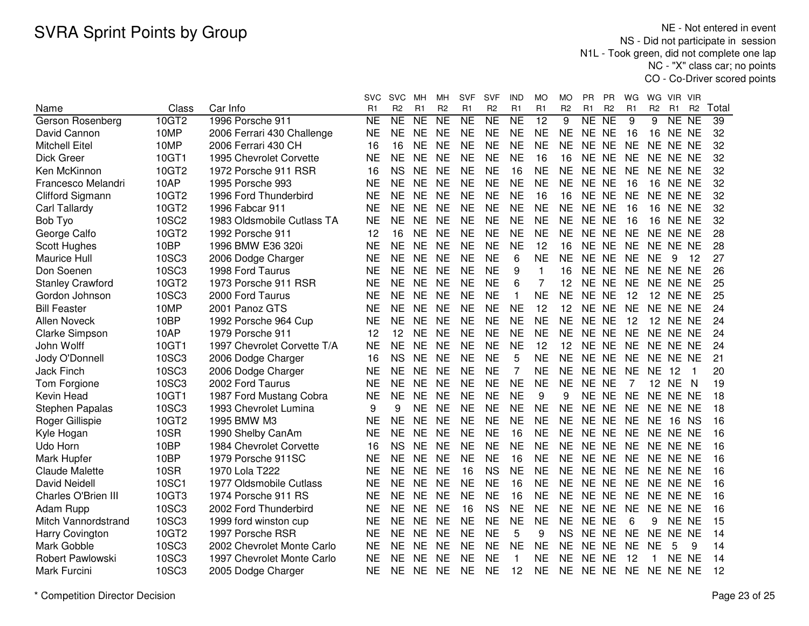NE - Not entered in event NS - Did not participate in session N1L - Took green, did not complete one lap NC - "X" class car; no pointsCO - Co-Driver scored points

|                         |              |                             | svc       | <b>SVC</b>     | MН              | мн             | SVF             | <b>SVF</b>          | IND       | МO             | МO             | <b>PR</b> | ΡR             | WG        | WG.            | VIR.            | <b>VIR</b>     |       |
|-------------------------|--------------|-----------------------------|-----------|----------------|-----------------|----------------|-----------------|---------------------|-----------|----------------|----------------|-----------|----------------|-----------|----------------|-----------------|----------------|-------|
| Name                    | Class        | Car Info                    | R1        | R <sub>2</sub> | R1              | R <sub>2</sub> | R <sub>1</sub>  | R <sub>2</sub>      | R1        | R <sub>1</sub> | R <sub>2</sub> | R1        | R <sub>2</sub> | R1        | R <sub>2</sub> | R <sub>1</sub>  | R <sub>2</sub> | Total |
| Gerson Rosenberg        | 10GT2        | 1996 Porsche 911            | <b>NE</b> | NE             | $\overline{NE}$ | <b>NE</b>      | $\overline{NE}$ | $\overline{\sf NE}$ | <b>NE</b> | 12             | 9              | NE        | <b>NE</b>      | 9         | 9              | NE NE           |                | 39    |
| David Cannon            | 10MP         | 2006 Ferrari 430 Challenge  | <b>NE</b> | <b>NE</b>      | <b>NE</b>       | <b>NE</b>      | <b>NE</b>       | <b>NE</b>           | <b>NE</b> | <b>NE</b>      | <b>NE</b>      | NE NE     |                | 16        | 16             | NE NE           |                | 32    |
| <b>Mitchell Eitel</b>   | 10MP         | 2006 Ferrari 430 CH         | 16        | 16             | <b>NE</b>       | <b>NE</b>      | <b>NE</b>       | <b>NE</b>           | <b>NE</b> | <b>NE</b>      | <b>NE</b>      | NE NE     |                | <b>NE</b> | NE NE NE       |                 |                | 32    |
| <b>Dick Greer</b>       | 10GT1        | 1995 Chevrolet Corvette     | <b>NE</b> | <b>NE</b>      | <b>NE</b>       | <b>NE</b>      | <b>NE</b>       | <b>NE</b>           | <b>NE</b> | 16             | 16             | NE NE     |                | <b>NE</b> | NE NE NE       |                 |                | 32    |
| Ken McKinnon            | 10GT2        | 1972 Porsche 911 RSR        | 16        | <b>NS</b>      | <b>NE</b>       | <b>NE</b>      | <b>NE</b>       | <b>NE</b>           | 16        | <b>NE</b>      | <b>NE</b>      | NE NE     |                | <b>NE</b> | NE NE NE       |                 |                | 32    |
| Francesco Melandri      | 10AP         | 1995 Porsche 993            | <b>NE</b> | <b>NE</b>      | <b>NE</b>       | <b>NE</b>      | <b>NE</b>       | <b>NE</b>           | <b>NE</b> | <b>NE</b>      | <b>NE</b>      | NE NE     |                | 16        | 16             | NE NE           |                | 32    |
| Clifford Sigmann        | 10GT2        | 1996 Ford Thunderbird       | <b>NE</b> | <b>NE</b>      | <b>NE</b>       | <b>NE</b>      | <b>NE</b>       | <b>NE</b>           | <b>NE</b> | 16             | 16             | NE NE     |                | <b>NE</b> | NE NE NE       |                 |                | 32    |
| Carl Tallardy           | 10GT2        | 1996 Fabcar 911             | <b>NE</b> | <b>NE</b>      | <b>NE</b>       | <b>NE</b>      | <b>NE</b>       | <b>NE</b>           | <b>NE</b> | <b>NE</b>      | <b>NE</b>      | NE NE     |                | 16        |                | <b>16 NE NE</b> |                | 32    |
| Bob Tyo                 | <b>10SC2</b> | 1983 Oldsmobile Cutlass TA  | <b>NE</b> | <b>NE</b>      | <b>NE</b>       | <b>NE</b>      | <b>NE</b>       | <b>NE</b>           | <b>NE</b> | <b>NE</b>      | <b>NE</b>      | NE NE     |                | 16        |                | <b>16 NE NE</b> |                | 32    |
| George Calfo            | 10GT2        | 1992 Porsche 911            | 12        | 16             | <b>NE</b>       | <b>NE</b>      | <b>NE</b>       | <b>NE</b>           | <b>NE</b> | <b>NE</b>      | <b>NE</b>      | NE NE     |                | <b>NE</b> | NE NE NE       |                 |                | 28    |
| Scott Hughes            | 10BP         | 1996 BMW E36 320i           | <b>NE</b> | <b>NE</b>      | <b>NE</b>       | <b>NE</b>      | <b>NE</b>       | <b>NE</b>           | <b>NE</b> | 12             | 16             | NE NE     |                | <b>NE</b> | NE NE NE       |                 |                | 28    |
| Maurice Hull            | 10SC3        | 2006 Dodge Charger          | <b>NE</b> | <b>NE</b>      | <b>NE</b>       | <b>NE</b>      | <b>NE</b>       | <b>NE</b>           | 6         | <b>NE</b>      | <b>NE</b>      | NE NE     |                | <b>NE</b> | <b>NE</b>      | 9               | 12             | 27    |
| Don Soenen              | 10SC3        | 1998 Ford Taurus            | <b>NE</b> | <b>NE</b>      | <b>NE</b>       | <b>NE</b>      | <b>NE</b>       | <b>NE</b>           | 9         | $\mathbf{1}$   | 16             | <b>NE</b> | <b>NE</b>      | <b>NE</b> | NE NE NE       |                 |                | 26    |
| <b>Stanley Crawford</b> | 10GT2        | 1973 Porsche 911 RSR        | <b>NE</b> | <b>NE</b>      | <b>NE</b>       | <b>NE</b>      | <b>NE</b>       | <b>NE</b>           | 6         | $\overline{7}$ | 12             | NE NE     |                | <b>NE</b> | NE NE NE       |                 |                | 25    |
| Gordon Johnson          | 10SC3        | 2000 Ford Taurus            | <b>NE</b> | <b>NE</b>      | <b>NE</b>       | <b>NE</b>      | <b>NE</b>       | <b>NE</b>           | 1         | <b>NE</b>      | <b>NE</b>      | NE NE     |                | 12        |                | <b>12 NE NE</b> |                | 25    |
| <b>Bill Feaster</b>     | 10MP         | 2001 Panoz GTS              | <b>NE</b> | <b>NE</b>      | <b>NE</b>       | <b>NE</b>      | <b>NE</b>       | <b>NE</b>           | <b>NE</b> | 12             | 12             | NE NE     |                | <b>NE</b> | NE NE NE       |                 |                | 24    |
| <b>Allen Noveck</b>     | 10BP         | 1992 Porsche 964 Cup        | <b>NE</b> | <b>NE</b>      | <b>NE</b>       | <b>NE</b>      | <b>NE</b>       | <b>NE</b>           | <b>NE</b> | <b>NE</b>      | <b>NE</b>      | NE NE     |                | 12        |                | <b>12 NE NE</b> |                | 24    |
| Clarke Simpson          | 10AP         | 1979 Porsche 911            | 12        | 12             | <b>NE</b>       | <b>NE</b>      | <b>NE</b>       | <b>NE</b>           | <b>NE</b> | <b>NE</b>      | <b>NE</b>      | NE NE     |                | <b>NE</b> | NE NE NE       |                 |                | 24    |
| John Wolff              | 10GT1        | 1997 Chevrolet Corvette T/A | <b>NE</b> | <b>NE</b>      | <b>NE</b>       | <b>NE</b>      | <b>NE</b>       | <b>NE</b>           | <b>NE</b> | 12             | 12             | NE NE     |                | <b>NE</b> | NE NE NE       |                 |                | 24    |
| Jody O'Donnell          | 10SC3        | 2006 Dodge Charger          | 16        | <b>NS</b>      | <b>NE</b>       | <b>NE</b>      | <b>NE</b>       | <b>NE</b>           | 5         | <b>NE</b>      | <b>NE</b>      | NE NE     |                | <b>NE</b> | NE NE NE       |                 |                | 21    |
| <b>Jack Finch</b>       | 10SC3        | 2006 Dodge Charger          | NE        | NE.            | <b>NE</b>       | <b>NE</b>      | <b>NE</b>       | <b>NE</b>           | 7         | NE             | <b>NE</b>      | NE NE     |                | <b>NE</b> | NE             | -12             | $\mathbf 1$    | 20    |
| Tom Forgione            | 10SC3        | 2002 Ford Taurus            | <b>NE</b> | <b>NE</b>      | <b>NE</b>       | <b>NE</b>      | <b>NE</b>       | <b>NE</b>           | <b>NE</b> | <b>NE</b>      | <b>NE</b>      | NE NE     |                | 7         |                | 12 NE           | -N             | 19    |
| Kevin Head              | 10GT1        | 1987 Ford Mustang Cobra     | <b>NE</b> | <b>NE</b>      | <b>NE</b>       | <b>NE</b>      | <b>NE</b>       | <b>NE</b>           | <b>NE</b> | 9              | 9              | NE NE     |                | <b>NE</b> | NE NE NE       |                 |                | 18    |
| Stephen Papalas         | 10SC3        | 1993 Chevrolet Lumina       | 9         | 9              | <b>NE</b>       | <b>NE</b>      | <b>NE</b>       | <b>NE</b>           | <b>NE</b> | <b>NE</b>      | <b>NE</b>      | NE NE     |                | <b>NE</b> | NE NE NE       |                 |                | 18    |
| Roger Gillispie         | 10GT2        | 1995 BMW M3                 | <b>NE</b> | <b>NE</b>      | <b>NE</b>       | <b>NE</b>      | <b>NE</b>       | <b>NE</b>           | <b>NE</b> | <b>NE</b>      | <b>NE</b>      | NE NE     |                | <b>NE</b> | <b>NE</b>      | 16 NS           |                | 16    |
| Kyle Hogan              | <b>10SR</b>  | 1990 Shelby CanAm           | <b>NE</b> | <b>NE</b>      | <b>NE</b>       | <b>NE</b>      | <b>NE</b>       | <b>NE</b>           | 16        | <b>NE</b>      | <b>NE</b>      | NE NE     |                | <b>NE</b> | NE NE NE       |                 |                | 16    |
| Udo Horn                | 10BP         | 1984 Chevrolet Corvette     | 16        | <b>NS</b>      | <b>NE</b>       | <b>NE</b>      | <b>NE</b>       | <b>NE</b>           | <b>NE</b> | <b>NE</b>      | <b>NE</b>      | NE NE     |                | <b>NE</b> | NE NE NE       |                 |                | 16    |
| <b>Mark Hupfer</b>      | 10BP         | 1979 Porsche 911SC          | <b>NE</b> | <b>NE</b>      | <b>NE</b>       | <b>NE</b>      | <b>NE</b>       | <b>NE</b>           | 16        | <b>NE</b>      | <b>NE</b>      | NE NE     |                | <b>NE</b> | NE NE NE       |                 |                | 16    |
| <b>Claude Malette</b>   | <b>10SR</b>  | 1970 Lola T222              | <b>NE</b> | <b>NE</b>      | <b>NE</b>       | <b>NE</b>      | 16              | <b>NS</b>           | <b>NE</b> | <b>NE</b>      | <b>NE</b>      | NE NE     |                | <b>NE</b> | NE NE NE       |                 |                | 16    |
| <b>David Neidell</b>    | 10SC1        | 1977 Oldsmobile Cutlass     | <b>NE</b> | <b>NE</b>      | <b>NE</b>       | <b>NE</b>      | <b>NE</b>       | <b>NE</b>           | 16        | <b>NE</b>      | <b>NE</b>      | NE NE     |                | <b>NE</b> | NE NE NE       |                 |                | 16    |
| Charles O'Brien III     | 10GT3        | 1974 Porsche 911 RS         | <b>NE</b> | <b>NE</b>      | <b>NE</b>       | <b>NE</b>      | <b>NE</b>       | <b>NE</b>           | 16        | <b>NE</b>      | <b>NE</b>      | NE NE     |                | <b>NE</b> |                | NE NE NE        |                | 16    |
| Adam Rupp               | 10SC3        | 2002 Ford Thunderbird       | <b>NE</b> | <b>NE</b>      | <b>NE</b>       | <b>NE</b>      | 16              | <b>NS</b>           | <b>NE</b> | <b>NE</b>      | <b>NE</b>      | NE NE     |                | <b>NE</b> | <b>NE</b>      | NE NE           |                | 16    |
| Mitch Vannordstrand     | 10SC3        | 1999 ford winston cup       | <b>NE</b> | <b>NE</b>      | <b>NE</b>       | <b>NE</b>      | <b>NE</b>       | <b>NE</b>           | <b>NE</b> | <b>NE</b>      | <b>NE</b>      | NE NE     |                | 6         | 9              | NE NE           |                | 15    |
| Harry Covington         | 10GT2        | 1997 Porsche RSR            | <b>NE</b> | <b>NE</b>      | <b>NE</b>       | <b>NE</b>      | <b>NE</b>       | <b>NE</b>           | 5         | 9              | <b>NS</b>      | NE NE     |                | <b>NE</b> | NE NE NE       |                 |                | 14    |
| Mark Gobble             | 10SC3        | 2002 Chevrolet Monte Carlo  | NE        | NE.            | <b>NE</b>       | <b>NE</b>      | <b>NE</b>       | <b>NE</b>           | <b>NE</b> | <b>NE</b>      | <b>NE</b>      | NE NE     |                | <b>NE</b> | <b>NE</b>      | 5               | 9              | 14    |
| Robert Pawlowski        | 10SC3        | 1997 Chevrolet Monte Carlo  | NE        | <b>NE</b>      | <b>NE</b>       | <b>NE</b>      | <b>NE</b>       | <b>NE</b>           | 1         | <b>NE</b>      | ΝE             | NE        | <b>NE</b>      | 12        | 1              | NE NE           |                | 14    |
| Mark Furcini            | 10SC3        | 2005 Dodge Charger          | <b>NE</b> | <b>NE</b>      | <b>NE</b>       | <b>NE</b>      | <b>NE</b>       | <b>NE</b>           | 12        | <b>NE</b>      | <b>NE</b>      | NE NE     |                | <b>NE</b> | NE NE NE       |                 |                | 12    |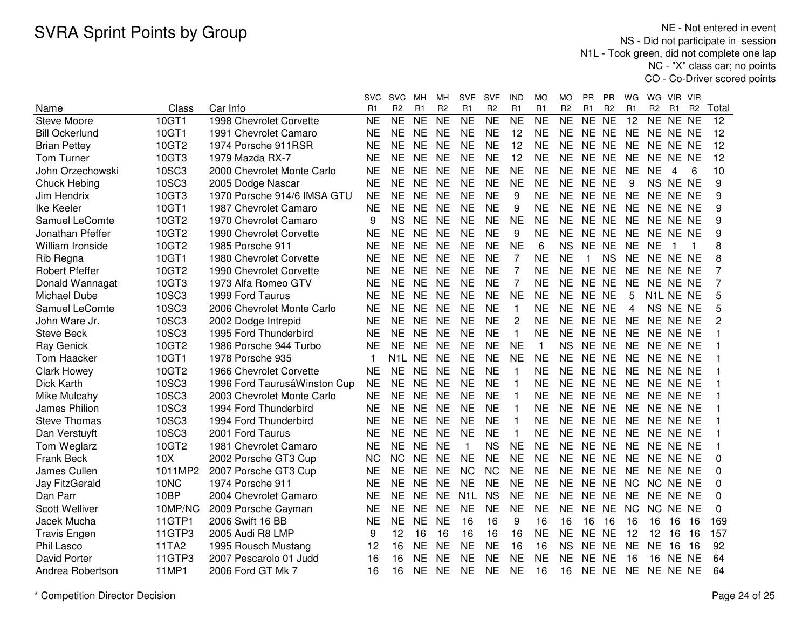NE - Not entered in event NS - Did not participate in session N1L - Took green, did not complete one lap NC - "X" class car; no pointsCO - Co-Driver scored points

|                       |              |                              | svc                 | <b>SVC</b>                      | мн             | MН             | <b>SVF</b>       | <b>SVF</b>     | IND            | MO              | MО             | PR          | PR              | WG              | WG                     | VIR.  | VIR            |                 |
|-----------------------|--------------|------------------------------|---------------------|---------------------------------|----------------|----------------|------------------|----------------|----------------|-----------------|----------------|-------------|-----------------|-----------------|------------------------|-------|----------------|-----------------|
| Name                  | Class        | Car Info                     | R1                  | R <sub>2</sub>                  | R1             | R <sub>2</sub> | R <sub>1</sub>   | R <sub>2</sub> | R1             | R <sub>1</sub>  | R <sub>2</sub> | R1          | R <sub>2</sub>  | R1              | R <sub>2</sub>         | R1    | R <sub>2</sub> | Total           |
| <b>Steve Moore</b>    | 10GT1        | 1998 Chevrolet Corvette      | $\overline{\sf NE}$ | $\overline{\sf NE}$             | N <sub>E</sub> | NE             | N <sub>E</sub>   | NE             | NE             | $\overline{NE}$ | NE             | NE          | $\overline{NE}$ | $\overline{12}$ | NE NE NE               |       |                | $\overline{12}$ |
| <b>Bill Ockerlund</b> | 10GT1        | 1991 Chevrolet Camaro        | <b>NE</b>           | <b>NE</b>                       | <b>NE</b>      | <b>NE</b>      | <b>NE</b>        | <b>NE</b>      | 12             | <b>NE</b>       | <b>NE</b>      | NE NE       |                 | <b>NE</b>       | NE NE NE               |       |                | 12              |
| <b>Brian Pettey</b>   | 10GT2        | 1974 Porsche 911RSR          | <b>NE</b>           | <b>NE</b>                       | <b>NE</b>      | <b>NE</b>      | <b>NE</b>        | <b>NE</b>      | 12             | <b>NE</b>       | <b>NE</b>      | NE NE       |                 | <b>NE</b>       | NE NE NE               |       |                | 12              |
| Tom Turner            | 10GT3        | 1979 Mazda RX-7              | <b>NE</b>           | <b>NE</b>                       | <b>NE</b>      | <b>NE</b>      | <b>NE</b>        | <b>NE</b>      | 12             | <b>NE</b>       | <b>NE</b>      | NE NE       |                 | <b>NE</b>       | NE NE NE               |       |                | 12              |
| John Orzechowski      | 10SC3        | 2000 Chevrolet Monte Carlo   | <b>NE</b>           | <b>NE</b>                       | <b>NE</b>      | <b>NE</b>      | <b>NE</b>        | <b>NE</b>      | <b>NE</b>      | <b>NE</b>       | <b>NE</b>      | NE NE       |                 | <b>NE</b>       | <b>NE</b>              | 4     | 6              | 10              |
| Chuck Hebing          | <b>10SC3</b> | 2005 Dodge Nascar            | <b>NE</b>           | <b>NE</b>                       | <b>NE</b>      | <b>NE</b>      | <b>NE</b>        | <b>NE</b>      | <b>NE</b>      | <b>NE</b>       | <b>NE</b>      | NE NE       |                 | 9               | NS NE NE               |       |                | 9               |
| Jim Hendrix           | 10GT3        | 1970 Porsche 914/6 IMSA GTU  | <b>NE</b>           | <b>NE</b>                       | <b>NE</b>      | <b>NE</b>      | <b>NE</b>        | <b>NE</b>      | 9              | <b>NE</b>       | <b>NE</b>      | NE NE       |                 | <b>NE</b>       | NE NE NE               |       |                | 9               |
| Ike Keeler            | 10GT1        | 1987 Chevrolet Camaro        | NE                  | NE                              | <b>NE</b>      | <b>NE</b>      | <b>NE</b>        | <b>NE</b>      | 9              | <b>NE</b>       | <b>NE</b>      | NE NE       |                 | <b>NE</b>       | NE NE NE               |       |                | 9               |
| Samuel LeComte        | 10GT2        | 1970 Chevrolet Camaro        | 9                   | <b>NS</b>                       | <b>NE</b>      | <b>NE</b>      | <b>NE</b>        | <b>NE</b>      | <b>NE</b>      | <b>NE</b>       | <b>NE</b>      | NE NE       |                 | <b>NE</b>       | NE NE NE               |       |                | 9               |
| Jonathan Pfeffer      | 10GT2        | 1990 Chevrolet Corvette      | <b>NE</b>           | <b>NE</b>                       | <b>NE</b>      | <b>NE</b>      | <b>NE</b>        | <b>NE</b>      | 9              | <b>NE</b>       | <b>NE</b>      | NE NE       |                 | <b>NE</b>       | NE NE NE               |       |                | 9               |
| William Ironside      | 10GT2        | 1985 Porsche 911             | <b>NE</b>           | <b>NE</b>                       | <b>NE</b>      | <b>NE</b>      | <b>NE</b>        | <b>NE</b>      | <b>NE</b>      | 6               | <b>NS</b>      | NE NE       |                 | <b>NE</b>       | <b>NE</b>              | -1    |                | 8               |
| Rib Regna             | 10GT1        | 1980 Chevrolet Corvette      | <b>NE</b>           | <b>NE</b>                       | <b>NE</b>      | <b>NE</b>      | <b>NE</b>        | <b>NE</b>      | $\overline{7}$ | <b>NE</b>       | <b>NE</b>      | $\mathbf 1$ | <b>NS</b>       | <b>NE</b>       | NE NE NE               |       |                | 8               |
| <b>Robert Pfeffer</b> | 10GT2        | 1990 Chevrolet Corvette      | <b>NE</b>           | <b>NE</b>                       | <b>NE</b>      | <b>NE</b>      | <b>NE</b>        | <b>NE</b>      | $\overline{7}$ | <b>NE</b>       | <b>NE</b>      | NE NE       |                 | <b>NE</b>       | NE NE NE               |       |                |                 |
| Donald Wannagat       | 10GT3        | 1973 Alfa Romeo GTV          | <b>NE</b>           | <b>NE</b>                       | <b>NE</b>      | <b>NE</b>      | <b>NE</b>        | <b>NE</b>      | 7              | <b>NE</b>       | <b>NE</b>      | NE NE       |                 | <b>NE</b>       | NE NE NE               |       |                | 7               |
| Michael Dube          | 10SC3        | 1999 Ford Taurus             | <b>NE</b>           | <b>NE</b>                       | <b>NE</b>      | <b>NE</b>      | <b>NE</b>        | <b>NE</b>      | <b>NE</b>      | <b>NE</b>       | <b>NE</b>      | NE NE       |                 | 5               | N <sub>1</sub> L NE NE |       |                | 5               |
| Samuel LeComte        | 10SC3        | 2006 Chevrolet Monte Carlo   | <b>NE</b>           | <b>NE</b>                       | <b>NE</b>      | <b>NE</b>      | <b>NE</b>        | <b>NE</b>      | $\mathbf{1}$   | <b>NE</b>       | <b>NE</b>      | NE NE       |                 | 4               | NS NE NE               |       |                | 5               |
| John Ware Jr.         | 10SC3        | 2002 Dodge Intrepid          | <b>NE</b>           | <b>NE</b>                       | <b>NE</b>      | <b>NE</b>      | <b>NE</b>        | <b>NE</b>      | $\overline{c}$ | <b>NE</b>       | <b>NE</b>      | NE NE       |                 | <b>NE</b>       | NE NE NE               |       |                | 2               |
| <b>Steve Beck</b>     | 10SC3        | 1995 Ford Thunderbird        | <b>NE</b>           | <b>NE</b>                       | <b>NE</b>      | <b>NE</b>      | <b>NE</b>        | <b>NE</b>      | $\mathbf{1}$   | <b>NE</b>       | <b>NE</b>      | NE NE       |                 | <b>NE</b>       | NE NE NE               |       |                |                 |
| Ray Genick            | 10GT2        | 1986 Porsche 944 Turbo       | <b>NE</b>           | <b>NE</b>                       | <b>NE</b>      | <b>NE</b>      | <b>NE</b>        | <b>NE</b>      | <b>NE</b>      | $\mathbf{1}$    | <b>NS</b>      | NE NE       |                 | <b>NE</b>       | NE NE NE               |       |                |                 |
| Tom Haacker           | 10GT1        | 1978 Porsche 935             | 1                   | N <sub>1</sub> L N <sub>E</sub> |                | <b>NE</b>      | <b>NE</b>        | <b>NE</b>      | <b>NE</b>      | <b>NE</b>       | <b>NE</b>      | NE NE       |                 | <b>NE</b>       | NE NE NE               |       |                |                 |
| <b>Clark Howey</b>    | 10GT2        | 1966 Chevrolet Corvette      | <b>NE</b>           | <b>NE</b>                       | <b>NE</b>      | <b>NE</b>      | <b>NE</b>        | <b>NE</b>      | 1              | <b>NE</b>       | <b>NE</b>      | NE NE       |                 | <b>NE</b>       | NE NE NE               |       |                |                 |
| Dick Karth            | <b>10SC3</b> | 1996 Ford TaurusáWinston Cup | <b>NE</b>           | <b>NE</b>                       | <b>NE</b>      | <b>NE</b>      | <b>NE</b>        | <b>NE</b>      | $\mathbf{1}$   | <b>NE</b>       | <b>NE</b>      | NE NE       |                 | <b>NE</b>       | NE NE NE               |       |                |                 |
| Mike Mulcahy          | 10SC3        | 2003 Chevrolet Monte Carlo   | NE                  | NE                              | <b>NE</b>      | <b>NE</b>      | <b>NE</b>        | <b>NE</b>      | $\mathbf{1}$   | NE              | <b>NE</b>      | NE NE       |                 | <b>NE</b>       | NE NE NE               |       |                |                 |
| James Philion         | <b>10SC3</b> | 1994 Ford Thunderbird        | <b>NE</b>           | <b>NE</b>                       | <b>NE</b>      | <b>NE</b>      | <b>NE</b>        | <b>NE</b>      | $\mathbf{1}$   | <b>NE</b>       | <b>NE</b>      | NE NE       |                 | <b>NE</b>       | NE NE NE               |       |                |                 |
| <b>Steve Thomas</b>   | <b>10SC3</b> | 1994 Ford Thunderbird        | <b>NE</b>           | <b>NE</b>                       | <b>NE</b>      | <b>NE</b>      | <b>NE</b>        | <b>NE</b>      | 1              | <b>NE</b>       | <b>NE</b>      | NE NE       |                 | <b>NE</b>       | NE NE NE               |       |                |                 |
| Dan Verstuyft         | 10SC3        | 2001 Ford Taurus             | <b>NE</b>           | <b>NE</b>                       | <b>NE</b>      | <b>NE</b>      | <b>NE</b>        | <b>NE</b>      | 1              | <b>NE</b>       | <b>NE</b>      | NE NE       |                 | <b>NE</b>       | NE NE NE               |       |                |                 |
| Tom Weglarz           | 10GT2        | 1981 Chevrolet Camaro        | <b>NE</b>           | <b>NE</b>                       | <b>NE</b>      | <b>NE</b>      | $\mathbf{1}$     | <b>NS</b>      | <b>NE</b>      | <b>NE</b>       | <b>NE</b>      | NE NE       |                 | <b>NE</b>       | NE NE NE               |       |                |                 |
| <b>Frank Beck</b>     | 10X          | 2002 Porsche GT3 Cup         | <b>NC</b>           | <b>NC</b>                       | <b>NE</b>      | <b>NE</b>      | <b>NE</b>        | <b>NE</b>      | <b>NE</b>      | <b>NE</b>       | <b>NE</b>      | NE NE       |                 | <b>NE</b>       | NE NE NE               |       |                | 0               |
| James Cullen          | 1011MP2      | 2007 Porsche GT3 Cup         | <b>NE</b>           | <b>NE</b>                       | <b>NE</b>      | <b>NE</b>      | <b>NC</b>        | <b>NC</b>      | <b>NE</b>      | <b>NE</b>       | <b>NE</b>      | NE NE       |                 | <b>NE</b>       | NE NE NE               |       |                | 0               |
| Jay FitzGerald        | 10NC         | 1974 Porsche 911             | <b>NE</b>           | <b>NE</b>                       | <b>NE</b>      | <b>NE</b>      | <b>NE</b>        | <b>NE</b>      | <b>NE</b>      | <b>NE</b>       | <b>NE</b>      | NE NE       |                 | <b>NC</b>       | NC NE NE               |       |                | 0               |
| Dan Parr              | 10BP         | 2004 Chevrolet Camaro        | <b>NE</b>           | <b>NE</b>                       | <b>NE</b>      | <b>NE</b>      | N <sub>1</sub> L | <b>NS</b>      | <b>NE</b>      | <b>NE</b>       | <b>NE</b>      | <b>NE</b>   | <b>NE</b>       | <b>NE</b>       | NE NE NE               |       |                | 0               |
| <b>Scott Welliver</b> | 10MP/NC      | 2009 Porsche Cayman          | <b>NE</b>           | <b>NE</b>                       | <b>NE</b>      | <b>NE</b>      | <b>NE</b>        | <b>NE</b>      | <b>NE</b>      | <b>NE</b>       | <b>NE</b>      | NE NE       |                 | <b>NC</b>       | NC.                    | NE NE |                | $\Omega$        |
| Jacek Mucha           | 11GTP1       | 2006 Swift 16 BB             | <b>NE</b>           | <b>NE</b>                       | <b>NE</b>      | <b>NE</b>      | 16               | 16             | 9              | 16              | 16             | 16          | 16              | 16              | 16                     | 16    | 16             | 169             |
| <b>Travis Engen</b>   | 11GTP3       | 2005 Audi R8 LMP             | 9                   | 12                              | 16             | 16             | 16               | 16             | 16             | <b>NE</b>       | <b>NE</b>      | NE NE       |                 | 12              | 12                     | 16    | 16             | 157             |
| <b>Phil Lasco</b>     | 11TA2        | 1995 Rousch Mustang          | 12                  | 16                              | <b>NE</b>      | <b>NE</b>      | <b>NE</b>        | <b>NE</b>      | 16             | 16              | <b>NS</b>      | NE NE       |                 | <b>NE</b>       | <b>NE</b>              | 16    | 16             | 92              |
| <b>David Porter</b>   | 11GTP3       | 2007 Pescarolo 01 Judd       | 16                  | 16                              | <b>NE</b>      | <b>NE</b>      | <b>NE</b>        | <b>NE</b>      | <b>NE</b>      | <b>NE</b>       | <b>NE</b>      | NE NE       |                 | 16              | 16                     | NE NE |                | 64              |
| Andrea Robertson      | 11MP1        | 2006 Ford GT Mk 7            | 16                  | 16                              | NE.            | <b>NE</b>      | <b>NE</b>        | <b>NE</b>      | <b>NE</b>      | 16              | 16             | NE NE       |                 | <b>NE</b>       | NE NE NE               |       |                | 64              |